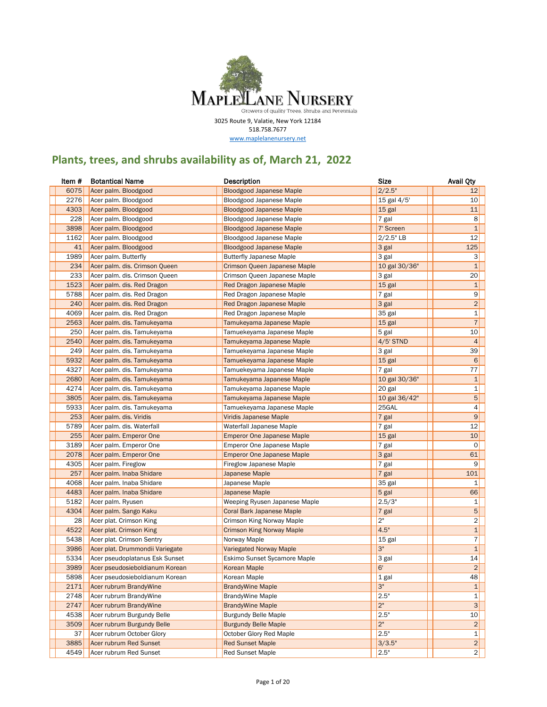

3025 Route 9, Valatie, New York 12184 518.758.7677

www.maplelanenursery.net

## **Plants, trees, and shrubs availability as of, March 21, 2022**

| 6075<br>2/2.5"<br>Acer palm. Bloodgood<br>12<br><b>Bloodgood Japanese Maple</b><br>2276<br>15 gal 4/5'<br>10<br>Acer palm. Bloodgood<br>Bloodgood Japanese Maple<br>4303<br>Acer palm. Bloodgood<br>11<br><b>Bloodgood Japanese Maple</b><br>15 gal<br>228<br>8<br>Acer palm. Bloodgood<br>Bloodgood Japanese Maple<br>7 gal<br>3898<br>$\mathbf{1}$<br>7' Screen<br>Acer palm. Bloodgood<br><b>Bloodgood Japanese Maple</b><br>$2/2.5"$ LB<br>12<br>1162<br>Acer palm. Bloodgood<br>Bloodgood Japanese Maple<br>41<br>125<br>3 gal<br>Acer palm. Bloodgood<br><b>Bloodgood Japanese Maple</b><br>1989<br>3 gal<br>3<br>Acer palm. Butterfly<br><b>Butterfly Japanese Maple</b><br>234<br>$\mathbf{1}$<br>Acer palm. dis. Crimson Queen<br>Crimson Queen Japanese Maple<br>10 gal 30/36"<br>233<br>20<br>3 gal<br>Acer palm. dis. Crimson Queen<br>Crimson Queen Japanese Maple<br>1523<br>$\mathbf{1}$<br>15 gal<br>Acer palm. dis. Red Dragon<br>Red Dragon Japanese Maple<br>9<br>5788<br>7 gal<br>Acer palm. dis. Red Dragon<br>Red Dragon Japanese Maple<br>$\overline{c}$<br>240<br>3 gal<br>Acer palm. dis. Red Dragon<br>Red Dragon Japanese Maple<br>1<br>4069<br>35 gal<br>Acer palm. dis. Red Dragon<br>Red Dragon Japanese Maple<br>$\overline{7}$<br>2563<br>15 gal<br>Acer palm. dis. Tamukeyama<br>Tamukeyama Japanese Maple<br>250<br>10<br>Acer palm. dis. Tamukeyama<br>Tamuekeyama Japanese Maple<br>5 gal<br>2540<br>$\overline{4}$<br>$4/5$ ' STND<br>Acer palm. dis. Tamukeyama<br>Tamukeyama Japanese Maple<br>249<br>39<br>3 gal<br>Acer palm. dis. Tamukeyama<br>Tamuekeyama Japanese Maple<br>5932<br>6<br>Acer palm. dis. Tamukeyama<br>15 gal<br>Tamuekeyama Japanese Maple<br>4327<br>77<br>Acer palm. dis. Tamukeyama<br>7 gal<br>Tamuekeyama Japanese Maple<br>$\mathbf{1}$<br>2680<br>10 gal 30/36"<br>Acer palm. dis. Tamukeyama<br>Tamukeyama Japanese Maple<br>4274<br>1<br>Acer palm. dis. Tamukeyama<br>20 gal<br>Tamukeyama Japanese Maple<br>5<br>3805<br>10 gal 36/42"<br>Acer palm. dis. Tamukeyama<br>Tamukeyama Japanese Maple<br>4<br>5933<br>25GAL<br>Acer palm. dis. Tamukeyama<br>Tamuekeyama Japanese Maple<br>9<br>253<br>7 gal<br>Acer palm. dis. Viridis<br>Viridis Japanese Maple<br>5789<br>12<br>Acer palm. dis. Waterfall<br>Waterfall Japanese Maple<br>7 gal<br>10<br>255<br>15 gal<br>Acer palm. Emperor One<br><b>Emperor One Japanese Maple</b><br>3189<br>0<br>Acer palm. Emperor One<br>7 gal<br>Emperor One Japanese Maple<br>61<br>2078<br>3 gal<br>Acer palm. Emperor One<br><b>Emperor One Japanese Maple</b><br>4305<br>9<br>Acer palm. Fireglow<br>Fireglow Japanese Maple<br>7 gal<br>257<br>101<br>7 gal<br>Acer palm. Inaba Shidare<br>Japanese Maple<br>4068<br>Acer palm. Inaba Shidare<br>35 gal<br>Japanese Maple<br>1<br>4483<br>66<br>Acer palm. Inaba Shidare<br>5 gal<br>Japanese Maple<br>5182<br>1<br>2.5/3"<br>Acer palm. Ryusen<br>Weeping Ryusen Japanese Maple<br>$\sqrt{5}$<br>4304<br>Acer palm. Sango Kaku<br>7 gal<br>Coral Bark Japanese Maple<br>2"<br>2<br>28<br>Acer plat. Crimson King<br>Crimson King Norway Maple<br>$\mathbf{1}$<br>4522<br>4.5"<br>Acer plat. Crimson King<br><b>Crimson King Norway Maple</b><br>$\overline{7}$<br>5438<br>Acer plat. Crimson Sentry<br>15 gal<br>Norway Maple<br>3"<br>3986<br>$\mathbf{1}$<br>Acer plat. Drummondii Variegate<br><b>Variegated Norway Maple</b><br>14<br>5334<br>Acer pseudoplatanus Esk Sunset<br>Eskimo Sunset Sycamore Maple<br>3 gal<br>$\overline{c}$<br>6'<br>3989<br>Acer pseudosieboldianum Korean<br>Korean Maple<br>5898<br>48<br>Korean Maple<br>$1$ gal<br>Acer pseudosieboldianum Korean<br>3"<br>2171<br><b>Acer rubrum BrandyWine</b><br><b>BrandyWine Maple</b><br>$\mathbf{1}$<br>2.5"<br>2748<br>Acer rubrum BrandyWine<br><b>BrandyWine Maple</b><br>1<br>2"<br>3<br>2747<br>Acer rubrum BrandyWine<br><b>BrandyWine Maple</b><br>4538<br>Acer rubrum Burgundy Belle<br>2.5"<br>10<br><b>Burgundy Belle Maple</b><br>2 <sup>n</sup><br>3509<br> 2 <br>Acer rubrum Burgundy Belle<br><b>Burgundy Belle Maple</b><br>2.5"<br>1<br>37<br>Acer rubrum October Glory<br>October Glory Red Maple<br>Acer rubrum Red Sunset<br>$2\vert$<br>3885<br><b>Red Sunset Maple</b><br>3/3.5" | Item # | <b>Botantical Name</b> | <b>Description</b>      | <b>Size</b> | <b>Avail Qty</b> |
|-------------------------------------------------------------------------------------------------------------------------------------------------------------------------------------------------------------------------------------------------------------------------------------------------------------------------------------------------------------------------------------------------------------------------------------------------------------------------------------------------------------------------------------------------------------------------------------------------------------------------------------------------------------------------------------------------------------------------------------------------------------------------------------------------------------------------------------------------------------------------------------------------------------------------------------------------------------------------------------------------------------------------------------------------------------------------------------------------------------------------------------------------------------------------------------------------------------------------------------------------------------------------------------------------------------------------------------------------------------------------------------------------------------------------------------------------------------------------------------------------------------------------------------------------------------------------------------------------------------------------------------------------------------------------------------------------------------------------------------------------------------------------------------------------------------------------------------------------------------------------------------------------------------------------------------------------------------------------------------------------------------------------------------------------------------------------------------------------------------------------------------------------------------------------------------------------------------------------------------------------------------------------------------------------------------------------------------------------------------------------------------------------------------------------------------------------------------------------------------------------------------------------------------------------------------------------------------------------------------------------------------------------------------------------------------------------------------------------------------------------------------------------------------------------------------------------------------------------------------------------------------------------------------------------------------------------------------------------------------------------------------------------------------------------------------------------------------------------------------------------------------------------------------------------------------------------------------------------------------------------------------------------------------------------------------------------------------------------------------------------------------------------------------------------------------------------------------------------------------------------------------------------------------------------------------------------------------------------------------------------------------------------------------------------------------------------------------------------------------------------------------------------------------------------------------------------------------------------------------------------------------------------------------------------------------------------------------------------------------------------------------------------------------------------------------------------------------------------------------------------------------------------------------------------------------------------------------------------------------------------------|--------|------------------------|-------------------------|-------------|------------------|
|                                                                                                                                                                                                                                                                                                                                                                                                                                                                                                                                                                                                                                                                                                                                                                                                                                                                                                                                                                                                                                                                                                                                                                                                                                                                                                                                                                                                                                                                                                                                                                                                                                                                                                                                                                                                                                                                                                                                                                                                                                                                                                                                                                                                                                                                                                                                                                                                                                                                                                                                                                                                                                                                                                                                                                                                                                                                                                                                                                                                                                                                                                                                                                                                                                                                                                                                                                                                                                                                                                                                                                                                                                                                                                                                                                                                                                                                                                                                                                                                                                                                                                                                                                                                                                                       |        |                        |                         |             |                  |
|                                                                                                                                                                                                                                                                                                                                                                                                                                                                                                                                                                                                                                                                                                                                                                                                                                                                                                                                                                                                                                                                                                                                                                                                                                                                                                                                                                                                                                                                                                                                                                                                                                                                                                                                                                                                                                                                                                                                                                                                                                                                                                                                                                                                                                                                                                                                                                                                                                                                                                                                                                                                                                                                                                                                                                                                                                                                                                                                                                                                                                                                                                                                                                                                                                                                                                                                                                                                                                                                                                                                                                                                                                                                                                                                                                                                                                                                                                                                                                                                                                                                                                                                                                                                                                                       |        |                        |                         |             |                  |
|                                                                                                                                                                                                                                                                                                                                                                                                                                                                                                                                                                                                                                                                                                                                                                                                                                                                                                                                                                                                                                                                                                                                                                                                                                                                                                                                                                                                                                                                                                                                                                                                                                                                                                                                                                                                                                                                                                                                                                                                                                                                                                                                                                                                                                                                                                                                                                                                                                                                                                                                                                                                                                                                                                                                                                                                                                                                                                                                                                                                                                                                                                                                                                                                                                                                                                                                                                                                                                                                                                                                                                                                                                                                                                                                                                                                                                                                                                                                                                                                                                                                                                                                                                                                                                                       |        |                        |                         |             |                  |
|                                                                                                                                                                                                                                                                                                                                                                                                                                                                                                                                                                                                                                                                                                                                                                                                                                                                                                                                                                                                                                                                                                                                                                                                                                                                                                                                                                                                                                                                                                                                                                                                                                                                                                                                                                                                                                                                                                                                                                                                                                                                                                                                                                                                                                                                                                                                                                                                                                                                                                                                                                                                                                                                                                                                                                                                                                                                                                                                                                                                                                                                                                                                                                                                                                                                                                                                                                                                                                                                                                                                                                                                                                                                                                                                                                                                                                                                                                                                                                                                                                                                                                                                                                                                                                                       |        |                        |                         |             |                  |
|                                                                                                                                                                                                                                                                                                                                                                                                                                                                                                                                                                                                                                                                                                                                                                                                                                                                                                                                                                                                                                                                                                                                                                                                                                                                                                                                                                                                                                                                                                                                                                                                                                                                                                                                                                                                                                                                                                                                                                                                                                                                                                                                                                                                                                                                                                                                                                                                                                                                                                                                                                                                                                                                                                                                                                                                                                                                                                                                                                                                                                                                                                                                                                                                                                                                                                                                                                                                                                                                                                                                                                                                                                                                                                                                                                                                                                                                                                                                                                                                                                                                                                                                                                                                                                                       |        |                        |                         |             |                  |
|                                                                                                                                                                                                                                                                                                                                                                                                                                                                                                                                                                                                                                                                                                                                                                                                                                                                                                                                                                                                                                                                                                                                                                                                                                                                                                                                                                                                                                                                                                                                                                                                                                                                                                                                                                                                                                                                                                                                                                                                                                                                                                                                                                                                                                                                                                                                                                                                                                                                                                                                                                                                                                                                                                                                                                                                                                                                                                                                                                                                                                                                                                                                                                                                                                                                                                                                                                                                                                                                                                                                                                                                                                                                                                                                                                                                                                                                                                                                                                                                                                                                                                                                                                                                                                                       |        |                        |                         |             |                  |
|                                                                                                                                                                                                                                                                                                                                                                                                                                                                                                                                                                                                                                                                                                                                                                                                                                                                                                                                                                                                                                                                                                                                                                                                                                                                                                                                                                                                                                                                                                                                                                                                                                                                                                                                                                                                                                                                                                                                                                                                                                                                                                                                                                                                                                                                                                                                                                                                                                                                                                                                                                                                                                                                                                                                                                                                                                                                                                                                                                                                                                                                                                                                                                                                                                                                                                                                                                                                                                                                                                                                                                                                                                                                                                                                                                                                                                                                                                                                                                                                                                                                                                                                                                                                                                                       |        |                        |                         |             |                  |
|                                                                                                                                                                                                                                                                                                                                                                                                                                                                                                                                                                                                                                                                                                                                                                                                                                                                                                                                                                                                                                                                                                                                                                                                                                                                                                                                                                                                                                                                                                                                                                                                                                                                                                                                                                                                                                                                                                                                                                                                                                                                                                                                                                                                                                                                                                                                                                                                                                                                                                                                                                                                                                                                                                                                                                                                                                                                                                                                                                                                                                                                                                                                                                                                                                                                                                                                                                                                                                                                                                                                                                                                                                                                                                                                                                                                                                                                                                                                                                                                                                                                                                                                                                                                                                                       |        |                        |                         |             |                  |
|                                                                                                                                                                                                                                                                                                                                                                                                                                                                                                                                                                                                                                                                                                                                                                                                                                                                                                                                                                                                                                                                                                                                                                                                                                                                                                                                                                                                                                                                                                                                                                                                                                                                                                                                                                                                                                                                                                                                                                                                                                                                                                                                                                                                                                                                                                                                                                                                                                                                                                                                                                                                                                                                                                                                                                                                                                                                                                                                                                                                                                                                                                                                                                                                                                                                                                                                                                                                                                                                                                                                                                                                                                                                                                                                                                                                                                                                                                                                                                                                                                                                                                                                                                                                                                                       |        |                        |                         |             |                  |
|                                                                                                                                                                                                                                                                                                                                                                                                                                                                                                                                                                                                                                                                                                                                                                                                                                                                                                                                                                                                                                                                                                                                                                                                                                                                                                                                                                                                                                                                                                                                                                                                                                                                                                                                                                                                                                                                                                                                                                                                                                                                                                                                                                                                                                                                                                                                                                                                                                                                                                                                                                                                                                                                                                                                                                                                                                                                                                                                                                                                                                                                                                                                                                                                                                                                                                                                                                                                                                                                                                                                                                                                                                                                                                                                                                                                                                                                                                                                                                                                                                                                                                                                                                                                                                                       |        |                        |                         |             |                  |
|                                                                                                                                                                                                                                                                                                                                                                                                                                                                                                                                                                                                                                                                                                                                                                                                                                                                                                                                                                                                                                                                                                                                                                                                                                                                                                                                                                                                                                                                                                                                                                                                                                                                                                                                                                                                                                                                                                                                                                                                                                                                                                                                                                                                                                                                                                                                                                                                                                                                                                                                                                                                                                                                                                                                                                                                                                                                                                                                                                                                                                                                                                                                                                                                                                                                                                                                                                                                                                                                                                                                                                                                                                                                                                                                                                                                                                                                                                                                                                                                                                                                                                                                                                                                                                                       |        |                        |                         |             |                  |
|                                                                                                                                                                                                                                                                                                                                                                                                                                                                                                                                                                                                                                                                                                                                                                                                                                                                                                                                                                                                                                                                                                                                                                                                                                                                                                                                                                                                                                                                                                                                                                                                                                                                                                                                                                                                                                                                                                                                                                                                                                                                                                                                                                                                                                                                                                                                                                                                                                                                                                                                                                                                                                                                                                                                                                                                                                                                                                                                                                                                                                                                                                                                                                                                                                                                                                                                                                                                                                                                                                                                                                                                                                                                                                                                                                                                                                                                                                                                                                                                                                                                                                                                                                                                                                                       |        |                        |                         |             |                  |
|                                                                                                                                                                                                                                                                                                                                                                                                                                                                                                                                                                                                                                                                                                                                                                                                                                                                                                                                                                                                                                                                                                                                                                                                                                                                                                                                                                                                                                                                                                                                                                                                                                                                                                                                                                                                                                                                                                                                                                                                                                                                                                                                                                                                                                                                                                                                                                                                                                                                                                                                                                                                                                                                                                                                                                                                                                                                                                                                                                                                                                                                                                                                                                                                                                                                                                                                                                                                                                                                                                                                                                                                                                                                                                                                                                                                                                                                                                                                                                                                                                                                                                                                                                                                                                                       |        |                        |                         |             |                  |
|                                                                                                                                                                                                                                                                                                                                                                                                                                                                                                                                                                                                                                                                                                                                                                                                                                                                                                                                                                                                                                                                                                                                                                                                                                                                                                                                                                                                                                                                                                                                                                                                                                                                                                                                                                                                                                                                                                                                                                                                                                                                                                                                                                                                                                                                                                                                                                                                                                                                                                                                                                                                                                                                                                                                                                                                                                                                                                                                                                                                                                                                                                                                                                                                                                                                                                                                                                                                                                                                                                                                                                                                                                                                                                                                                                                                                                                                                                                                                                                                                                                                                                                                                                                                                                                       |        |                        |                         |             |                  |
|                                                                                                                                                                                                                                                                                                                                                                                                                                                                                                                                                                                                                                                                                                                                                                                                                                                                                                                                                                                                                                                                                                                                                                                                                                                                                                                                                                                                                                                                                                                                                                                                                                                                                                                                                                                                                                                                                                                                                                                                                                                                                                                                                                                                                                                                                                                                                                                                                                                                                                                                                                                                                                                                                                                                                                                                                                                                                                                                                                                                                                                                                                                                                                                                                                                                                                                                                                                                                                                                                                                                                                                                                                                                                                                                                                                                                                                                                                                                                                                                                                                                                                                                                                                                                                                       |        |                        |                         |             |                  |
|                                                                                                                                                                                                                                                                                                                                                                                                                                                                                                                                                                                                                                                                                                                                                                                                                                                                                                                                                                                                                                                                                                                                                                                                                                                                                                                                                                                                                                                                                                                                                                                                                                                                                                                                                                                                                                                                                                                                                                                                                                                                                                                                                                                                                                                                                                                                                                                                                                                                                                                                                                                                                                                                                                                                                                                                                                                                                                                                                                                                                                                                                                                                                                                                                                                                                                                                                                                                                                                                                                                                                                                                                                                                                                                                                                                                                                                                                                                                                                                                                                                                                                                                                                                                                                                       |        |                        |                         |             |                  |
|                                                                                                                                                                                                                                                                                                                                                                                                                                                                                                                                                                                                                                                                                                                                                                                                                                                                                                                                                                                                                                                                                                                                                                                                                                                                                                                                                                                                                                                                                                                                                                                                                                                                                                                                                                                                                                                                                                                                                                                                                                                                                                                                                                                                                                                                                                                                                                                                                                                                                                                                                                                                                                                                                                                                                                                                                                                                                                                                                                                                                                                                                                                                                                                                                                                                                                                                                                                                                                                                                                                                                                                                                                                                                                                                                                                                                                                                                                                                                                                                                                                                                                                                                                                                                                                       |        |                        |                         |             |                  |
|                                                                                                                                                                                                                                                                                                                                                                                                                                                                                                                                                                                                                                                                                                                                                                                                                                                                                                                                                                                                                                                                                                                                                                                                                                                                                                                                                                                                                                                                                                                                                                                                                                                                                                                                                                                                                                                                                                                                                                                                                                                                                                                                                                                                                                                                                                                                                                                                                                                                                                                                                                                                                                                                                                                                                                                                                                                                                                                                                                                                                                                                                                                                                                                                                                                                                                                                                                                                                                                                                                                                                                                                                                                                                                                                                                                                                                                                                                                                                                                                                                                                                                                                                                                                                                                       |        |                        |                         |             |                  |
|                                                                                                                                                                                                                                                                                                                                                                                                                                                                                                                                                                                                                                                                                                                                                                                                                                                                                                                                                                                                                                                                                                                                                                                                                                                                                                                                                                                                                                                                                                                                                                                                                                                                                                                                                                                                                                                                                                                                                                                                                                                                                                                                                                                                                                                                                                                                                                                                                                                                                                                                                                                                                                                                                                                                                                                                                                                                                                                                                                                                                                                                                                                                                                                                                                                                                                                                                                                                                                                                                                                                                                                                                                                                                                                                                                                                                                                                                                                                                                                                                                                                                                                                                                                                                                                       |        |                        |                         |             |                  |
|                                                                                                                                                                                                                                                                                                                                                                                                                                                                                                                                                                                                                                                                                                                                                                                                                                                                                                                                                                                                                                                                                                                                                                                                                                                                                                                                                                                                                                                                                                                                                                                                                                                                                                                                                                                                                                                                                                                                                                                                                                                                                                                                                                                                                                                                                                                                                                                                                                                                                                                                                                                                                                                                                                                                                                                                                                                                                                                                                                                                                                                                                                                                                                                                                                                                                                                                                                                                                                                                                                                                                                                                                                                                                                                                                                                                                                                                                                                                                                                                                                                                                                                                                                                                                                                       |        |                        |                         |             |                  |
|                                                                                                                                                                                                                                                                                                                                                                                                                                                                                                                                                                                                                                                                                                                                                                                                                                                                                                                                                                                                                                                                                                                                                                                                                                                                                                                                                                                                                                                                                                                                                                                                                                                                                                                                                                                                                                                                                                                                                                                                                                                                                                                                                                                                                                                                                                                                                                                                                                                                                                                                                                                                                                                                                                                                                                                                                                                                                                                                                                                                                                                                                                                                                                                                                                                                                                                                                                                                                                                                                                                                                                                                                                                                                                                                                                                                                                                                                                                                                                                                                                                                                                                                                                                                                                                       |        |                        |                         |             |                  |
|                                                                                                                                                                                                                                                                                                                                                                                                                                                                                                                                                                                                                                                                                                                                                                                                                                                                                                                                                                                                                                                                                                                                                                                                                                                                                                                                                                                                                                                                                                                                                                                                                                                                                                                                                                                                                                                                                                                                                                                                                                                                                                                                                                                                                                                                                                                                                                                                                                                                                                                                                                                                                                                                                                                                                                                                                                                                                                                                                                                                                                                                                                                                                                                                                                                                                                                                                                                                                                                                                                                                                                                                                                                                                                                                                                                                                                                                                                                                                                                                                                                                                                                                                                                                                                                       |        |                        |                         |             |                  |
|                                                                                                                                                                                                                                                                                                                                                                                                                                                                                                                                                                                                                                                                                                                                                                                                                                                                                                                                                                                                                                                                                                                                                                                                                                                                                                                                                                                                                                                                                                                                                                                                                                                                                                                                                                                                                                                                                                                                                                                                                                                                                                                                                                                                                                                                                                                                                                                                                                                                                                                                                                                                                                                                                                                                                                                                                                                                                                                                                                                                                                                                                                                                                                                                                                                                                                                                                                                                                                                                                                                                                                                                                                                                                                                                                                                                                                                                                                                                                                                                                                                                                                                                                                                                                                                       |        |                        |                         |             |                  |
|                                                                                                                                                                                                                                                                                                                                                                                                                                                                                                                                                                                                                                                                                                                                                                                                                                                                                                                                                                                                                                                                                                                                                                                                                                                                                                                                                                                                                                                                                                                                                                                                                                                                                                                                                                                                                                                                                                                                                                                                                                                                                                                                                                                                                                                                                                                                                                                                                                                                                                                                                                                                                                                                                                                                                                                                                                                                                                                                                                                                                                                                                                                                                                                                                                                                                                                                                                                                                                                                                                                                                                                                                                                                                                                                                                                                                                                                                                                                                                                                                                                                                                                                                                                                                                                       |        |                        |                         |             |                  |
|                                                                                                                                                                                                                                                                                                                                                                                                                                                                                                                                                                                                                                                                                                                                                                                                                                                                                                                                                                                                                                                                                                                                                                                                                                                                                                                                                                                                                                                                                                                                                                                                                                                                                                                                                                                                                                                                                                                                                                                                                                                                                                                                                                                                                                                                                                                                                                                                                                                                                                                                                                                                                                                                                                                                                                                                                                                                                                                                                                                                                                                                                                                                                                                                                                                                                                                                                                                                                                                                                                                                                                                                                                                                                                                                                                                                                                                                                                                                                                                                                                                                                                                                                                                                                                                       |        |                        |                         |             |                  |
|                                                                                                                                                                                                                                                                                                                                                                                                                                                                                                                                                                                                                                                                                                                                                                                                                                                                                                                                                                                                                                                                                                                                                                                                                                                                                                                                                                                                                                                                                                                                                                                                                                                                                                                                                                                                                                                                                                                                                                                                                                                                                                                                                                                                                                                                                                                                                                                                                                                                                                                                                                                                                                                                                                                                                                                                                                                                                                                                                                                                                                                                                                                                                                                                                                                                                                                                                                                                                                                                                                                                                                                                                                                                                                                                                                                                                                                                                                                                                                                                                                                                                                                                                                                                                                                       |        |                        |                         |             |                  |
|                                                                                                                                                                                                                                                                                                                                                                                                                                                                                                                                                                                                                                                                                                                                                                                                                                                                                                                                                                                                                                                                                                                                                                                                                                                                                                                                                                                                                                                                                                                                                                                                                                                                                                                                                                                                                                                                                                                                                                                                                                                                                                                                                                                                                                                                                                                                                                                                                                                                                                                                                                                                                                                                                                                                                                                                                                                                                                                                                                                                                                                                                                                                                                                                                                                                                                                                                                                                                                                                                                                                                                                                                                                                                                                                                                                                                                                                                                                                                                                                                                                                                                                                                                                                                                                       |        |                        |                         |             |                  |
|                                                                                                                                                                                                                                                                                                                                                                                                                                                                                                                                                                                                                                                                                                                                                                                                                                                                                                                                                                                                                                                                                                                                                                                                                                                                                                                                                                                                                                                                                                                                                                                                                                                                                                                                                                                                                                                                                                                                                                                                                                                                                                                                                                                                                                                                                                                                                                                                                                                                                                                                                                                                                                                                                                                                                                                                                                                                                                                                                                                                                                                                                                                                                                                                                                                                                                                                                                                                                                                                                                                                                                                                                                                                                                                                                                                                                                                                                                                                                                                                                                                                                                                                                                                                                                                       |        |                        |                         |             |                  |
|                                                                                                                                                                                                                                                                                                                                                                                                                                                                                                                                                                                                                                                                                                                                                                                                                                                                                                                                                                                                                                                                                                                                                                                                                                                                                                                                                                                                                                                                                                                                                                                                                                                                                                                                                                                                                                                                                                                                                                                                                                                                                                                                                                                                                                                                                                                                                                                                                                                                                                                                                                                                                                                                                                                                                                                                                                                                                                                                                                                                                                                                                                                                                                                                                                                                                                                                                                                                                                                                                                                                                                                                                                                                                                                                                                                                                                                                                                                                                                                                                                                                                                                                                                                                                                                       |        |                        |                         |             |                  |
|                                                                                                                                                                                                                                                                                                                                                                                                                                                                                                                                                                                                                                                                                                                                                                                                                                                                                                                                                                                                                                                                                                                                                                                                                                                                                                                                                                                                                                                                                                                                                                                                                                                                                                                                                                                                                                                                                                                                                                                                                                                                                                                                                                                                                                                                                                                                                                                                                                                                                                                                                                                                                                                                                                                                                                                                                                                                                                                                                                                                                                                                                                                                                                                                                                                                                                                                                                                                                                                                                                                                                                                                                                                                                                                                                                                                                                                                                                                                                                                                                                                                                                                                                                                                                                                       |        |                        |                         |             |                  |
|                                                                                                                                                                                                                                                                                                                                                                                                                                                                                                                                                                                                                                                                                                                                                                                                                                                                                                                                                                                                                                                                                                                                                                                                                                                                                                                                                                                                                                                                                                                                                                                                                                                                                                                                                                                                                                                                                                                                                                                                                                                                                                                                                                                                                                                                                                                                                                                                                                                                                                                                                                                                                                                                                                                                                                                                                                                                                                                                                                                                                                                                                                                                                                                                                                                                                                                                                                                                                                                                                                                                                                                                                                                                                                                                                                                                                                                                                                                                                                                                                                                                                                                                                                                                                                                       |        |                        |                         |             |                  |
|                                                                                                                                                                                                                                                                                                                                                                                                                                                                                                                                                                                                                                                                                                                                                                                                                                                                                                                                                                                                                                                                                                                                                                                                                                                                                                                                                                                                                                                                                                                                                                                                                                                                                                                                                                                                                                                                                                                                                                                                                                                                                                                                                                                                                                                                                                                                                                                                                                                                                                                                                                                                                                                                                                                                                                                                                                                                                                                                                                                                                                                                                                                                                                                                                                                                                                                                                                                                                                                                                                                                                                                                                                                                                                                                                                                                                                                                                                                                                                                                                                                                                                                                                                                                                                                       |        |                        |                         |             |                  |
|                                                                                                                                                                                                                                                                                                                                                                                                                                                                                                                                                                                                                                                                                                                                                                                                                                                                                                                                                                                                                                                                                                                                                                                                                                                                                                                                                                                                                                                                                                                                                                                                                                                                                                                                                                                                                                                                                                                                                                                                                                                                                                                                                                                                                                                                                                                                                                                                                                                                                                                                                                                                                                                                                                                                                                                                                                                                                                                                                                                                                                                                                                                                                                                                                                                                                                                                                                                                                                                                                                                                                                                                                                                                                                                                                                                                                                                                                                                                                                                                                                                                                                                                                                                                                                                       |        |                        |                         |             |                  |
|                                                                                                                                                                                                                                                                                                                                                                                                                                                                                                                                                                                                                                                                                                                                                                                                                                                                                                                                                                                                                                                                                                                                                                                                                                                                                                                                                                                                                                                                                                                                                                                                                                                                                                                                                                                                                                                                                                                                                                                                                                                                                                                                                                                                                                                                                                                                                                                                                                                                                                                                                                                                                                                                                                                                                                                                                                                                                                                                                                                                                                                                                                                                                                                                                                                                                                                                                                                                                                                                                                                                                                                                                                                                                                                                                                                                                                                                                                                                                                                                                                                                                                                                                                                                                                                       |        |                        |                         |             |                  |
|                                                                                                                                                                                                                                                                                                                                                                                                                                                                                                                                                                                                                                                                                                                                                                                                                                                                                                                                                                                                                                                                                                                                                                                                                                                                                                                                                                                                                                                                                                                                                                                                                                                                                                                                                                                                                                                                                                                                                                                                                                                                                                                                                                                                                                                                                                                                                                                                                                                                                                                                                                                                                                                                                                                                                                                                                                                                                                                                                                                                                                                                                                                                                                                                                                                                                                                                                                                                                                                                                                                                                                                                                                                                                                                                                                                                                                                                                                                                                                                                                                                                                                                                                                                                                                                       |        |                        |                         |             |                  |
|                                                                                                                                                                                                                                                                                                                                                                                                                                                                                                                                                                                                                                                                                                                                                                                                                                                                                                                                                                                                                                                                                                                                                                                                                                                                                                                                                                                                                                                                                                                                                                                                                                                                                                                                                                                                                                                                                                                                                                                                                                                                                                                                                                                                                                                                                                                                                                                                                                                                                                                                                                                                                                                                                                                                                                                                                                                                                                                                                                                                                                                                                                                                                                                                                                                                                                                                                                                                                                                                                                                                                                                                                                                                                                                                                                                                                                                                                                                                                                                                                                                                                                                                                                                                                                                       |        |                        |                         |             |                  |
|                                                                                                                                                                                                                                                                                                                                                                                                                                                                                                                                                                                                                                                                                                                                                                                                                                                                                                                                                                                                                                                                                                                                                                                                                                                                                                                                                                                                                                                                                                                                                                                                                                                                                                                                                                                                                                                                                                                                                                                                                                                                                                                                                                                                                                                                                                                                                                                                                                                                                                                                                                                                                                                                                                                                                                                                                                                                                                                                                                                                                                                                                                                                                                                                                                                                                                                                                                                                                                                                                                                                                                                                                                                                                                                                                                                                                                                                                                                                                                                                                                                                                                                                                                                                                                                       |        |                        |                         |             |                  |
|                                                                                                                                                                                                                                                                                                                                                                                                                                                                                                                                                                                                                                                                                                                                                                                                                                                                                                                                                                                                                                                                                                                                                                                                                                                                                                                                                                                                                                                                                                                                                                                                                                                                                                                                                                                                                                                                                                                                                                                                                                                                                                                                                                                                                                                                                                                                                                                                                                                                                                                                                                                                                                                                                                                                                                                                                                                                                                                                                                                                                                                                                                                                                                                                                                                                                                                                                                                                                                                                                                                                                                                                                                                                                                                                                                                                                                                                                                                                                                                                                                                                                                                                                                                                                                                       |        |                        |                         |             |                  |
|                                                                                                                                                                                                                                                                                                                                                                                                                                                                                                                                                                                                                                                                                                                                                                                                                                                                                                                                                                                                                                                                                                                                                                                                                                                                                                                                                                                                                                                                                                                                                                                                                                                                                                                                                                                                                                                                                                                                                                                                                                                                                                                                                                                                                                                                                                                                                                                                                                                                                                                                                                                                                                                                                                                                                                                                                                                                                                                                                                                                                                                                                                                                                                                                                                                                                                                                                                                                                                                                                                                                                                                                                                                                                                                                                                                                                                                                                                                                                                                                                                                                                                                                                                                                                                                       |        |                        |                         |             |                  |
|                                                                                                                                                                                                                                                                                                                                                                                                                                                                                                                                                                                                                                                                                                                                                                                                                                                                                                                                                                                                                                                                                                                                                                                                                                                                                                                                                                                                                                                                                                                                                                                                                                                                                                                                                                                                                                                                                                                                                                                                                                                                                                                                                                                                                                                                                                                                                                                                                                                                                                                                                                                                                                                                                                                                                                                                                                                                                                                                                                                                                                                                                                                                                                                                                                                                                                                                                                                                                                                                                                                                                                                                                                                                                                                                                                                                                                                                                                                                                                                                                                                                                                                                                                                                                                                       |        |                        |                         |             |                  |
|                                                                                                                                                                                                                                                                                                                                                                                                                                                                                                                                                                                                                                                                                                                                                                                                                                                                                                                                                                                                                                                                                                                                                                                                                                                                                                                                                                                                                                                                                                                                                                                                                                                                                                                                                                                                                                                                                                                                                                                                                                                                                                                                                                                                                                                                                                                                                                                                                                                                                                                                                                                                                                                                                                                                                                                                                                                                                                                                                                                                                                                                                                                                                                                                                                                                                                                                                                                                                                                                                                                                                                                                                                                                                                                                                                                                                                                                                                                                                                                                                                                                                                                                                                                                                                                       |        |                        |                         |             |                  |
|                                                                                                                                                                                                                                                                                                                                                                                                                                                                                                                                                                                                                                                                                                                                                                                                                                                                                                                                                                                                                                                                                                                                                                                                                                                                                                                                                                                                                                                                                                                                                                                                                                                                                                                                                                                                                                                                                                                                                                                                                                                                                                                                                                                                                                                                                                                                                                                                                                                                                                                                                                                                                                                                                                                                                                                                                                                                                                                                                                                                                                                                                                                                                                                                                                                                                                                                                                                                                                                                                                                                                                                                                                                                                                                                                                                                                                                                                                                                                                                                                                                                                                                                                                                                                                                       |        |                        |                         |             |                  |
|                                                                                                                                                                                                                                                                                                                                                                                                                                                                                                                                                                                                                                                                                                                                                                                                                                                                                                                                                                                                                                                                                                                                                                                                                                                                                                                                                                                                                                                                                                                                                                                                                                                                                                                                                                                                                                                                                                                                                                                                                                                                                                                                                                                                                                                                                                                                                                                                                                                                                                                                                                                                                                                                                                                                                                                                                                                                                                                                                                                                                                                                                                                                                                                                                                                                                                                                                                                                                                                                                                                                                                                                                                                                                                                                                                                                                                                                                                                                                                                                                                                                                                                                                                                                                                                       |        |                        |                         |             |                  |
|                                                                                                                                                                                                                                                                                                                                                                                                                                                                                                                                                                                                                                                                                                                                                                                                                                                                                                                                                                                                                                                                                                                                                                                                                                                                                                                                                                                                                                                                                                                                                                                                                                                                                                                                                                                                                                                                                                                                                                                                                                                                                                                                                                                                                                                                                                                                                                                                                                                                                                                                                                                                                                                                                                                                                                                                                                                                                                                                                                                                                                                                                                                                                                                                                                                                                                                                                                                                                                                                                                                                                                                                                                                                                                                                                                                                                                                                                                                                                                                                                                                                                                                                                                                                                                                       |        |                        |                         |             |                  |
|                                                                                                                                                                                                                                                                                                                                                                                                                                                                                                                                                                                                                                                                                                                                                                                                                                                                                                                                                                                                                                                                                                                                                                                                                                                                                                                                                                                                                                                                                                                                                                                                                                                                                                                                                                                                                                                                                                                                                                                                                                                                                                                                                                                                                                                                                                                                                                                                                                                                                                                                                                                                                                                                                                                                                                                                                                                                                                                                                                                                                                                                                                                                                                                                                                                                                                                                                                                                                                                                                                                                                                                                                                                                                                                                                                                                                                                                                                                                                                                                                                                                                                                                                                                                                                                       |        |                        |                         |             |                  |
|                                                                                                                                                                                                                                                                                                                                                                                                                                                                                                                                                                                                                                                                                                                                                                                                                                                                                                                                                                                                                                                                                                                                                                                                                                                                                                                                                                                                                                                                                                                                                                                                                                                                                                                                                                                                                                                                                                                                                                                                                                                                                                                                                                                                                                                                                                                                                                                                                                                                                                                                                                                                                                                                                                                                                                                                                                                                                                                                                                                                                                                                                                                                                                                                                                                                                                                                                                                                                                                                                                                                                                                                                                                                                                                                                                                                                                                                                                                                                                                                                                                                                                                                                                                                                                                       |        |                        |                         |             |                  |
|                                                                                                                                                                                                                                                                                                                                                                                                                                                                                                                                                                                                                                                                                                                                                                                                                                                                                                                                                                                                                                                                                                                                                                                                                                                                                                                                                                                                                                                                                                                                                                                                                                                                                                                                                                                                                                                                                                                                                                                                                                                                                                                                                                                                                                                                                                                                                                                                                                                                                                                                                                                                                                                                                                                                                                                                                                                                                                                                                                                                                                                                                                                                                                                                                                                                                                                                                                                                                                                                                                                                                                                                                                                                                                                                                                                                                                                                                                                                                                                                                                                                                                                                                                                                                                                       |        |                        |                         |             |                  |
|                                                                                                                                                                                                                                                                                                                                                                                                                                                                                                                                                                                                                                                                                                                                                                                                                                                                                                                                                                                                                                                                                                                                                                                                                                                                                                                                                                                                                                                                                                                                                                                                                                                                                                                                                                                                                                                                                                                                                                                                                                                                                                                                                                                                                                                                                                                                                                                                                                                                                                                                                                                                                                                                                                                                                                                                                                                                                                                                                                                                                                                                                                                                                                                                                                                                                                                                                                                                                                                                                                                                                                                                                                                                                                                                                                                                                                                                                                                                                                                                                                                                                                                                                                                                                                                       |        |                        |                         |             |                  |
|                                                                                                                                                                                                                                                                                                                                                                                                                                                                                                                                                                                                                                                                                                                                                                                                                                                                                                                                                                                                                                                                                                                                                                                                                                                                                                                                                                                                                                                                                                                                                                                                                                                                                                                                                                                                                                                                                                                                                                                                                                                                                                                                                                                                                                                                                                                                                                                                                                                                                                                                                                                                                                                                                                                                                                                                                                                                                                                                                                                                                                                                                                                                                                                                                                                                                                                                                                                                                                                                                                                                                                                                                                                                                                                                                                                                                                                                                                                                                                                                                                                                                                                                                                                                                                                       |        |                        |                         |             |                  |
|                                                                                                                                                                                                                                                                                                                                                                                                                                                                                                                                                                                                                                                                                                                                                                                                                                                                                                                                                                                                                                                                                                                                                                                                                                                                                                                                                                                                                                                                                                                                                                                                                                                                                                                                                                                                                                                                                                                                                                                                                                                                                                                                                                                                                                                                                                                                                                                                                                                                                                                                                                                                                                                                                                                                                                                                                                                                                                                                                                                                                                                                                                                                                                                                                                                                                                                                                                                                                                                                                                                                                                                                                                                                                                                                                                                                                                                                                                                                                                                                                                                                                                                                                                                                                                                       | 4549   | Acer rubrum Red Sunset | <b>Red Sunset Maple</b> | 2.5"        | 2                |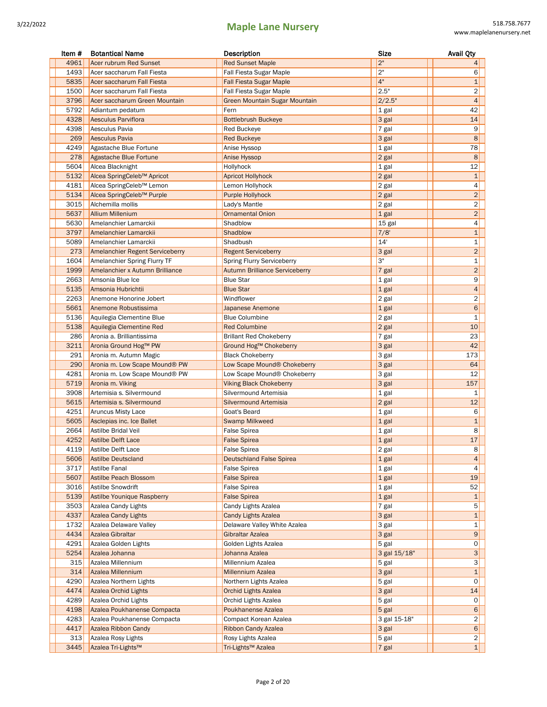| Item # | <b>Botantical Name</b>                 | Description                           | Size         | <b>Avail Qty</b>        |
|--------|----------------------------------------|---------------------------------------|--------------|-------------------------|
| 4961   | Acer rubrum Red Sunset                 | <b>Red Sunset Maple</b>               | 2"           | 4 <sup>1</sup>          |
| 1493   | Acer saccharum Fall Fiesta             | Fall Fiesta Sugar Maple               | 2"           | 6                       |
| 5835   | Acer saccharum Fall Fiesta             | <b>Fall Fiesta Sugar Maple</b>        | 4"           | $\mathbf{1}$            |
| 1500   | Acer saccharum Fall Fiesta             | Fall Fiesta Sugar Maple               | 2.5"         | $\overline{2}$          |
| 3796   | Acer saccharum Green Mountain          | Green Mountain Sugar Mountain         | 2/2.5"       | 4                       |
| 5792   | Adiantum pedatum                       | Fern                                  | 1 gal        | 42                      |
| 4328   | <b>Aesculus Parviflora</b>             | <b>Bottlebrush Buckeye</b>            | 3 gal        | 14                      |
| 4398   | Aesculus Pavia                         | <b>Red Buckeye</b>                    | 7 gal        | 9                       |
| 269    | Aesculus Pavia                         | <b>Red Buckeye</b>                    | 3 gal        | 8                       |
| 4249   | Agastache Blue Fortune                 | Anise Hyssop                          | 1 gal        | 78                      |
| 278    | Agastache Blue Fortune                 | Anise Hyssop                          | 2 gal        | 8                       |
| 5604   | Alcea Blacknight                       | Hollyhock                             | 1 gal        | 12                      |
| 5132   | Alcea SpringCeleb™ Apricot             | <b>Apricot Hollyhock</b>              | 2 gal        | $\mathbf{1}$            |
| 4181   | Alcea SpringCeleb™ Lemon               | Lemon Hollyhock                       | 2 gal        | 4                       |
| 5134   | Alcea SpringCeleb™ Purple              | <b>Purple Hollyhock</b>               | 2 gal        | $\overline{c}$          |
| 3015   | Alchemilla mollis                      | Lady's Mantle                         | 2 gal        | $\overline{\mathbf{c}}$ |
| 5637   | <b>Allium Millenium</b>                | <b>Ornamental Onion</b>               | 1 gal        | $\overline{2}$          |
| 5630   | Amelanchier Lamarckii                  | Shadblow                              | 15 gal       | 4                       |
| 3797   | Amelanchier Lamarckii                  | Shadblow                              | 7/8'         | $\mathbf 1$             |
| 5089   | Amelanchier Lamarckii                  | Shadbush                              | 14'          | 1                       |
| 273    | <b>Amelanchier Regent Serviceberry</b> | <b>Regent Serviceberry</b>            | 3 gal        | $\overline{c}$          |
| 1604   | Amelanchier Spring Flurry TF           | <b>Spring Flurry Serviceberry</b>     | З"           | $\mathbf{1}$            |
| 1999   | Amelanchier x Autumn Brilliance        | <b>Autumn Brilliance Serviceberry</b> | 7 gal        | $\overline{2}$          |
| 2663   | Amsonia Blue Ice                       | <b>Blue Star</b>                      | 1 gal        | 9                       |
| 5135   | Amsonia Hubrichtii                     | <b>Blue Star</b>                      | 1 gal        | $\overline{4}$          |
| 2263   | Anemone Honorine Jobert                | Windflower                            | 2 gal        | $\overline{\mathbf{c}}$ |
| 5661   | Anemone Robustissima                   | Japanese Anemone                      | 1 gal        | 6                       |
| 5136   | Aquilegia Clementine Blue              | <b>Blue Columbine</b>                 | 2 gal        | $\mathbf 1$             |
| 5138   | Aquilegia Clementine Red               | <b>Red Columbine</b>                  | $2$ gal      | 10                      |
| 286    | Aronia a. Brilliantissima              | <b>Brillant Red Chokeberry</b>        | 7 gal        | 23                      |
| 3211   | Aronia Ground Hog™ PW                  | Ground Hog™ Chokeberry                | 3 gal        | 42                      |
| 291    | Aronia m. Autumn Magic                 | <b>Black Chokeberry</b>               | 3 gal        | 173                     |
| 290    | Aronia m. Low Scape Mound® PW          | Low Scape Mound® Chokeberry           | 3 gal        | 64                      |
| 4281   | Aronia m. Low Scape Mound® PW          | Low Scape Mound® Chokeberry           | 3 gal        | 12                      |
| 5719   | Aronia m. Viking                       | <b>Viking Black Chokeberry</b>        | 3 gal        | 157                     |
| 3908   | Artemisia s. Silvermound               | Silvermound Artemisia                 | 1 gal        | 1                       |
| 5615   | Artemisia s. Silvermound               | Silvermound Artemisia                 | 2 gal        | 12                      |
| 4251   | Aruncus Misty Lace                     | Goat's Beard                          | 1 gal        | 6                       |
| 5605   | Asclepias inc. Ice Ballet              | <b>Swamp Milkweed</b>                 | 1 gal        | $\mathbf{1}$            |
| 2664   | Astilbe Bridal Veil                    | <b>False Spirea</b>                   | 1 gal        | 8                       |
| 4252   | Astilbe Delft Lace                     | <b>False Spirea</b>                   | $1$ gal      | 17                      |
|        | 4119 Astilbe Delft Lace                | <b>False Spirea</b>                   | 2 gal        | 8                       |
| 5606   | Astilbe Deutscland                     | <b>Deutschland False Spirea</b>       | 1 gal        | 4                       |
| 3717   | Astilbe Fanal                          | False Spirea                          | 1 gal        | 4                       |
| 5607   | Astilbe Peach Blossom                  | <b>False Spirea</b>                   | 1 gal        | 19                      |
| 3016   | Astilbe Snowdrift                      | False Spirea                          | 1 gal        | 52                      |
| 5139   | Astilbe Younique Raspberry             | <b>False Spirea</b>                   | 1 gal        | $\mathbf{1}$            |
| 3503   | Azalea Candy Lights                    | Candy Lights Azalea                   | 7 gal        | 5                       |
| 4337   | <b>Azalea Candy Lights</b>             | <b>Candy Lights Azalea</b>            | 3 gal        | 1                       |
| 1732   | Azalea Delaware Valley                 | Delaware Valley White Azalea          | 3 gal        | $\mathbf 1$             |
| 4434   | Azalea Gibraltar                       | Gibraltar Azalea                      | 3 gal        | 9                       |
| 4291   | Azalea Golden Lights                   | Golden Lights Azalea                  | 5 gal        | 0                       |
| 5254   | Azalea Johanna                         | Johanna Azalea                        | 3 gal 15/18" | 3                       |
| 315    | Azalea Millennium                      | Millennium Azalea                     | 5 gal        | 3                       |
| 314    | Azalea Millennium                      | <b>Millennium Azalea</b>              | 3 gal        | $\mathbf{1}$            |
| 4290   | Azalea Northern Lights                 | Northern Lights Azalea                | 5 gal        | 0                       |
| 4474   | <b>Azalea Orchid Lights</b>            | <b>Orchid Lights Azalea</b>           | 3 gal        | 14                      |
| 4289   | Azalea Orchid Lights                   | Orchid Lights Azalea                  | 5 gal        | 0                       |
| 4198   | Azalea Poukhanense Compacta            | Poukhanense Azalea                    | $5$ gal      | 6                       |
| 4283   | Azalea Poukhanense Compacta            | Compact Korean Azalea                 | 3 gal 15-18" | $\overline{2}$          |
| 4417   | Azalea Ribbon Candy                    | <b>Ribbon Candy Azalea</b>            | 3 gal        | 6                       |
| 313    | Azalea Rosy Lights                     | Rosy Lights Azalea                    | 5 gal        | $\vert$ 2               |
| 3445   | Azalea Tri-Lights™                     | Tri-Lights <sup>™</sup> Azalea        | $7$ gal      | 1                       |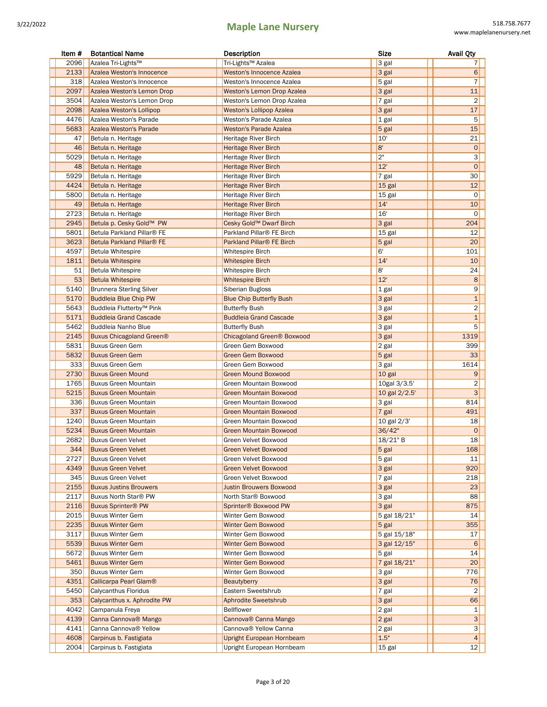| Item # | <b>Botantical Name</b>             | Description                            | <b>Size</b>   | <b>Avail Qty</b>    |
|--------|------------------------------------|----------------------------------------|---------------|---------------------|
| 2096   | Azalea Tri-Lights™                 | Tri-Lights™ Azalea                     | 3 gal         | 7                   |
| 2133   | Azalea Weston's Innocence          | Weston's Innocence Azalea              | 3 gal         | $6 \mid$            |
| 318    | Azalea Weston's Innocence          | Weston's Innocence Azalea              | 5 gal         | $\overline{7}$      |
| 2097   | Azalea Weston's Lemon Drop         | <b>Weston's Lemon Drop Azalea</b>      | 3 gal         | 11                  |
| 3504   | Azalea Weston's Lemon Drop         | Weston's Lemon Drop Azalea             | 7 gal         | $\overline{2}$      |
| 2098   | Azalea Weston's Lollipop           | <b>Weston's Lollipop Azalea</b>        | 3 gal         | 17                  |
| 4476   | Azalea Weston's Parade             | Weston's Parade Azalea                 | 1 gal         | 5                   |
| 5683   | Azalea Weston's Parade             | <b>Weston's Parade Azalea</b>          |               | 15                  |
|        |                                    |                                        | 5 gal<br>10'  |                     |
| 47     | Betula n. Heritage                 | Heritage River Birch                   | 8'            | 21                  |
| 46     | Betula n. Heritage                 | <b>Heritage River Birch</b>            | 2"            | $\mathsf{O}\xspace$ |
| 5029   | Betula n. Heritage                 | Heritage River Birch                   |               | 3                   |
| 48     | Betula n. Heritage                 | <b>Heritage River Birch</b>            | 12'           | $\mathbf 0$         |
| 5929   | Betula n. Heritage                 | Heritage River Birch                   | 7 gal         | 30                  |
| 4424   | Betula n. Heritage                 | Heritage River Birch                   | 15 gal        | 12                  |
| 5800   | Betula n. Heritage                 | Heritage River Birch                   | 15 gal        | 0                   |
| 49     | Betula n. Heritage                 | Heritage River Birch                   | 14'           | 10                  |
| 2723   | Betula n. Heritage                 | Heritage River Birch                   | 16'           | 0                   |
| 2945   | Betula p. Cesky Gold™ PW           | Cesky Gold™ Dwarf Birch                | 3 gal         | 204                 |
| 5801   | Betula Parkland Pillar® FE         | Parkland Pillar <sup>®</sup> FE Birch  | 15 gal        | 12                  |
| 3623   | Betula Parkland Pillar® FE         | Parkland Pillar® FE Birch              | 5 gal         | 20                  |
| 4597   | <b>Betula Whitespire</b>           | <b>Whitespire Birch</b>                | 6'            | 101                 |
| 1811   | <b>Betula Whitespire</b>           | <b>Whitespire Birch</b>                | 14'           | 10                  |
| 51     | <b>Betula Whitespire</b>           | Whitespire Birch                       | 8'            | 24                  |
| 53     | <b>Betula Whitespire</b>           | <b>Whitespire Birch</b>                | 12'           | 8                   |
| 5140   | <b>Brunnera Sterling Silver</b>    | Siberian Bugloss                       | 1 gal         | 9                   |
| 5170   | <b>Buddleia Blue Chip PW</b>       | <b>Blue Chip Butterfly Bush</b>        | 3 gal         | $\mathbf 1$         |
| 5643   | Buddleia Flutterby™ Pink           | <b>Butterfly Bush</b>                  | 3 gal         | 2                   |
| 5171   | <b>Buddleia Grand Cascade</b>      | <b>Buddleia Grand Cascade</b>          | 3 gal         | $\mathbf 1$         |
| 5462   | Buddleia Nanho Blue                | <b>Butterfly Bush</b>                  | 3 gal         | 5                   |
| 2145   | Buxus Chicagoland Green®           | Chicagoland Green <sup>®</sup> Boxwood | 3 gal         | 1319                |
| 5831   | <b>Buxus Green Gem</b>             | Green Gem Boxwood                      | 2 gal         | 399                 |
| 5832   | <b>Buxus Green Gem</b>             | Green Gem Boxwood                      | 5 gal         | 33                  |
| 333    | <b>Buxus Green Gem</b>             | Green Gem Boxwood                      | 3 gal         | 1614                |
| 2730   | <b>Buxus Green Mound</b>           | <b>Green Mound Boxwood</b>             | 10 gal        | 9                   |
| 1765   | <b>Buxus Green Mountain</b>        | Green Mountain Boxwood                 | 10gal 3/3.5'  | 2                   |
| 5215   | <b>Buxus Green Mountain</b>        | <b>Green Mountain Boxwood</b>          | 10 gal 2/2.5' | 3                   |
| 336    | <b>Buxus Green Mountain</b>        | Green Mountain Boxwood                 | 3 gal         | 814                 |
| 337    | <b>Buxus Green Mountain</b>        | <b>Green Mountain Boxwood</b>          | 7 gal         | 491                 |
| 1240   | <b>Buxus Green Mountain</b>        | Green Mountain Boxwood                 | 10 gal 2/3'   | 18                  |
| 5234   | <b>Buxus Green Mountain</b>        | <b>Green Mountain Boxwood</b>          | 36/42"        | $\mathbf 0$         |
| 2682   | <b>Buxus Green Velvet</b>          | Green Velvet Boxwood                   | 18/21" B      | 18                  |
| 344    | <b>Buxus Green Velvet</b>          | Green Velvet Boxwood                   | 5 gal         | 168                 |
| 2727   | <b>Buxus Green Velvet</b>          | Green Velvet Boxwood                   | 5 gal         | 11                  |
| 4349   | <b>Buxus Green Velvet</b>          | <b>Green Velvet Boxwood</b>            | 3 gal         | 920                 |
| 345    | <b>Buxus Green Velvet</b>          | Green Velvet Boxwood                   | 7 gal         | 218                 |
| 2155   | <b>Buxus Justins Brouwers</b>      | <b>Justin Brouwers Boxwood</b>         | 3 gal         | 23                  |
| 2117   | Buxus North Star® PW               | North Star® Boxwood                    | 3 gal         | 88                  |
| 2116   | <b>Buxus Sprinter® PW</b>          | Sprinter® Boxwood PW                   | 3 gal         | 875                 |
| 2015   | <b>Buxus Winter Gem</b>            | Winter Gem Boxwood                     | 5 gal 18/21"  | 14                  |
| 2235   | <b>Buxus Winter Gem</b>            | Winter Gem Boxwood                     | 5 gal         | 355                 |
| 3117   | <b>Buxus Winter Gem</b>            | Winter Gem Boxwood                     | 5 gal 15/18"  | 17                  |
| 5539   | <b>Buxus Winter Gem</b>            | Winter Gem Boxwood                     | 3 gal 12/15"  | 6                   |
| 5672   | <b>Buxus Winter Gem</b>            | Winter Gem Boxwood                     | 5 gal         | 14                  |
| 5461   | <b>Buxus Winter Gem</b>            | Winter Gem Boxwood                     | 7 gal 18/21"  | 20                  |
| 350    | <b>Buxus Winter Gem</b>            | Winter Gem Boxwood                     | 3 gal         | 776                 |
| 4351   | Callicarpa Pearl Glam <sup>®</sup> | <b>Beautyberry</b>                     | 3 gal         | 76                  |
| 5450   | Calycanthus Floridus               | Eastern Sweetshrub                     | 7 gal         | 2                   |
| 353    | Calycanthus x. Aphrodite PW        | <b>Aphrodite Sweetshrub</b>            | 3 gal         | 66                  |
| 4042   |                                    | <b>Bellflower</b>                      |               |                     |
|        | Campanula Freya                    |                                        | 2 gal         | 1<br>3              |
| 4139   | Canna Cannova <sup>®</sup> Mango   | Cannova® Canna Mango                   | 2 gal         |                     |
| 4141   | Canna Cannova® Yellow              | Cannova® Yellow Canna                  | 2 gal         | $\mathsf{3}$        |
| 4608   | Carpinus b. Fastigiata             | Upright European Hornbeam              | 1.5"          | 4                   |
| 2004   | Carpinus b. Fastigiata             | Upright European Hornbeam              | 15 gal        | 12                  |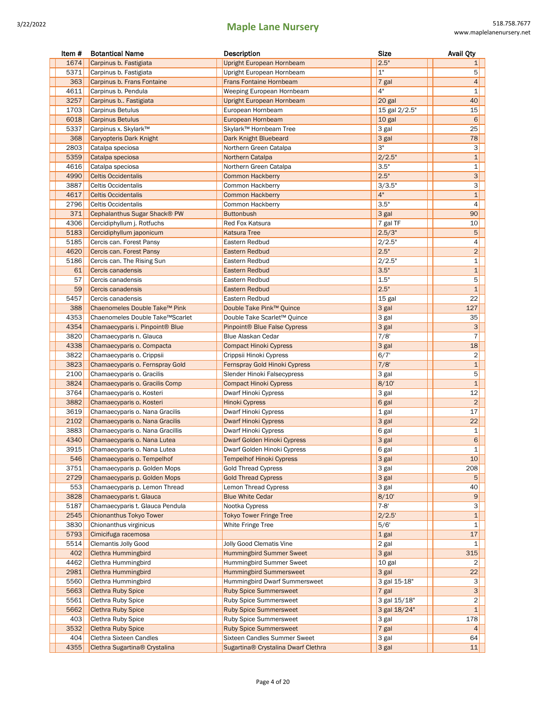| Item #      | <b>Botantical Name</b>                                   | Description                                                   | <b>Size</b>    | <b>Avail Qty</b>    |
|-------------|----------------------------------------------------------|---------------------------------------------------------------|----------------|---------------------|
| 1674        | Carpinus b. Fastigiata                                   | Upright European Hornbeam                                     | 2.5"           | 1                   |
| 5371        | Carpinus b. Fastigiata                                   | Upright European Hornbeam                                     | 1"             | 5                   |
| 363         | Carpinus b. Frans Fontaine                               | <b>Frans Fontaine Hornbeam</b>                                | 7 gal          | $\overline{4}$      |
| 4611        | Carpinus b. Pendula                                      | Weeping European Hornbeam                                     | 4"             | $\mathbf 1$         |
| 3257        | Carpinus b Fastigiata                                    | Upright European Hornbeam                                     | 20 gal         | 40                  |
| 1703        | Carpinus Betulus                                         | European Hornbeam                                             | 15 gal 2/2.5"  | 15                  |
| 6018        | <b>Carpinus Betulus</b>                                  | European Hornbeam                                             | 10 gal         | 6                   |
| 5337        | Carpinus x. Skylark™                                     | Skylark™ Hornbeam Tree                                        | 3 gal          | 25                  |
| 368         | <b>Caryopteris Dark Knight</b>                           | Dark Knight Bluebeard                                         | 3 gal          | 78                  |
| 2803        | Catalpa speciosa                                         | Northern Green Catalpa                                        | 3"             | 3                   |
| 5359        | Catalpa speciosa                                         | Northern Catalpa                                              | 2/2.5"         | $\mathbf 1$         |
| 4616        | Catalpa speciosa                                         | Northern Green Catalpa                                        | 3.5"           | 1                   |
| 4990        | <b>Celtis Occidentalis</b>                               | <b>Common Hackberry</b>                                       | 2.5"           | 3                   |
| 3887        | <b>Celtis Occidentalis</b>                               | Common Hackberry                                              | 3/3.5"         | 3                   |
| 4617        | <b>Celtis Occidentalis</b>                               | <b>Common Hackberry</b>                                       | 4"             | $\mathbf{1}$        |
| 2796        | <b>Celtis Occidentalis</b>                               | Common Hackberry                                              | 3.5"           | $\overline{4}$      |
| 371         | Cephalanthus Sugar Shack® PW                             | <b>Buttonbush</b>                                             | 3 gal          | 90                  |
| 4306        | Cercidiphyllum j. Rotfuchs                               | Red Fox Katsura                                               | 7 gal TF       | 10                  |
| 5183        | Cercidiphyllum japonicum                                 | <b>Katsura Tree</b>                                           | 2.5/3"         | $\sqrt{5}$          |
| 5185        | Cercis can. Forest Pansy                                 | Eastern Redbud                                                | 2/2.5"         | 4                   |
| 4620        | Cercis can. Forest Pansy                                 | <b>Eastern Redbud</b>                                         | 2.5"           | $\overline{2}$      |
| 5186        | Cercis can. The Rising Sun                               | Eastern Redbud                                                | 2/2.5"         | 1                   |
| 61          | Cercis canadensis                                        | Eastern Redbud                                                | 3.5"           | $\mathbf 1$         |
| 57          | Cercis canadensis                                        | Eastern Redbud                                                | 1.5"           | 5                   |
| 59          | Cercis canadensis                                        | Eastern Redbud                                                | 2.5"           | $\mathbf{1}$        |
| 5457        | Cercis canadensis                                        | Eastern Redbud                                                | 15 gal         | 22                  |
| 388         | Chaenomeles Double Take™ Pink                            | Double Take Pink™ Quince                                      | 3 gal          | 127                 |
| 4353        | Chaenomeles Double Take™Scarlet                          | Double Take Scarlet™ Quince                                   | 3 gal          | 35                  |
| 4354        | Chamaecyparis i. Pinpoint <sup>®</sup> Blue              | Pinpoint <sup>®</sup> Blue False Cypress                      | 3 gal          | 3                   |
| 3820        | Chamaecyparis n. Glauca                                  | <b>Blue Alaskan Cedar</b>                                     | 7/8'           | $\overline{7}$      |
| 4338        | Chamaecyparis o. Compacta                                | <b>Compact Hinoki Cypress</b>                                 | 3 gal          | 18                  |
| 3822        | Chamaecyparis o. Crippsii                                | Crippsii Hinoki Cypress                                       | 6/7'           | 2                   |
| 3823        | Chamaecyparis o. Fernspray Gold                          | Fernspray Gold Hinoki Cypress                                 | 7/8'           | $\mathbf 1$         |
| 2100        | Chamaecyparis o. Gracilis                                | Slender Hinoki Falsecypress                                   | 3 gal          | 5                   |
| 3824        | Chamaecyparis o. Gracilis Comp                           | Compact Hinoki Cypress                                        | 8/10           | $\mathbf{1}$        |
| 3764        | Chamaecyparis o. Kosteri                                 | Dwarf Hinoki Cypress                                          | 3 gal          | 12                  |
| 3882        | Chamaecyparis o. Kosteri                                 | <b>Hinoki Cypress</b>                                         | 6 gal          | $\overline{2}$      |
| 3619        | Chamaecyparis o. Nana Gracilis                           | Dwarf Hinoki Cypress                                          | 1 gal          | 17                  |
| 2102        | Chamaecyparis o. Nana Gracilis                           | Dwarf Hinoki Cypress                                          | 3 gal          | 22                  |
| 3883        | Chamaecyparis o. Nana Gracillis                          | Dwarf Hinoki Cypress                                          | 6 gal          | 1                   |
| 4340        | Chamaecyparis o. Nana Lutea                              | Dwarf Golden Hinoki Cypress                                   | 3 gal          | 6                   |
| 3915        | Chamaecyparis o. Nana Lutea                              | Dwarf Golden Hinoki Cypress                                   | 6 gal          | 1                   |
| 546         | Chamaecyparis o. Tempelhof                               | <b>Tempelhof Hinoki Cypress</b>                               | 3 gal          | 10                  |
| 3751        | Chamaecyparis p. Golden Mops                             | <b>Gold Thread Cypress</b>                                    | 3 gal          | 208                 |
| 2729        | Chamaecyparis p. Golden Mops                             | <b>Gold Thread Cypress</b>                                    | 3 gal          | 5                   |
| 553         | Chamaecyparis p. Lemon Thread                            | <b>Lemon Thread Cypress</b>                                   | 3 gal          | 40                  |
| 3828        | Chamaecyparis t. Glauca                                  | <b>Blue White Cedar</b>                                       | 8/10'          | 9                   |
| 5187        | Chamaecyparis t. Glauca Pendula                          | Nootka Cypress                                                | $7 - 8'$       | 3                   |
| 2545        | Chionanthus Tokyo Tower                                  | <b>Tokyo Tower Fringe Tree</b>                                | 2/2.5'         | $\mathbf 1$         |
| 3830        | Chionanthus virginicus                                   | White Fringe Tree                                             | 5/6'           | 1<br>17             |
| 5793        | Cimicifuga racemosa                                      |                                                               | 1 gal          |                     |
| 5514        | <b>Clemantis Jolly Good</b>                              | Jolly Good Clematis Vine                                      | 2 gal          | 1                   |
| 402         | Clethra Hummingbird                                      | <b>Hummingbird Summer Sweet</b>                               | 3 gal          | 315                 |
| 4462        | Clethra Hummingbird                                      | Hummingbird Summer Sweet                                      | 10 gal         | 2                   |
| 2981        | Clethra Hummingbird                                      | <b>Hummingbird Summersweet</b>                                | 3 gal          | 22                  |
| 5560        | Clethra Hummingbird                                      | Hummingbird Dwarf Summersweet                                 | 3 gal 15-18"   | 3                   |
| 5663        | <b>Clethra Ruby Spice</b>                                | <b>Ruby Spice Summersweet</b>                                 | 7 gal          | 3                   |
| 5561        | Clethra Ruby Spice                                       | Ruby Spice Summersweet                                        | 3 gal 15/18"   | 2<br>$\overline{1}$ |
| 5662        | <b>Clethra Ruby Spice</b>                                | <b>Ruby Spice Summersweet</b>                                 | 3 gal 18/24"   |                     |
| 403         | Clethra Ruby Spice                                       | Ruby Spice Summersweet                                        | 3 gal          | 178                 |
| 3532<br>404 | <b>Clethra Ruby Spice</b>                                | <b>Ruby Spice Summersweet</b><br>Sixteen Candles Summer Sweet | 7 gal          | 4                   |
| 4355        | Clethra Sixteen Candles<br>Clethra Sugartina® Crystalina | Sugartina® Crystalina Dwarf Clethra                           | 3 gal<br>3 gal | 64<br>11            |
|             |                                                          |                                                               |                |                     |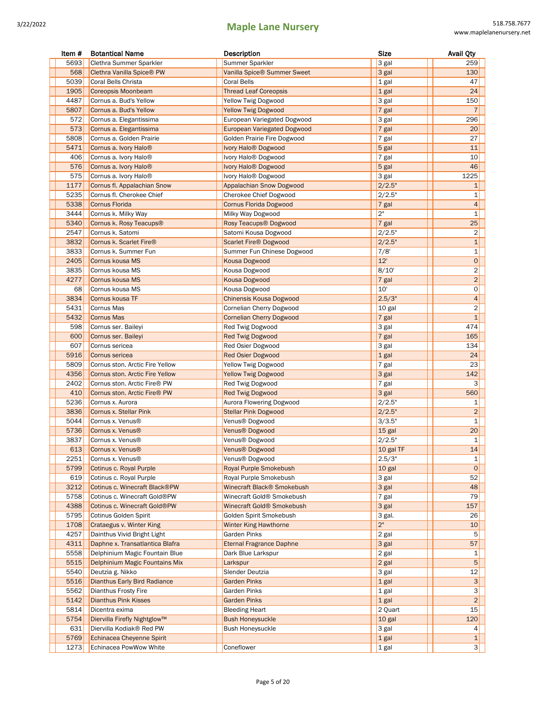| Item # | <b>Botantical Name</b>            | Description                           | <b>Size</b> | <b>Avail Qty</b>        |
|--------|-----------------------------------|---------------------------------------|-------------|-------------------------|
| 5693   | Clethra Summer Sparkler           | Summer Sparkler                       | 3 gal       | 259                     |
| 568    | Clethra Vanilla Spice® PW         | Vanilla Spice® Summer Sweet           | 3 gal       | 130                     |
| 5039   | Coral Bells Christa               | <b>Coral Bells</b>                    | 1 gal       | 47                      |
| 1905   | <b>Coreopsis Moonbeam</b>         | <b>Thread Leaf Coreopsis</b>          | $1$ gal     | 24                      |
| 4487   | Cornus a. Bud's Yellow            | Yellow Twig Dogwood                   | 3 gal       | 150                     |
| 5807   | Cornus a. Bud's Yellow            | <b>Yellow Twig Dogwood</b>            | $7$ gal     | $\overline{7}$          |
| 572    | Cornus a. Elegantissima           | European Variegated Dogwood           | 3 gal       | 296                     |
| 573    | Cornus a. Elegantissima           | <b>European Variegated Dogwood</b>    | 7 gal       | 20                      |
| 5808   | Cornus a. Golden Prairie          | Golden Prairie Fire Dogwood           | 7 gal       | 27                      |
| 5471   | Cornus a. Ivory Halo <sup>®</sup> | Ivory Halo <sup>®</sup> Dogwood       | 5 gal       | 11                      |
| 406    | Cornus a. Ivory Halo <sup>®</sup> | Ivory Halo <sup>®</sup> Dogwood       | 7 gal       | 10                      |
| 576    | Cornus a. Ivory Halo <sup>®</sup> | Ivory Halo <sup>®</sup> Dogwood       | 5 gal       | 46                      |
| 575    | Cornus a. Ivory Halo <sup>®</sup> | Ivory Halo <sup>®</sup> Dogwood       | 3 gal       | 1225                    |
| 1177   | Cornus fl. Appalachian Snow       | Appalachian Snow Dogwood              | 2/2.5"      | $\mathbf{1}$            |
| 5235   | Cornus fl. Cherokee Chief         | Cherokee Chief Dogwood                | 2/2.5"      | 1                       |
| 5338   | Cornus Florida                    | <b>Cornus Florida Dogwood</b>         | 7 gal       | $\overline{4}$          |
| 3444   | Cornus k. Milky Way               | Milky Way Dogwood                     | 2"          | 1                       |
| 5340   | Cornus k. Rosy Teacups®           | Rosy Teacups <sup>®</sup> Dogwood     | 7 gal       | 25                      |
| 2547   | Cornus k. Satomi                  | Satomi Kousa Dogwood                  | 2/2.5"      | $\overline{\mathbf{c}}$ |
| 3832   | Cornus k. Scarlet Fire®           | <b>Scarlet Fire® Dogwood</b>          | 2/2.5"      | $\mathbf{1}$            |
| 3833   | Cornus k. Summer Fun              | Summer Fun Chinese Dogwood            | 7/8         | 1                       |
| 2405   | Cornus kousa MS                   | <b>Kousa Dogwood</b>                  | 12'         | $\circ$                 |
| 3835   | Cornus kousa MS                   | Kousa Dogwood                         | 8/10'       | 2                       |
| 4277   | Cornus kousa MS                   | <b>Kousa Dogwood</b>                  | 7 gal       | $\overline{2}$          |
| 68     | Cornus kousa MS                   | Kousa Dogwood                         | 10'         | 0                       |
| 3834   | Cornus kousa TF                   | Chinensis Kousa Dogwood               | 2.5/3"      | $\overline{a}$          |
| 5431   | Cornus Mas                        | Cornelian Cherry Dogwood              | 10 gal      | $\overline{c}$          |
| 5432   | <b>Cornus Mas</b>                 | <b>Cornelian Cherry Dogwood</b>       | 7 gal       | $\mathbf{1}$            |
| 598    | Cornus ser. Baileyi               | Red Twig Dogwood                      | 3 gal       | 474                     |
| 600    | Cornus ser. Baileyi               | <b>Red Twig Dogwood</b>               | $7$ gal     | 165                     |
| 607    | Cornus sericea                    | Red Osier Dogwood                     | 3 gal       | 134                     |
| 5916   | Cornus sericea                    | <b>Red Osier Dogwood</b>              | 1 gal       | 24                      |
| 5809   | Cornus ston. Arctic Fire Yellow   | <b>Yellow Twig Dogwood</b>            | $7$ gal     | 23                      |
| 4356   | Cornus ston. Arctic Fire Yellow   | <b>Yellow Twig Dogwood</b>            | 3 gal       | 142                     |
| 2402   | Cornus ston. Arctic Fire® PW      | Red Twig Dogwood                      | $7$ gal     | 3                       |
| 410    | Cornus ston. Arctic Fire® PW      | <b>Red Twig Dogwood</b>               | 3 gal       | 560                     |
| 5236   | Cornus x. Aurora                  | Aurora Flowering Dogwood              | 2/2.5"      | 1                       |
| 3836   | Cornus x. Stellar Pink            | <b>Stellar Pink Dogwood</b>           | 2/2.5"      | $\overline{2}$          |
| 5044   | Cornus x. Venus <sup>®</sup>      | Venus® Dogwood                        | 3/3.5"      | 1                       |
| 5736   | Cornus x. Venus®                  | Venus® Dogwood                        | 15 gal      | 20                      |
| 3837   | Cornus x. Venus®                  | Venus® Dogwood                        | 2/2.5"      | $\mathbf{1}$            |
| 613    | Cornus x. Venus <sup>®</sup>      | Venus® Dogwood                        | 10 gal TF   | 14                      |
| 2251   | Cornus x. Venus <sup>®</sup>      | Venus® Dogwood                        | 2.5/3"      | 1                       |
| 5799   | Cotinus c. Royal Purple           | Royal Purple Smokebush                | 10 gal      | $\mathbf 0$             |
| 619    | Cotinus c. Royal Purple           | Royal Purple Smokebush                | 3 gal       | 52                      |
| 3212   | Cotinus c. Winecraft Black®PW     | Winecraft Black® Smokebush            | 3 gal       | 48                      |
| 5758   | Cotinus c. Winecraft Gold®PW      | Winecraft Gold® Smokebush             | $7$ gal     | 79                      |
| 4388   | Cotinus c. Winecraft Gold®PW      | Winecraft Gold <sup>®</sup> Smokebush | 3 gal       | 157                     |
| 5795   | Cotinus Golden Spirit             | Golden Spirit Smokebush               | 3 gal.      | 26                      |
| 1708   | Crataegus v. Winter King          | <b>Winter King Hawthorne</b>          | 2"          | 10                      |
| 4257   | Dainthus Vivid Bright Light       | Garden Pinks                          | 2 gal       | 5                       |
| 4311   | Daphne x. Transatlantica Blafra   | <b>Eternal Fragrance Daphne</b>       | 3 gal       | 57                      |
| 5558   | Delphinium Magic Fountain Blue    | Dark Blue Larkspur                    | 2 gal       | 1                       |
| 5515   | Delphinium Magic Fountains Mix    | Larkspur                              | 2 gal       | 5                       |
| 5540   | Deutzia g. Nikko                  | Slender Deutzia                       | 3 gal       | 12                      |
| 5516   | Dianthus Early Bird Radiance      | <b>Garden Pinks</b>                   | 1 gal       | 3                       |
| 5562   | Dianthus Frosty Fire              | Garden Pinks                          | 1 gal       | 3                       |
| 5142   | <b>Dianthus Pink Kisses</b>       | <b>Garden Pinks</b>                   | $1$ gal     | $\overline{2}$          |
| 5814   | Dicentra exima                    | <b>Bleeding Heart</b>                 | 2 Quart     | 15                      |
| 5754   | Diervilla Firefly Nightglow™      | <b>Bush Honeysuckle</b>               | 10 gal      | 120                     |
| 631    | Diervilla Kodiak® Red PW          | <b>Bush Honeysuckle</b>               | 3 gal       | 4                       |
| 5769   | Echinacea Cheyenne Spirit         |                                       | 1 gal       | $\mathbf{1}$            |
| 1273   | Echinacea PowWow White            | Coneflower                            | 1 gal       | 3                       |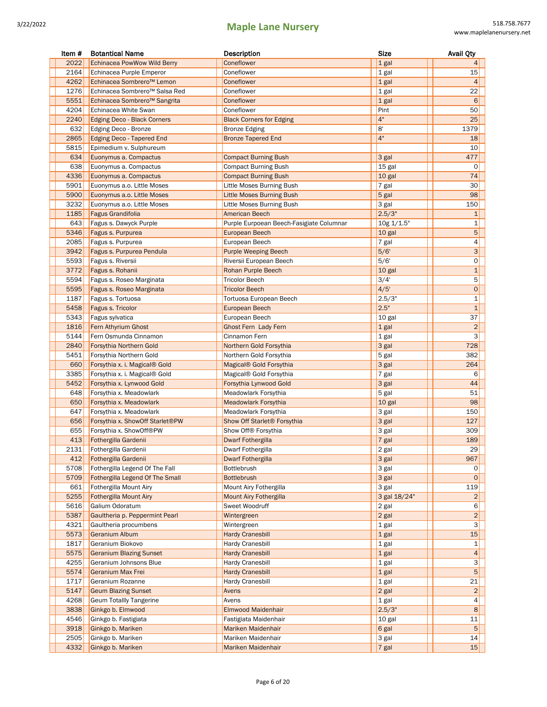| Item # | <b>Botantical Name</b>             | Description                              | <b>Size</b>  | <b>Avail Qty</b>        |
|--------|------------------------------------|------------------------------------------|--------------|-------------------------|
| 2022   | <b>Echinacea PowWow Wild Berry</b> | Coneflower                               | 1 gal        | 4                       |
| 2164   | Echinacea Purple Emperor           | Coneflower                               | 1 gal        | 15                      |
| 4262   | Echinacea Sombrero™ Lemon          | Coneflower                               | 1 gal        | $\overline{4}$          |
| 1276   | Echinacea Sombrero™ Salsa Red      | Coneflower                               | 1 gal        | 22                      |
| 5551   | Echinacea Sombrero™ Sangrita       | Coneflower                               | 1 gal        | 6                       |
| 4204   | Echinacea White Swan               | Coneflower                               | Pint         | 50                      |
| 2240   | Edging Deco - Black Corners        | <b>Black Corners for Edging</b>          | 4"           | 25                      |
| 632    | Edging Deco - Bronze               | <b>Bronze Edging</b>                     | 8'           | 1379                    |
| 2865   | <b>Edging Deco - Tapered End</b>   | <b>Bronze Tapered End</b>                | 4"           | 18                      |
| 5815   | Epimedium v. Sulphureum            |                                          |              | 10                      |
| 634    | Euonymus a. Compactus              | <b>Compact Burning Bush</b>              | 3 gal        | 477                     |
| 638    | Euonymus a. Compactus              | <b>Compact Burning Bush</b>              | 15 gal       | 0                       |
| 4336   | Euonymus a. Compactus              | <b>Compact Burning Bush</b>              | 10 gal       | 74                      |
| 5901   | Euonymus a.o. Little Moses         | Little Moses Burning Bush                | 7 gal        | 30                      |
| 5900   | Euonymus a.o. Little Moses         | <b>Little Moses Burning Bush</b>         | 5 gal        | 98                      |
| 3232   | Euonymus a.o. Little Moses         | Little Moses Burning Bush                | 3 gal        | 150                     |
| 1185   | <b>Fagus Grandifolia</b>           | <b>American Beech</b>                    | 2.5/3"       | $\mathbf{1}$            |
| 643    | Fagus s. Dawyck Purple             | Purple Eurpoean Beech-Fasigiate Columnar | 10g 1/1.5"   | 1                       |
| 5346   | Fagus s. Purpurea                  | <b>European Beech</b>                    | 10 gal       | 5                       |
| 2085   | Fagus s. Purpurea                  | European Beech                           | 7 gal        | 4                       |
| 3942   | Fagus s. Purpurea Pendula          | <b>Purple Weeping Beech</b>              | 5/6'         | 3                       |
| 5593   | Fagus s. Riversii                  | Riversii European Beech                  | 5/6'         | 0                       |
| 3772   | Fagus s. Rohanii                   | Rohan Purple Beech                       | 10 gal       | $\mathbf{1}$            |
| 5594   | Fagus s. Roseo Marginata           | <b>Tricolor Beech</b>                    | 3/4'         | 5                       |
| 5595   | Fagus s. Roseo Marginata           | <b>Tricolor Beech</b>                    | 4/5'         | $\circ$                 |
| 1187   | Fagus s. Tortuosa                  | Tortuosa European Beech                  | 2.5/3"       | 1                       |
| 5458   | Fagus s. Tricolor                  | <b>European Beech</b>                    | 2.5"         | $\mathbf{1}$            |
| 5343   | Fagus sylvatica                    | European Beech                           | 10 gal       | 37                      |
| 1816   | Fern Athyrium Ghost                | Ghost Fern Lady Fern                     | $1$ gal      | $\overline{2}$          |
| 5144   | Fern Osmunda Cinnamon              | Cinnamon Fern                            | 1 gal        | 3                       |
| 2840   | Forsythia Northern Gold            | Northern Gold Forsythia                  | 3 gal        | 728                     |
| 5451   | Forsythia Northern Gold            | Northern Gold Forsythia                  | 5 gal        | 382                     |
| 660    | Forsythia x. i. Magical® Gold      | Magical® Gold Forsythia                  | 3 gal        | 264                     |
| 3385   | Forsythia x. i. Magical® Gold      | Magical <sup>®</sup> Gold Forsythia      | $7$ gal      | 6                       |
| 5452   | Forsythia x. Lynwood Gold          | Forsythia Lynwood Gold                   | 3 gal        | 44                      |
| 648    | Forsythia x. Meadowlark            | Meadowlark Forsythia                     | 5 gal        | 51                      |
| 650    | Forsythia x. Meadowlark            | <b>Meadowlark Forsythia</b>              | 10 gal       | 98                      |
| 647    | Forsythia x. Meadowlark            | Meadowlark Forsythia                     | 3 gal        | 150                     |
| 656    | Forsythia x. ShowOff Starlet®PW    | Show Off Starlet <sup>®</sup> Forsythia  | 3 gal        | 127                     |
| 655    | Forsythia x. ShowOff®PW            | Show Off® Forsythia                      | 3 gal        | 309                     |
| 413    | Fothergilla Gardenii               | <b>Dwarf Fothergilla</b>                 | 7 gal        | 189                     |
| 2131   | Fothergilla Gardenii               | Dwarf Fothergilla                        | 2 gal        | 29                      |
| 412    | Fothergilla Gardenii               | <b>Dwarf Fothergilla</b>                 | 3 gal        | 967                     |
| 5708   | Fothergilla Legend Of The Fall     | Bottlebrush                              | 3 gal        | 0                       |
| 5709   | Fothergilla Legend Of The Small    | <b>Bottlebrush</b>                       | 3 gal        | $\mathsf{O}$            |
| 661    | Fothergilla Mount Airy             | Mount Airy Fothergilla                   | 3 gal        | 119                     |
| 5255   | <b>Fothergilla Mount Airy</b>      | Mount Airy Fothergilla                   | 3 gal 18/24" | $\overline{\mathbf{c}}$ |
| 5616   | Galium Odoratum                    | Sweet Woodruff                           | 2 gal        | 6                       |
| 5387   | Gaultheria p. Peppermint Pearl     | Wintergreen                              | 2 gal        | $\overline{c}$          |
| 4321   | Gaultheria procumbens              | Wintergreen                              | $1$ gal      | 3                       |
| 5573   | Geranium Album                     | <b>Hardy Cranesbill</b>                  | 1 gal        | 15                      |
| 1817   | Geranium Biokovo                   | <b>Hardy Cranesbill</b>                  | $1$ gal      | 1                       |
| 5575   | <b>Geranium Blazing Sunset</b>     | <b>Hardy Cranesbill</b>                  | $1$ gal      | 4                       |
| 4255   | Geranium Johnsons Blue             | <b>Hardy Cranesbill</b>                  | 1 gal        | 3                       |
| 5574   | Geranium Max Frei                  | <b>Hardy Cranesbill</b>                  | 1 gal        | 5                       |
| 1717   | Geranium Rozanne                   | <b>Hardy Cranesbill</b>                  | $1$ gal      | 21                      |
| 5147   | <b>Geum Blazing Sunset</b>         | Avens                                    | $2$ gal      | $\overline{c}$          |
| 4268   | <b>Geum Totallly Tangerine</b>     | Avens                                    | $1$ gal      | 4                       |
| 3838   | Ginkgo b. Elmwood                  | Elmwood Maidenhair                       | 2.5/3"       | 8                       |
| 4546   | Ginkgo b. Fastigiata               | Fastigiata Maidenhair                    | 10 gal       | 11                      |
| 3918   | Ginkgo b. Mariken                  | Mariken Maidenhair                       | 6 gal        | 5                       |
| 2505   | Ginkgo b. Mariken                  | Mariken Maidenhair                       | 3 gal        | 14                      |
| 4332   | Ginkgo b. Mariken                  | Mariken Maidenhair                       | $7$ gal      | 15                      |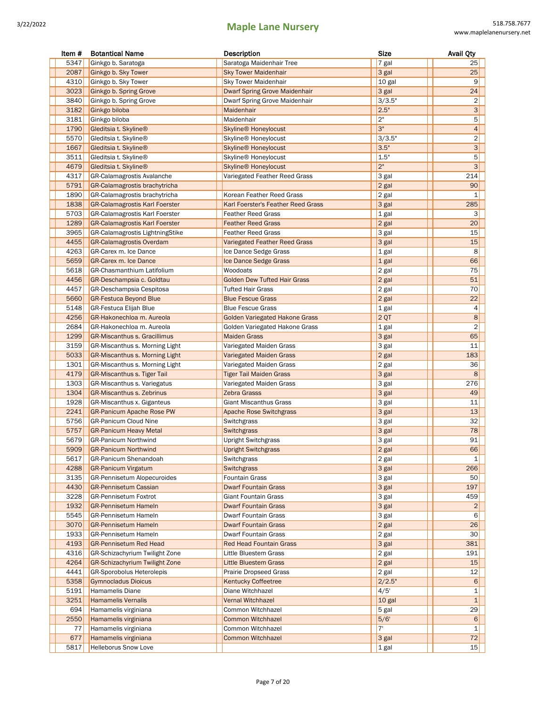| Item # | <b>Botantical Name</b>                | Description                            | <b>Size</b> | <b>Avail Qty</b>        |
|--------|---------------------------------------|----------------------------------------|-------------|-------------------------|
| 5347   | Ginkgo b. Saratoga                    | Saratoga Maidenhair Tree               | 7 gal       | 25                      |
| 2087   | Ginkgo b. Sky Tower                   | <b>Sky Tower Maidenhair</b>            | 3 gal       | 25                      |
| 4310   | Ginkgo b. Sky Tower                   | <b>Sky Tower Maidenhair</b>            | 10 gal      | 9                       |
| 3023   | Ginkgo b. Spring Grove                | <b>Dwarf Spring Grove Maidenhair</b>   | 3 gal       | 24                      |
| 3840   | Ginkgo b. Spring Grove                | Dwarf Spring Grove Maidenhair          | 3/3.5"      | 2                       |
| 3182   | Ginkgo biloba                         | Maidenhair                             | 2.5"        | 3                       |
| 3181   | Ginkgo biloba                         | Maidenhair                             | 2"          | 5                       |
| 1790   | Gleditsia t. Skyline®                 | <b>Skyline<sup>®</sup></b> Honeylocust | 3"          | 4                       |
| 5570   | Gleditsia t. Skyline®                 | Skyline® Honeylocust                   | 3/3.5"      | $\overline{c}$          |
| 1667   | Gleditsia t. Skyline®                 | Skyline <sup>®</sup> Honeylocust       | 3.5"        | 3                       |
| 3511   | Gleditsia t. Skyline®                 | Skyline® Honeylocust                   | 1.5"        | 5                       |
| 4679   | Gleditsia t. Skyline®                 | <b>Skyline<sup>®</sup></b> Honeylocust | 2"          | 3                       |
| 4317   | GR-Calamagrostis Avalanche            | Variegated Feather Reed Grass          | 3 gal       | 214                     |
| 5791   | GR-Calamagrostis brachytricha         |                                        | 2 gal       | 90                      |
| 1890   | GR-Calamagrostis brachytricha         | Korean Feather Reed Grass              | 2 gal       | 1                       |
| 1838   | <b>GR-Calamagrostis Karl Foerster</b> | Karl Foerster's Feather Reed Grass     | 3 gal       | 285                     |
| 5703   | <b>GR-Calamagrostis Karl Foerster</b> | <b>Feather Reed Grass</b>              | 1 gal       | 3                       |
| 1289   | <b>GR-Calamagrostis Karl Foerster</b> | <b>Feather Reed Grass</b>              | 2 gal       | 20                      |
| 3965   | GR-Calamagrostis LightningStike       | <b>Feather Reed Grass</b>              | 3 gal       | 15                      |
| 4455   | <b>GR-Calamagrostis Overdam</b>       | Variegated Feather Reed Grass          | 3 gal       | 15                      |
| 4263   | GR-Carex m. Ice Dance                 | Ice Dance Sedge Grass                  | $1$ gal     | 8                       |
| 5659   | GR-Carex m. Ice Dance                 | Ice Dance Sedge Grass                  | 1 gal       | 66                      |
| 5618   | <b>GR-Chasmanthium Latifolium</b>     | Woodoats                               | 2 gal       | 75                      |
| 4456   | GR-Deschampsia c. Goldtau             | <b>Golden Dew Tufted Hair Grass</b>    | 2 gal       | 51                      |
| 4457   | GR-Deschampsia Cespitosa              | Tufted Hair Grass                      | 2 gal       | 70                      |
| 5660   | <b>GR-Festuca Beyond Blue</b>         | <b>Blue Fescue Grass</b>               | 2 gal       | 22                      |
| 5148   | <b>GR-Festuca Elijah Blue</b>         | <b>Blue Fescue Grass</b>               | 1 gal       | 4                       |
| 4256   | GR-Hakonechloa m. Aureola             | Golden Variegated Hakone Grass         | 2QT         | $\bf 8$                 |
| 2684   | GR-Hakonechloa m. Aureola             | Golden Variegated Hakone Grass         | 1 gal       | $\overline{2}$          |
| 1299   | <b>GR-Miscanthus s. Gracillimus</b>   | <b>Maiden Grass</b>                    | 3 gal       | 65                      |
| 3159   | GR-Miscanthus s. Morning Light        | Variegated Maiden Grass                | 3 gal       | 11                      |
| 5033   | <b>GR-Miscanthus s. Morning Light</b> | <b>Variegated Maiden Grass</b>         | 2 gal       | 183                     |
| 1301   | GR-Miscanthus s. Morning Light        | Variegated Maiden Grass                | 2 gal       | 36                      |
| 4179   | <b>GR-Miscanthus s. Tiger Tail</b>    | <b>Tiger Tail Maiden Grass</b>         | 3 gal       | 8                       |
| 1303   | <b>GR-Miscanthus s. Variegatus</b>    | Variegated Maiden Grass                | 3 gal       | 276                     |
| 1304   | <b>GR-Miscanthus s. Zebrinus</b>      | <b>Zebra Grasss</b>                    | 3 gal       | 49                      |
| 1928   | GR-Miscanthus x. Giganteus            | <b>Giant Miscanthus Grass</b>          | 3 gal       | 11                      |
| 2241   | <b>GR-Panicum Apache Rose PW</b>      | <b>Apache Rose Switchgrass</b>         | 3 gal       | 13                      |
| 5756   | <b>GR-Panicum Cloud Nine</b>          | Switchgrass                            | 3 gal       | 32                      |
| 5757   | <b>GR-Panicum Heavy Metal</b>         | Switchgrass                            | 3 gal       | 78                      |
| 5679   | <b>GR-Panicum Northwind</b>           | <b>Upright Switchgrass</b>             | 3 gal       | 91                      |
| 5909   | <b>GR-Panicum Northwind</b>           | Upright Switchgrass                    | 2 gal       | 66                      |
| 5617   | GR-Panicum Shenandoah                 | Switchgrass                            | 2 gal       | 1                       |
| 4288   | <b>GR-Panicum Virgatum</b>            | <b>Switchgrass</b>                     | 3 gal       | 266                     |
| 3135   | <b>GR-Pennisetum Alopecuroides</b>    | <b>Fountain Grass</b>                  | 3 gal       | 50                      |
| 4430   | <b>GR-Pennisetum Cassian</b>          | <b>Dwarf Fountain Grass</b>            | 3 gal       | 197                     |
| 3228   | GR-Pennisetum Foxtrot                 | Giant Fountain Grass                   | 3 gal       | 459                     |
| 1932   | <b>GR-Pennisetum Hameln</b>           | <b>Dwarf Fountain Grass</b>            | 3 gal       | $\overline{\mathbf{c}}$ |
| 5545   | GR-Pennisetum Hameln                  | Dwarf Fountain Grass                   | 3 gal       | 6                       |
| 3070   | <b>GR-Pennisetum Hameln</b>           | <b>Dwarf Fountain Grass</b>            | 2 gal       | 26                      |
| 1933   | GR-Pennisetum Hameln                  | <b>Dwarf Fountain Grass</b>            | 2 gal       | 30                      |
| 4193   | <b>GR-Pennisetum Red Head</b>         | <b>Red Head Fountain Grass</b>         | 3 gal       | 381                     |
| 4316   | GR-Schizachyrium Twilight Zone        | Little Bluestem Grass                  | 2 gal       | 191                     |
| 4264   | <b>GR-Schizachyrium Twilight Zone</b> | <b>Little Bluestem Grass</b>           | 2 gal       | 15                      |
| 4441   | GR-Sporobolus Heterolepis             | <b>Prairie Dropseed Grass</b>          | 2 gal       | 12                      |
| 5358   | <b>Gymnocladus Dioicus</b>            | <b>Kentucky Coffeetree</b>             | 2/2.5"      | 6                       |
| 5191   | Hamamelis Diane                       | Diane Witchhazel                       | 4/5'        | 1                       |
| 3251   | <b>Hamamelis Vernalis</b>             | <b>Vernal Witchhazel</b>               | 10 gal      | 1                       |
| 694    | Hamamelis virginiana                  | Common Witchhazel                      | 5 gal       | 29                      |
| 2550   | Hamamelis virginiana                  | <b>Common Witchhazel</b>               | 5/6'        | 6                       |
| 77     | Hamamelis virginiana                  | Common Witchhazel                      | 7'          | 1                       |
| 677    | Hamamelis virginiana                  | <b>Common Witchhazel</b>               | 3 gal       | 72                      |
| 5817   | Helleborus Snow Love                  |                                        | 1 gal       | 15                      |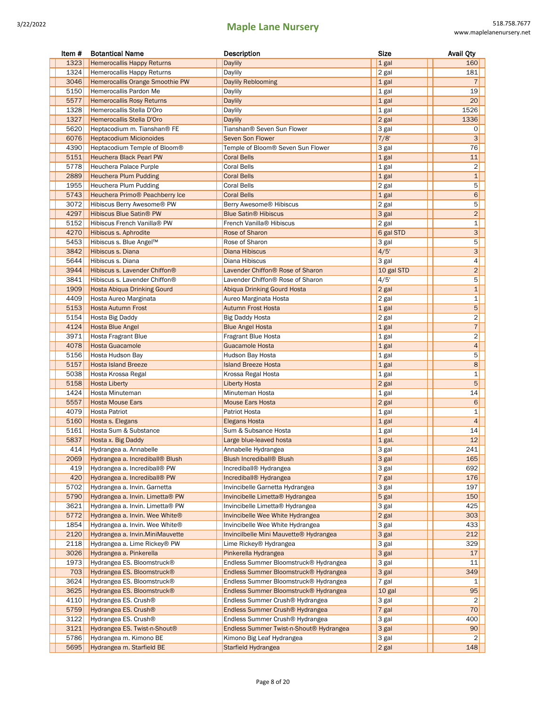| Item #       | <b>Botantical Name</b>                                       | Description                                         | <b>Size</b> |            | <b>Avail Qty</b>        |
|--------------|--------------------------------------------------------------|-----------------------------------------------------|-------------|------------|-------------------------|
| 1323         | <b>Hemerocallis Happy Returns</b>                            | <b>Daylily</b>                                      | 1 gal       |            | 160                     |
| 1324         | Hemerocallis Happy Returns                                   | Daylily                                             | 2 gal       |            | 181                     |
| 3046         | Hemerocallis Orange Smoothie PW                              | <b>Daylily Reblooming</b>                           | 1 gal       |            | $\overline{7}$          |
| 5150         | Hemerocallis Pardon Me                                       | Daylily                                             | 1 gal       |            | 19                      |
| 5577         | <b>Hemerocallis Rosy Returns</b>                             | Daylily                                             | 1 gal       |            | 20                      |
| 1328         | Hemerocallis Stella D'Oro                                    | Daylily                                             | 1 gal       |            | 1526                    |
| 1327         | Hemerocallis Stella D'Oro                                    | <b>Daylily</b>                                      | 2 gal       |            | 1336                    |
| 5620         | Heptacodium m. Tianshan® FE                                  | Tianshan® Seven Sun Flower                          | 3 gal       |            | 0                       |
| 6076         | <b>Heptacodium Micionoides</b>                               | <b>Seven Son Flower</b>                             | 7/8'        |            | 3                       |
| 4390         | Heptacodium Temple of Bloom®                                 | Temple of Bloom® Seven Sun Flower                   | 3 gal       |            | 76                      |
| 5151         | <b>Heuchera Black Pearl PW</b>                               | <b>Coral Bells</b>                                  | 1 gal       |            | 11                      |
| 5778         | Heuchera Palace Purple                                       | <b>Coral Bells</b>                                  | $1$ gal     |            | 2                       |
| 2889         | <b>Heuchera Plum Pudding</b>                                 | <b>Coral Bells</b>                                  | 1 gal       |            | $\mathbf{1}$            |
| 1955         | Heuchera Plum Pudding                                        | <b>Coral Bells</b>                                  | 2 gal       |            | 5                       |
| 5743         | Heuchera Primo® Peachberry Ice                               | <b>Coral Bells</b>                                  | 1 gal       |            | 6                       |
| 3072         | Hibiscus Berry Awesome® PW                                   | Berry Awesome <sup>®</sup> Hibiscus                 | 2 gal       |            | 5                       |
| 4297         | <b>Hibiscus Blue Satin® PW</b>                               | <b>Blue Satin<sup>®</sup> Hibiscus</b>              | 3 gal       |            | $\overline{c}$          |
| 5152         | Hibiscus French Vanilla® PW                                  | French Vanilla® Hibiscus                            | 2 gal       |            | $\mathbf{1}$            |
| 4270         | Hibiscus s. Aphrodite                                        | Rose of Sharon                                      |             | 6 gal STD  | 3                       |
| 5453         | Hibiscus s. Blue Angel™                                      | Rose of Sharon                                      | 3 gal       |            | 5                       |
| 3842         | Hibiscus s. Diana                                            | <b>Diana Hibiscus</b>                               | 4/5'        |            | 3 <sup>1</sup>          |
| 5644         | Hibiscus s. Diana                                            | Diana Hibiscus                                      | 3 gal       |            | 4                       |
| 3944         | Hibiscus s. Lavender Chiffon®                                | Lavender Chiffon <sup>®</sup> Rose of Sharon        |             | 10 gal STD | $\overline{2}$          |
| 3841         | Hibiscus s. Lavender Chiffon®                                | Lavender Chiffon® Rose of Sharon                    | 4/5'        |            | 5                       |
| 1909         | Hosta Abiqua Drinking Gourd                                  | Abiqua Drinking Gourd Hosta                         | 2 gal       |            | $\mathbf 1$             |
| 4409         | Hosta Aureo Marginata                                        | Aureo Marginata Hosta                               | 2 gal       |            | 1                       |
| 5153         | <b>Hosta Autumn Frost</b>                                    | <b>Autumn Frost Hosta</b>                           | 1 gal       |            | 5                       |
| 5154         | Hosta Big Daddy                                              | <b>Big Daddy Hosta</b>                              | 2 gal       |            | $\overline{\mathbf{c}}$ |
| 4124         | <b>Hosta Blue Angel</b>                                      | <b>Blue Angel Hosta</b>                             | $1$ gal     |            | $\sqrt{7}$              |
| 3971         | Hosta Fragrant Blue                                          | Fragrant Blue Hosta                                 | 1 gal       |            | $\overline{c}$          |
| 4078         | <b>Hosta Guacamole</b>                                       | Guacamole Hosta                                     | $1$ gal     |            | $\overline{4}$          |
| 5156         | Hosta Hudson Bay                                             | Hudson Bay Hosta                                    | 1 gal       |            | 5                       |
| 5157         | <b>Hosta Island Breeze</b>                                   | <b>Island Breeze Hosta</b>                          | 1 gal       |            | 8                       |
| 5038         | Hosta Krossa Regal                                           | Krossa Regal Hosta                                  | 1 gal       |            | $\mathbf{1}$            |
| 5158         | <b>Hosta Liberty</b>                                         | <b>Liberty Hosta</b>                                | $2$ gal     |            | 5                       |
| 1424         | Hosta Minuteman                                              | Minuteman Hosta                                     | 1 gal       |            | 14                      |
| 5557         | <b>Hosta Mouse Ears</b>                                      | <b>Mouse Ears Hosta</b>                             | $2$ gal     |            | 6                       |
| 4079         | Hosta Patriot                                                | Patriot Hosta                                       | 1 gal       |            | 1                       |
| 5160         | Hosta s. Elegans                                             | <b>Elegans Hosta</b>                                | 1 gal       |            | $\overline{4}$          |
| 5161         | Hosta Sum & Substance                                        | Sum & Subsance Hosta                                | $1$ gal     |            | 14                      |
| 5837         |                                                              |                                                     | $1$ gal.    |            | 12                      |
| 414          | Hosta x. Big Daddy<br>Hydrangea a. Annabelle                 | Large blue-leaved hosta<br>Annabelle Hydrangea      | 3 gal       |            | 241                     |
| 2069         | Hydrangea a. Incrediball® Blush                              | <b>Blush Incrediball® Blush</b>                     | 3 gal       |            | 165                     |
|              |                                                              |                                                     |             |            |                         |
| 419<br>420   | Hydrangea a. Incrediball® PW<br>Hydrangea a. Incrediball® PW | Incrediball® Hydrangea                              | 3 gal       |            | 692<br>176              |
|              |                                                              | Incrediball <sup>®</sup> Hydrangea                  | 7 gal       |            |                         |
| 5702<br>5790 | Hydrangea a. Invin. Garnetta                                 | Invincibelle Garnetta Hydrangea                     | 3 gal       |            | 197<br>150              |
|              | Hydrangea a. Invin. Limetta® PW                              | Invincibelle Limetta® Hydrangea                     | 5 gal       |            |                         |
| 3621         | Hydrangea a. Invin. Limetta® PW                              | Invincibelle Limetta® Hydrangea                     | 3 gal       |            | 425                     |
| 5772         | Hydrangea a. Invin. Wee White <sup>®</sup>                   | Invincibelle Wee White Hydrangea                    | $2$ gal     |            | 303                     |
| 1854         | Hydrangea a. Invin. Wee White®                               | Invincibelle Wee White Hydrangea                    | 3 gal       |            | 433                     |
| 2120         | Hydrangea a. Invin. Mini Mauvette                            | Invincilbelle Mini Mauvette® Hydrangea              | 3 gal       |            | 212                     |
| 2118         | Hydrangea a. Lime Rickey® PW                                 | Lime Rickey® Hydrangea                              | 3 gal       |            | 329                     |
| 3026         | Hydrangea a. Pinkerella                                      | Pinkerella Hydrangea                                | 3 gal       |            | 17                      |
| 1973         | Hydrangea ES. Bloomstruck®                                   | Endless Summer Bloomstruck® Hydrangea               | 3 gal       |            | 11                      |
| 703          | Hydrangea ES. Bloomstruck®                                   | Endless Summer Bloomstruck® Hydrangea               | 3 gal       |            | 349                     |
| 3624         | Hydrangea ES. Bloomstruck®                                   | Endless Summer Bloomstruck® Hydrangea               | 7 gal       |            | 1                       |
| 3625         | Hydrangea ES. Bloomstruck®                                   | Endless Summer Bloomstruck® Hydrangea               | 10 gal      |            | 95                      |
| 4110         | Hydrangea ES. Crush <sup>®</sup>                             | Endless Summer Crush <sup>®</sup> Hydrangea         | 3 gal       |            | 2                       |
| 5759         | Hydrangea ES. Crush <sup>®</sup>                             | Endless Summer Crush <sup>®</sup> Hydrangea         | 7 gal       |            | 70                      |
| 3122         | Hydrangea ES. Crush <sup>®</sup>                             | Endless Summer Crush® Hydrangea                     | 3 gal       |            | 400                     |
| 3121         | Hydrangea ES. Twist-n-Shout <sup>®</sup>                     | Endless Summer Twist-n-Shout <sup>®</sup> Hydrangea | 3 gal       |            | 90                      |
| 5786         | Hydrangea m. Kimono BE                                       | Kimono Big Leaf Hydrangea                           | 3 gal       |            | 2                       |
| 5695         | Hydrangea m. Starfield BE                                    | Starfield Hydrangea                                 | $2$ gal     |            | 148                     |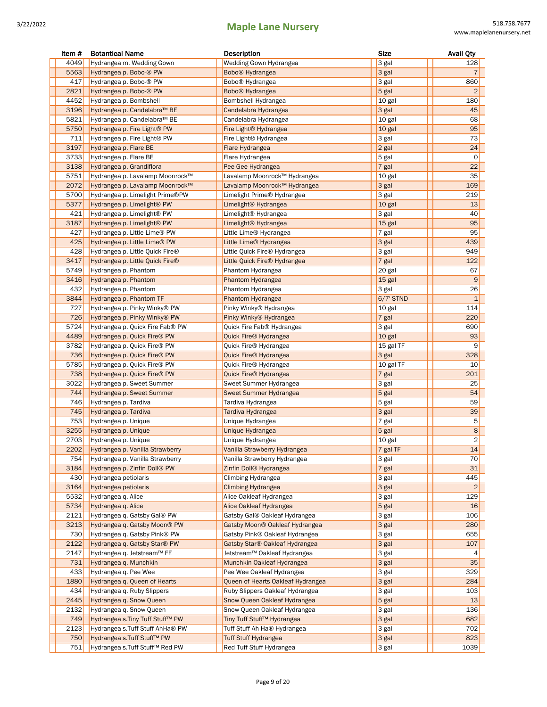| Item # | <b>Botantical Name</b>                   | Description                        | <b>Size</b>  | <b>Avail Qty</b>        |
|--------|------------------------------------------|------------------------------------|--------------|-------------------------|
| 4049   | Hydrangea m. Wedding Gown                | Wedding Gown Hydrangea             | 3 gal        | 128                     |
| 5563   | Hydrangea p. Bobo-® PW                   | Bobo <sup>®</sup> Hydrangea        | 3 gal        | $\overline{7}$          |
| 417    | Hydrangea p. Bobo-® PW                   | Bobo <sup>®</sup> Hydrangea        | 3 gal        | 860                     |
| 2821   | Hydrangea p. Bobo-® PW                   | Bobo <sup>®</sup> Hydrangea        | 5 gal        | $\overline{\mathbf{c}}$ |
| 4452   | Hydrangea p. Bombshell                   | Bombshell Hydrangea                | 10 gal       | 180                     |
| 3196   | Hydrangea p. Candelabra™ BE              | Candelabra Hydrangea               | 3 gal        | 45                      |
| 5821   | Hydrangea p. Candelabra™ BE              | Candelabra Hydrangea               | 10 gal       | 68                      |
| 5750   | Hydrangea p. Fire Light <sup>®</sup> PW  | Fire Light <sup>®</sup> Hydrangea  | 10 gal       | 95                      |
| 711    | Hydrangea p. Fire Light® PW              | Fire Light <sup>®</sup> Hydrangea  | 3 gal        | 73                      |
| 3197   | Hydrangea p. Flare BE                    | Flare Hydrangea                    | 2 gal        | 24                      |
| 3733   | Hydrangea p. Flare BE                    | Flare Hydrangea                    | 5 gal        | $\mathsf{O}\xspace$     |
| 3138   | Hydrangea p. Grandiflora                 | Pee Gee Hydrangea                  | 7 gal        | 22                      |
| 5751   | Hydrangea p. Lavalamp Moonrock™          | Lavalamp Moonrock™ Hydrangea       | 10 gal       | 35                      |
| 2072   | Hydrangea p. Lavalamp Moonrock™          | Lavalamp Moonrock™ Hydrangea       | 3 gal        | 169                     |
| 5700   | Hydrangea p. Limelight Prime®PW          |                                    | 3 gal        | 219                     |
|        |                                          | Limelight Prime® Hydrangea         |              |                         |
| 5377   | Hydrangea p. Limelight <sup>®</sup> PW   | Limelight <sup>®</sup> Hydrangea   | 10 gal       | 13                      |
| 421    | Hydrangea p. Limelight <sup>®</sup> PW   | Limelight® Hydrangea               | 3 gal        | 40                      |
| 3187   | Hydrangea p. Limelight <sup>®</sup> PW   | Limelight <sup>®</sup> Hydrangea   | 15 gal       | 95                      |
| 427    | Hydrangea p. Little Lime® PW             | Little Lime® Hydrangea             | 7 gal        | 95                      |
| 425    | Hydrangea p. Little Lime® PW             | Little Lime® Hydrangea             | 3 gal        | 439                     |
| 428    | Hydrangea p. Little Quick Fire®          | Little Quick Fire® Hydrangea       | 3 gal        | 949                     |
| 3417   | Hydrangea p. Little Quick Fire®          | Little Quick Fire® Hydrangea       | 7 gal        | 122                     |
| 5749   | Hydrangea p. Phantom                     | Phantom Hydrangea                  | 20 gal       | 67                      |
| 3416   | Hydrangea p. Phantom                     | Phantom Hydrangea                  | 15 gal       | 9                       |
| 432    | Hydrangea p. Phantom                     | Phantom Hydrangea                  | 3 gal        | 26                      |
| 3844   | Hydrangea p. Phantom TF                  | Phantom Hydrangea                  | $6/7$ ' STND | $\mathbf{1}$            |
| 727    | Hydrangea p. Pinky Winky® PW             | Pinky Winky® Hydrangea             | 10 gal       | 114                     |
| 726    | Hydrangea p. Pinky Winky® PW             | Pinky Winky® Hydrangea             | 7 gal        | 220                     |
| 5724   | Hydrangea p. Quick Fire Fab® PW          | Quick Fire Fab® Hydrangea          | 3 gal        | 690                     |
| 4489   | Hydrangea p. Quick Fire® PW              | Quick Fire® Hydrangea              | 10 gal       | 93                      |
| 3782   | Hydrangea p. Quick Fire® PW              | Quick Fire® Hydrangea              | 15 gal TF    | 9                       |
| 736    | Hydrangea p. Quick Fire® PW              | Quick Fire® Hydrangea              | 3 gal        | 328                     |
| 5785   | Hydrangea p. Quick Fire® PW              | Quick Fire® Hydrangea              | 10 gal TF    | 10                      |
| 738    | Hydrangea p. Quick Fire <sup>®</sup> PW  | Quick Fire® Hydrangea              | 7 gal        | 201                     |
| 3022   | Hydrangea p. Sweet Summer                | Sweet Summer Hydrangea             | 3 gal        | 25                      |
| 744    | Hydrangea p. Sweet Summer                | Sweet Summer Hydrangea             | 5 gal        | 54                      |
| 746    | Hydrangea p. Tardiva                     | Tardiva Hydrangea                  | 5 gal        | 59                      |
| 745    | Hydrangea p. Tardiva                     | Tardiva Hydrangea                  | 3 gal        | 39                      |
| 753    | Hydrangea p. Unique                      | Unique Hydrangea                   | 7 gal        | 5                       |
| 3255   | Hydrangea p. Unique                      | Unique Hydrangea                   | 5 gal        | 8                       |
| 2703   | Hydrangea p. Unique                      | Unique Hydrangea                   | 10 gal       | 2                       |
| 2202   | Hydrangea p. Vanilla Strawberry          | Vanilla Strawberry Hydrangea       | 7 gal TF     | 14                      |
| 754    | Hydrangea p. Vanilla Strawberry          | Vanilla Strawberry Hydrangea       | 3 gal        | 70                      |
| 3184   | Hydrangea p. Zinfin Doll® PW             | Zinfin Doll <sup>®</sup> Hydrangea | 7 gal        | 31                      |
| 430    | Hydrangea petiolaris                     | Climbing Hydrangea                 | 3 gal        | 445                     |
| 3164   | Hydrangea petiolaris                     | Climbing Hydrangea                 | 3 gal        | $\overline{2}$          |
| 5532   | Hydrangea q. Alice                       | Alice Oakleaf Hydrangea            | 3 gal        | 129                     |
| 5734   | Hydrangea q. Alice                       | Alice Oakleaf Hydrangea            | 5 gal        | 16                      |
| 2121   | Hydrangea q. Gatsby Gal® PW              | Gatsby Gal® Oakleaf Hydrangea      | 3 gal        | 106                     |
| 3213   | Hydrangea q. Gatsby Moon® PW             | Gatsby Moon® Oakleaf Hydrangea     | 3 gal        | 280                     |
| 730    | Hydrangea q. Gatsby Pink® PW             | Gatsby Pink® Oakleaf Hydrangea     | 3 gal        | 655                     |
| 2122   | Hydrangea q. Gatsby Star <sup>®</sup> PW | Gatsby Star® Oakleaf Hydrangea     | 3 gal        | 107                     |
| 2147   | Hydrangea q. Jetstream™ FE               | Jetstream™ Oakleaf Hydrangea       | 3 gal        | 4                       |
| 731    | Hydrangea q. Munchkin                    | Munchkin Oakleaf Hydrangea         | 3 gal        | 35                      |
| 433    | Hydrangea q. Pee Wee                     | Pee Wee Oakleaf Hydrangea          | 3 gal        | 329                     |
| 1880   | Hydrangea q. Queen of Hearts             | Queen of Hearts Oakleaf Hydrangea  | 3 gal        | 284                     |
| 434    | Hydrangea q. Ruby Slippers               | Ruby Slippers Oakleaf Hydrangea    | 3 gal        | 103                     |
| 2445   | Hydrangea q. Snow Queen                  | Snow Queen Oakleaf Hydrangea       | 5 gal        | 13                      |
| 2132   | Hydrangea q. Snow Queen                  | Snow Queen Oakleaf Hydrangea       | 3 gal        | 136                     |
| 749    | Hydrangea s. Tiny Tuff Stuff™ PW         | Tiny Tuff Stuff™ Hydrangea         | 3 gal        | 682                     |
| 2123   | Hydrangea s.Tuff Stuff AhHa® PW          | Tuff Stuff Ah-Ha® Hydrangea        | 3 gal        | 702                     |
| 750    | Hydrangea s.Tuff Stuff™ PW               | <b>Tuff Stuff Hydrangea</b>        | 3 gal        | 823                     |
| 751    | Hydrangea s.Tuff Stuff™ Red PW           | Red Tuff Stuff Hydrangea           | 3 gal        | 1039                    |
|        |                                          |                                    |              |                         |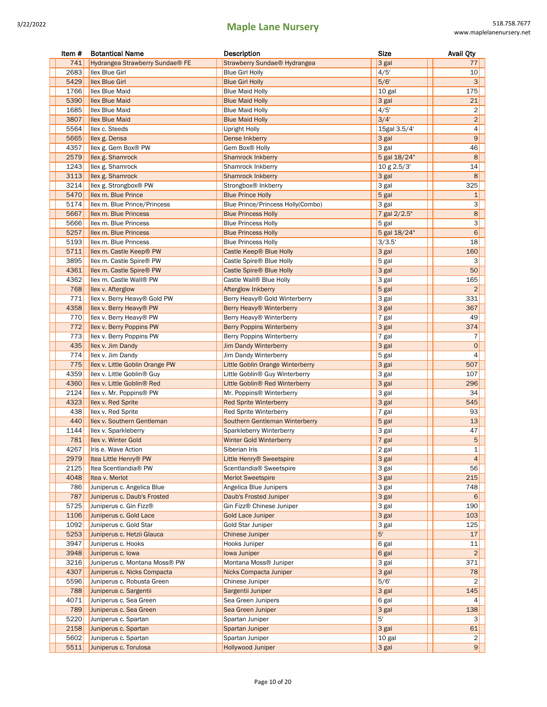| 741<br>Hydrangea Strawberry Sundae <sup>®</sup> FE<br>Strawberry Sundae <sup>®</sup> Hydrangea<br>3 gal<br>77<br>2683<br>4/5'<br><b>Ilex Blue Girl</b><br><b>Blue Girl Holly</b><br>10<br>5/6'<br>5429<br><b>Ilex Blue Girl</b><br>3<br><b>Blue Girl Holly</b><br>1766<br>175<br><b>Ilex Blue Maid</b><br><b>Blue Maid Holly</b><br>10 gal<br>5390<br><b>Ilex Blue Maid</b><br>3 gal<br>21<br><b>Blue Maid Holly</b><br>1685<br>4/5'<br>2<br><b>Ilex Blue Maid</b><br><b>Blue Maid Holly</b><br>3807<br>3/4'<br>$\overline{\mathbf{c}}$<br><b>Ilex Blue Maid</b><br><b>Blue Maid Holly</b><br>5564<br>15gal 3.5/4'<br>4<br>llex c. Steeds<br>Upright Holly<br>9<br>5665<br>Ilex g. Densa<br>3 gal<br>Dense Inkberry<br>4357<br>Ilex g. Gem Box® PW<br>46<br>Gem Box® Holly<br>3 gal<br>2579<br>8<br>Ilex g. Shamrock<br><b>Shamrock Inkberry</b><br>5 gal 18/24"<br>1243<br>14<br>Ilex g. Shamrock<br>Shamrock Inkberry<br>10 g 2.5/3'<br>3113<br>8<br>Ilex g. Shamrock<br><b>Shamrock Inkberry</b><br>3 gal<br>3214<br>325<br>Ilex g. Strongbox® PW<br>Strongbox <sup>®</sup> Inkberry<br>3 gal<br>5470<br>$\mathbf{1}$<br>Ilex m. Blue Prince<br>$5$ gal<br><b>Blue Prince Holly</b><br>3<br>5174<br>Ilex m. Blue Prince/Princess<br>Blue Prince/Princess Holly(Combo)<br>3 gal<br>8<br>5667<br>Ilex m. Blue Princess<br>7 gal 2/2.5"<br><b>Blue Princess Holly</b><br>3<br>5666<br>Ilex m. Blue Princess<br><b>Blue Princess Holly</b><br>5 gal<br>6<br>5257<br>Ilex m. Blue Princess<br><b>Blue Princess Holly</b><br>5 gal 18/24"<br>5193<br>18<br>Ilex m. Blue Princess<br><b>Blue Princess Holly</b><br>3/3.5'<br>160<br>5711<br>Ilex m. Castle Keep® PW<br>Castle Keep® Blue Holly<br>3 gal<br>3895<br>Ilex m. Castle Spire® PW<br>Castle Spire® Blue Holly<br>3<br>5 gal<br>50<br>4361<br>Ilex m. Castle Spire® PW<br>Castle Spire® Blue Holly<br>3 gal<br>4362<br>Ilex m. Castle Wall® PW<br>Castle Wall <sup>®</sup> Blue Holly<br>3 gal<br>165<br>$\overline{2}$<br>768<br>llex v. Afterglow<br>5 gal<br>Afterglow Inkberry<br>771<br>llex v. Berry Heavy® Gold PW<br>Berry Heavy® Gold Winterberry<br>331<br>3 gal<br>4358<br>Ilex v. Berry Heavy® PW<br>367<br>Berry Heavy <sup>®</sup> Winterberry<br>3 gal<br>770<br>49<br>Ilex v. Berry Heavy® PW<br>Berry Heavy® Winterberry<br>$7$ gal<br>374<br>772<br>Ilex v. Berry Poppins PW<br>3 gal<br>Berry Poppins Winterberry<br>773<br>Ilex v. Berry Poppins PW<br>7 gal<br>Berry Poppins Winterberry<br>7<br>435<br>$\mathbf 0$<br>Ilex v. Jim Dandy<br><b>Jim Dandy Winterberry</b><br>3 gal<br>774<br>5 gal<br>4<br>llex v. Jim Dandy<br>Jim Dandy Winterberry<br>775<br>507<br>Ilex v. Little Goblin Orange PW<br>Little Goblin Orange Winterberry<br>3 gal<br>4359<br>Ilex v. Little Goblin <sup>®</sup> Guy<br>Little Goblin® Guy Winterberry<br>3 gal<br>107<br>4360<br>296<br>Ilex v. Little Goblin <sup>®</sup> Red<br>Little Goblin® Red Winterberry<br>3 gal<br>2124<br>34<br>Ilex v. Mr. Poppins® PW<br>3 gal<br>Mr. Poppins <sup>®</sup> Winterberry<br>4323<br>545<br>Ilex v. Red Sprite<br><b>Red Sprite Winterberry</b><br>3 gal<br>438<br>93<br>llex v. Red Sprite<br>Red Sprite Winterberry<br>7 gal<br>440<br>13<br>Ilex v. Southern Gentleman<br>Southern Gentleman Winterberry<br>$5$ gal<br>1144<br>llex v. Sparkleberry<br>3 gal<br>47<br>Sparkleberry Winterberry<br>5<br>781<br>Ilex v. Winter Gold<br>$ 7$ gal<br><b>Winter Gold Winterberry</b><br>4267<br>2 gal<br>Iris e. Wave Action<br>Siberian Iris<br>1<br>$\overline{4}$<br>2979<br>Itea Little Henry® PW<br>Little Henry® Sweetspire<br>3 gal<br>2125<br>56<br>Itea Scentlandia <sup>®</sup> PW<br>Scentlandia <sup>®</sup> Sweetspire<br>3 gal<br>3 gal<br>215<br>4048<br>Itea v. Merlot<br><b>Merlot Sweetspire</b><br>786<br>Juniperus c. Angelica Blue<br>Angelica Blue Junipers<br>3 gal<br>748<br>787<br>Juniperus c. Daub's Frosted<br>Daub's Frosted Juniper<br>3 gal<br>6<br>5725<br>190<br>Juniperus c. Gin Fizz®<br>Gin Fizz® Chinese Juniper<br>3 gal<br>1106<br>Juniperus c. Gold Lace<br><b>Gold Lace Juniper</b><br>3 gal<br>103<br>1092<br>Juniperus c. Gold Star<br>Gold Star Juniper<br>3 gal<br>125<br>5'<br>5253<br>Juniperus c. Hetzii Glauca<br><b>Chinese Juniper</b><br>17<br>3947<br>Juniperus c. Hooks<br>Hooks Juniper<br>11<br>6 gal<br>3948<br>Juniperus c. Iowa<br>6 gal<br>$\overline{2}$<br>Iowa Juniper<br>Juniperus c. Montana Moss® PW<br>Montana Moss® Juniper<br>3216<br>3 gal<br>371<br>4307<br>Juniperus c. Nicks Compacta<br>Nicks Compacta Juniper<br>3 gal<br>78<br>5596<br>5/6'<br>Juniperus c. Robusta Green<br>Chinese Juniper<br>2<br>788<br>145<br>Juniperus c. Sargentii<br>Sargentii Juniper<br>3 gal<br>4071<br>Juniperus c. Sea Green<br>Sea Green Junipers<br>6 gal<br>4<br>789<br>Juniperus c. Sea Green<br>Sea Green Juniper<br>3 gal<br>138<br>5220<br>5'<br>Juniperus c. Spartan<br>3<br>Spartan Juniper<br>2158<br>61<br>Juniperus c. Spartan<br>Spartan Juniper<br>3 gal<br>5602<br>10 gal<br>Juniperus c. Spartan<br>Spartan Juniper<br>2 | Item # | <b>Botantical Name</b> | Description              | Size    | <b>Avail Qty</b> |
|------------------------------------------------------------------------------------------------------------------------------------------------------------------------------------------------------------------------------------------------------------------------------------------------------------------------------------------------------------------------------------------------------------------------------------------------------------------------------------------------------------------------------------------------------------------------------------------------------------------------------------------------------------------------------------------------------------------------------------------------------------------------------------------------------------------------------------------------------------------------------------------------------------------------------------------------------------------------------------------------------------------------------------------------------------------------------------------------------------------------------------------------------------------------------------------------------------------------------------------------------------------------------------------------------------------------------------------------------------------------------------------------------------------------------------------------------------------------------------------------------------------------------------------------------------------------------------------------------------------------------------------------------------------------------------------------------------------------------------------------------------------------------------------------------------------------------------------------------------------------------------------------------------------------------------------------------------------------------------------------------------------------------------------------------------------------------------------------------------------------------------------------------------------------------------------------------------------------------------------------------------------------------------------------------------------------------------------------------------------------------------------------------------------------------------------------------------------------------------------------------------------------------------------------------------------------------------------------------------------------------------------------------------------------------------------------------------------------------------------------------------------------------------------------------------------------------------------------------------------------------------------------------------------------------------------------------------------------------------------------------------------------------------------------------------------------------------------------------------------------------------------------------------------------------------------------------------------------------------------------------------------------------------------------------------------------------------------------------------------------------------------------------------------------------------------------------------------------------------------------------------------------------------------------------------------------------------------------------------------------------------------------------------------------------------------------------------------------------------------------------------------------------------------------------------------------------------------------------------------------------------------------------------------------------------------------------------------------------------------------------------------------------------------------------------------------------------------------------------------------------------------------------------------------------------------------------------------------------------------------------------------------------------------------------------------------------------------------------------------------------------------------------------------------------------------------------------------------------------------------------------------------------------------------------------------------------------------------------------------------------------------------------------------------------------------------------------------------------------------------------------------------------------------------------------------------------------------------------------------------------------------------------------------------------------------------------------------------------------------------------------------------------------------------------|--------|------------------------|--------------------------|---------|------------------|
|                                                                                                                                                                                                                                                                                                                                                                                                                                                                                                                                                                                                                                                                                                                                                                                                                                                                                                                                                                                                                                                                                                                                                                                                                                                                                                                                                                                                                                                                                                                                                                                                                                                                                                                                                                                                                                                                                                                                                                                                                                                                                                                                                                                                                                                                                                                                                                                                                                                                                                                                                                                                                                                                                                                                                                                                                                                                                                                                                                                                                                                                                                                                                                                                                                                                                                                                                                                                                                                                                                                                                                                                                                                                                                                                                                                                                                                                                                                                                                                                                                                                                                                                                                                                                                                                                                                                                                                                                                                                                                                                                                                                                                                                                                                                                                                                                                                                                                                                                                                                                                                      |        |                        |                          |         |                  |
|                                                                                                                                                                                                                                                                                                                                                                                                                                                                                                                                                                                                                                                                                                                                                                                                                                                                                                                                                                                                                                                                                                                                                                                                                                                                                                                                                                                                                                                                                                                                                                                                                                                                                                                                                                                                                                                                                                                                                                                                                                                                                                                                                                                                                                                                                                                                                                                                                                                                                                                                                                                                                                                                                                                                                                                                                                                                                                                                                                                                                                                                                                                                                                                                                                                                                                                                                                                                                                                                                                                                                                                                                                                                                                                                                                                                                                                                                                                                                                                                                                                                                                                                                                                                                                                                                                                                                                                                                                                                                                                                                                                                                                                                                                                                                                                                                                                                                                                                                                                                                                                      |        |                        |                          |         |                  |
|                                                                                                                                                                                                                                                                                                                                                                                                                                                                                                                                                                                                                                                                                                                                                                                                                                                                                                                                                                                                                                                                                                                                                                                                                                                                                                                                                                                                                                                                                                                                                                                                                                                                                                                                                                                                                                                                                                                                                                                                                                                                                                                                                                                                                                                                                                                                                                                                                                                                                                                                                                                                                                                                                                                                                                                                                                                                                                                                                                                                                                                                                                                                                                                                                                                                                                                                                                                                                                                                                                                                                                                                                                                                                                                                                                                                                                                                                                                                                                                                                                                                                                                                                                                                                                                                                                                                                                                                                                                                                                                                                                                                                                                                                                                                                                                                                                                                                                                                                                                                                                                      |        |                        |                          |         |                  |
|                                                                                                                                                                                                                                                                                                                                                                                                                                                                                                                                                                                                                                                                                                                                                                                                                                                                                                                                                                                                                                                                                                                                                                                                                                                                                                                                                                                                                                                                                                                                                                                                                                                                                                                                                                                                                                                                                                                                                                                                                                                                                                                                                                                                                                                                                                                                                                                                                                                                                                                                                                                                                                                                                                                                                                                                                                                                                                                                                                                                                                                                                                                                                                                                                                                                                                                                                                                                                                                                                                                                                                                                                                                                                                                                                                                                                                                                                                                                                                                                                                                                                                                                                                                                                                                                                                                                                                                                                                                                                                                                                                                                                                                                                                                                                                                                                                                                                                                                                                                                                                                      |        |                        |                          |         |                  |
|                                                                                                                                                                                                                                                                                                                                                                                                                                                                                                                                                                                                                                                                                                                                                                                                                                                                                                                                                                                                                                                                                                                                                                                                                                                                                                                                                                                                                                                                                                                                                                                                                                                                                                                                                                                                                                                                                                                                                                                                                                                                                                                                                                                                                                                                                                                                                                                                                                                                                                                                                                                                                                                                                                                                                                                                                                                                                                                                                                                                                                                                                                                                                                                                                                                                                                                                                                                                                                                                                                                                                                                                                                                                                                                                                                                                                                                                                                                                                                                                                                                                                                                                                                                                                                                                                                                                                                                                                                                                                                                                                                                                                                                                                                                                                                                                                                                                                                                                                                                                                                                      |        |                        |                          |         |                  |
|                                                                                                                                                                                                                                                                                                                                                                                                                                                                                                                                                                                                                                                                                                                                                                                                                                                                                                                                                                                                                                                                                                                                                                                                                                                                                                                                                                                                                                                                                                                                                                                                                                                                                                                                                                                                                                                                                                                                                                                                                                                                                                                                                                                                                                                                                                                                                                                                                                                                                                                                                                                                                                                                                                                                                                                                                                                                                                                                                                                                                                                                                                                                                                                                                                                                                                                                                                                                                                                                                                                                                                                                                                                                                                                                                                                                                                                                                                                                                                                                                                                                                                                                                                                                                                                                                                                                                                                                                                                                                                                                                                                                                                                                                                                                                                                                                                                                                                                                                                                                                                                      |        |                        |                          |         |                  |
|                                                                                                                                                                                                                                                                                                                                                                                                                                                                                                                                                                                                                                                                                                                                                                                                                                                                                                                                                                                                                                                                                                                                                                                                                                                                                                                                                                                                                                                                                                                                                                                                                                                                                                                                                                                                                                                                                                                                                                                                                                                                                                                                                                                                                                                                                                                                                                                                                                                                                                                                                                                                                                                                                                                                                                                                                                                                                                                                                                                                                                                                                                                                                                                                                                                                                                                                                                                                                                                                                                                                                                                                                                                                                                                                                                                                                                                                                                                                                                                                                                                                                                                                                                                                                                                                                                                                                                                                                                                                                                                                                                                                                                                                                                                                                                                                                                                                                                                                                                                                                                                      |        |                        |                          |         |                  |
|                                                                                                                                                                                                                                                                                                                                                                                                                                                                                                                                                                                                                                                                                                                                                                                                                                                                                                                                                                                                                                                                                                                                                                                                                                                                                                                                                                                                                                                                                                                                                                                                                                                                                                                                                                                                                                                                                                                                                                                                                                                                                                                                                                                                                                                                                                                                                                                                                                                                                                                                                                                                                                                                                                                                                                                                                                                                                                                                                                                                                                                                                                                                                                                                                                                                                                                                                                                                                                                                                                                                                                                                                                                                                                                                                                                                                                                                                                                                                                                                                                                                                                                                                                                                                                                                                                                                                                                                                                                                                                                                                                                                                                                                                                                                                                                                                                                                                                                                                                                                                                                      |        |                        |                          |         |                  |
|                                                                                                                                                                                                                                                                                                                                                                                                                                                                                                                                                                                                                                                                                                                                                                                                                                                                                                                                                                                                                                                                                                                                                                                                                                                                                                                                                                                                                                                                                                                                                                                                                                                                                                                                                                                                                                                                                                                                                                                                                                                                                                                                                                                                                                                                                                                                                                                                                                                                                                                                                                                                                                                                                                                                                                                                                                                                                                                                                                                                                                                                                                                                                                                                                                                                                                                                                                                                                                                                                                                                                                                                                                                                                                                                                                                                                                                                                                                                                                                                                                                                                                                                                                                                                                                                                                                                                                                                                                                                                                                                                                                                                                                                                                                                                                                                                                                                                                                                                                                                                                                      |        |                        |                          |         |                  |
|                                                                                                                                                                                                                                                                                                                                                                                                                                                                                                                                                                                                                                                                                                                                                                                                                                                                                                                                                                                                                                                                                                                                                                                                                                                                                                                                                                                                                                                                                                                                                                                                                                                                                                                                                                                                                                                                                                                                                                                                                                                                                                                                                                                                                                                                                                                                                                                                                                                                                                                                                                                                                                                                                                                                                                                                                                                                                                                                                                                                                                                                                                                                                                                                                                                                                                                                                                                                                                                                                                                                                                                                                                                                                                                                                                                                                                                                                                                                                                                                                                                                                                                                                                                                                                                                                                                                                                                                                                                                                                                                                                                                                                                                                                                                                                                                                                                                                                                                                                                                                                                      |        |                        |                          |         |                  |
|                                                                                                                                                                                                                                                                                                                                                                                                                                                                                                                                                                                                                                                                                                                                                                                                                                                                                                                                                                                                                                                                                                                                                                                                                                                                                                                                                                                                                                                                                                                                                                                                                                                                                                                                                                                                                                                                                                                                                                                                                                                                                                                                                                                                                                                                                                                                                                                                                                                                                                                                                                                                                                                                                                                                                                                                                                                                                                                                                                                                                                                                                                                                                                                                                                                                                                                                                                                                                                                                                                                                                                                                                                                                                                                                                                                                                                                                                                                                                                                                                                                                                                                                                                                                                                                                                                                                                                                                                                                                                                                                                                                                                                                                                                                                                                                                                                                                                                                                                                                                                                                      |        |                        |                          |         |                  |
|                                                                                                                                                                                                                                                                                                                                                                                                                                                                                                                                                                                                                                                                                                                                                                                                                                                                                                                                                                                                                                                                                                                                                                                                                                                                                                                                                                                                                                                                                                                                                                                                                                                                                                                                                                                                                                                                                                                                                                                                                                                                                                                                                                                                                                                                                                                                                                                                                                                                                                                                                                                                                                                                                                                                                                                                                                                                                                                                                                                                                                                                                                                                                                                                                                                                                                                                                                                                                                                                                                                                                                                                                                                                                                                                                                                                                                                                                                                                                                                                                                                                                                                                                                                                                                                                                                                                                                                                                                                                                                                                                                                                                                                                                                                                                                                                                                                                                                                                                                                                                                                      |        |                        |                          |         |                  |
|                                                                                                                                                                                                                                                                                                                                                                                                                                                                                                                                                                                                                                                                                                                                                                                                                                                                                                                                                                                                                                                                                                                                                                                                                                                                                                                                                                                                                                                                                                                                                                                                                                                                                                                                                                                                                                                                                                                                                                                                                                                                                                                                                                                                                                                                                                                                                                                                                                                                                                                                                                                                                                                                                                                                                                                                                                                                                                                                                                                                                                                                                                                                                                                                                                                                                                                                                                                                                                                                                                                                                                                                                                                                                                                                                                                                                                                                                                                                                                                                                                                                                                                                                                                                                                                                                                                                                                                                                                                                                                                                                                                                                                                                                                                                                                                                                                                                                                                                                                                                                                                      |        |                        |                          |         |                  |
|                                                                                                                                                                                                                                                                                                                                                                                                                                                                                                                                                                                                                                                                                                                                                                                                                                                                                                                                                                                                                                                                                                                                                                                                                                                                                                                                                                                                                                                                                                                                                                                                                                                                                                                                                                                                                                                                                                                                                                                                                                                                                                                                                                                                                                                                                                                                                                                                                                                                                                                                                                                                                                                                                                                                                                                                                                                                                                                                                                                                                                                                                                                                                                                                                                                                                                                                                                                                                                                                                                                                                                                                                                                                                                                                                                                                                                                                                                                                                                                                                                                                                                                                                                                                                                                                                                                                                                                                                                                                                                                                                                                                                                                                                                                                                                                                                                                                                                                                                                                                                                                      |        |                        |                          |         |                  |
|                                                                                                                                                                                                                                                                                                                                                                                                                                                                                                                                                                                                                                                                                                                                                                                                                                                                                                                                                                                                                                                                                                                                                                                                                                                                                                                                                                                                                                                                                                                                                                                                                                                                                                                                                                                                                                                                                                                                                                                                                                                                                                                                                                                                                                                                                                                                                                                                                                                                                                                                                                                                                                                                                                                                                                                                                                                                                                                                                                                                                                                                                                                                                                                                                                                                                                                                                                                                                                                                                                                                                                                                                                                                                                                                                                                                                                                                                                                                                                                                                                                                                                                                                                                                                                                                                                                                                                                                                                                                                                                                                                                                                                                                                                                                                                                                                                                                                                                                                                                                                                                      |        |                        |                          |         |                  |
|                                                                                                                                                                                                                                                                                                                                                                                                                                                                                                                                                                                                                                                                                                                                                                                                                                                                                                                                                                                                                                                                                                                                                                                                                                                                                                                                                                                                                                                                                                                                                                                                                                                                                                                                                                                                                                                                                                                                                                                                                                                                                                                                                                                                                                                                                                                                                                                                                                                                                                                                                                                                                                                                                                                                                                                                                                                                                                                                                                                                                                                                                                                                                                                                                                                                                                                                                                                                                                                                                                                                                                                                                                                                                                                                                                                                                                                                                                                                                                                                                                                                                                                                                                                                                                                                                                                                                                                                                                                                                                                                                                                                                                                                                                                                                                                                                                                                                                                                                                                                                                                      |        |                        |                          |         |                  |
|                                                                                                                                                                                                                                                                                                                                                                                                                                                                                                                                                                                                                                                                                                                                                                                                                                                                                                                                                                                                                                                                                                                                                                                                                                                                                                                                                                                                                                                                                                                                                                                                                                                                                                                                                                                                                                                                                                                                                                                                                                                                                                                                                                                                                                                                                                                                                                                                                                                                                                                                                                                                                                                                                                                                                                                                                                                                                                                                                                                                                                                                                                                                                                                                                                                                                                                                                                                                                                                                                                                                                                                                                                                                                                                                                                                                                                                                                                                                                                                                                                                                                                                                                                                                                                                                                                                                                                                                                                                                                                                                                                                                                                                                                                                                                                                                                                                                                                                                                                                                                                                      |        |                        |                          |         |                  |
|                                                                                                                                                                                                                                                                                                                                                                                                                                                                                                                                                                                                                                                                                                                                                                                                                                                                                                                                                                                                                                                                                                                                                                                                                                                                                                                                                                                                                                                                                                                                                                                                                                                                                                                                                                                                                                                                                                                                                                                                                                                                                                                                                                                                                                                                                                                                                                                                                                                                                                                                                                                                                                                                                                                                                                                                                                                                                                                                                                                                                                                                                                                                                                                                                                                                                                                                                                                                                                                                                                                                                                                                                                                                                                                                                                                                                                                                                                                                                                                                                                                                                                                                                                                                                                                                                                                                                                                                                                                                                                                                                                                                                                                                                                                                                                                                                                                                                                                                                                                                                                                      |        |                        |                          |         |                  |
|                                                                                                                                                                                                                                                                                                                                                                                                                                                                                                                                                                                                                                                                                                                                                                                                                                                                                                                                                                                                                                                                                                                                                                                                                                                                                                                                                                                                                                                                                                                                                                                                                                                                                                                                                                                                                                                                                                                                                                                                                                                                                                                                                                                                                                                                                                                                                                                                                                                                                                                                                                                                                                                                                                                                                                                                                                                                                                                                                                                                                                                                                                                                                                                                                                                                                                                                                                                                                                                                                                                                                                                                                                                                                                                                                                                                                                                                                                                                                                                                                                                                                                                                                                                                                                                                                                                                                                                                                                                                                                                                                                                                                                                                                                                                                                                                                                                                                                                                                                                                                                                      |        |                        |                          |         |                  |
|                                                                                                                                                                                                                                                                                                                                                                                                                                                                                                                                                                                                                                                                                                                                                                                                                                                                                                                                                                                                                                                                                                                                                                                                                                                                                                                                                                                                                                                                                                                                                                                                                                                                                                                                                                                                                                                                                                                                                                                                                                                                                                                                                                                                                                                                                                                                                                                                                                                                                                                                                                                                                                                                                                                                                                                                                                                                                                                                                                                                                                                                                                                                                                                                                                                                                                                                                                                                                                                                                                                                                                                                                                                                                                                                                                                                                                                                                                                                                                                                                                                                                                                                                                                                                                                                                                                                                                                                                                                                                                                                                                                                                                                                                                                                                                                                                                                                                                                                                                                                                                                      |        |                        |                          |         |                  |
|                                                                                                                                                                                                                                                                                                                                                                                                                                                                                                                                                                                                                                                                                                                                                                                                                                                                                                                                                                                                                                                                                                                                                                                                                                                                                                                                                                                                                                                                                                                                                                                                                                                                                                                                                                                                                                                                                                                                                                                                                                                                                                                                                                                                                                                                                                                                                                                                                                                                                                                                                                                                                                                                                                                                                                                                                                                                                                                                                                                                                                                                                                                                                                                                                                                                                                                                                                                                                                                                                                                                                                                                                                                                                                                                                                                                                                                                                                                                                                                                                                                                                                                                                                                                                                                                                                                                                                                                                                                                                                                                                                                                                                                                                                                                                                                                                                                                                                                                                                                                                                                      |        |                        |                          |         |                  |
|                                                                                                                                                                                                                                                                                                                                                                                                                                                                                                                                                                                                                                                                                                                                                                                                                                                                                                                                                                                                                                                                                                                                                                                                                                                                                                                                                                                                                                                                                                                                                                                                                                                                                                                                                                                                                                                                                                                                                                                                                                                                                                                                                                                                                                                                                                                                                                                                                                                                                                                                                                                                                                                                                                                                                                                                                                                                                                                                                                                                                                                                                                                                                                                                                                                                                                                                                                                                                                                                                                                                                                                                                                                                                                                                                                                                                                                                                                                                                                                                                                                                                                                                                                                                                                                                                                                                                                                                                                                                                                                                                                                                                                                                                                                                                                                                                                                                                                                                                                                                                                                      |        |                        |                          |         |                  |
|                                                                                                                                                                                                                                                                                                                                                                                                                                                                                                                                                                                                                                                                                                                                                                                                                                                                                                                                                                                                                                                                                                                                                                                                                                                                                                                                                                                                                                                                                                                                                                                                                                                                                                                                                                                                                                                                                                                                                                                                                                                                                                                                                                                                                                                                                                                                                                                                                                                                                                                                                                                                                                                                                                                                                                                                                                                                                                                                                                                                                                                                                                                                                                                                                                                                                                                                                                                                                                                                                                                                                                                                                                                                                                                                                                                                                                                                                                                                                                                                                                                                                                                                                                                                                                                                                                                                                                                                                                                                                                                                                                                                                                                                                                                                                                                                                                                                                                                                                                                                                                                      |        |                        |                          |         |                  |
|                                                                                                                                                                                                                                                                                                                                                                                                                                                                                                                                                                                                                                                                                                                                                                                                                                                                                                                                                                                                                                                                                                                                                                                                                                                                                                                                                                                                                                                                                                                                                                                                                                                                                                                                                                                                                                                                                                                                                                                                                                                                                                                                                                                                                                                                                                                                                                                                                                                                                                                                                                                                                                                                                                                                                                                                                                                                                                                                                                                                                                                                                                                                                                                                                                                                                                                                                                                                                                                                                                                                                                                                                                                                                                                                                                                                                                                                                                                                                                                                                                                                                                                                                                                                                                                                                                                                                                                                                                                                                                                                                                                                                                                                                                                                                                                                                                                                                                                                                                                                                                                      |        |                        |                          |         |                  |
|                                                                                                                                                                                                                                                                                                                                                                                                                                                                                                                                                                                                                                                                                                                                                                                                                                                                                                                                                                                                                                                                                                                                                                                                                                                                                                                                                                                                                                                                                                                                                                                                                                                                                                                                                                                                                                                                                                                                                                                                                                                                                                                                                                                                                                                                                                                                                                                                                                                                                                                                                                                                                                                                                                                                                                                                                                                                                                                                                                                                                                                                                                                                                                                                                                                                                                                                                                                                                                                                                                                                                                                                                                                                                                                                                                                                                                                                                                                                                                                                                                                                                                                                                                                                                                                                                                                                                                                                                                                                                                                                                                                                                                                                                                                                                                                                                                                                                                                                                                                                                                                      |        |                        |                          |         |                  |
|                                                                                                                                                                                                                                                                                                                                                                                                                                                                                                                                                                                                                                                                                                                                                                                                                                                                                                                                                                                                                                                                                                                                                                                                                                                                                                                                                                                                                                                                                                                                                                                                                                                                                                                                                                                                                                                                                                                                                                                                                                                                                                                                                                                                                                                                                                                                                                                                                                                                                                                                                                                                                                                                                                                                                                                                                                                                                                                                                                                                                                                                                                                                                                                                                                                                                                                                                                                                                                                                                                                                                                                                                                                                                                                                                                                                                                                                                                                                                                                                                                                                                                                                                                                                                                                                                                                                                                                                                                                                                                                                                                                                                                                                                                                                                                                                                                                                                                                                                                                                                                                      |        |                        |                          |         |                  |
|                                                                                                                                                                                                                                                                                                                                                                                                                                                                                                                                                                                                                                                                                                                                                                                                                                                                                                                                                                                                                                                                                                                                                                                                                                                                                                                                                                                                                                                                                                                                                                                                                                                                                                                                                                                                                                                                                                                                                                                                                                                                                                                                                                                                                                                                                                                                                                                                                                                                                                                                                                                                                                                                                                                                                                                                                                                                                                                                                                                                                                                                                                                                                                                                                                                                                                                                                                                                                                                                                                                                                                                                                                                                                                                                                                                                                                                                                                                                                                                                                                                                                                                                                                                                                                                                                                                                                                                                                                                                                                                                                                                                                                                                                                                                                                                                                                                                                                                                                                                                                                                      |        |                        |                          |         |                  |
|                                                                                                                                                                                                                                                                                                                                                                                                                                                                                                                                                                                                                                                                                                                                                                                                                                                                                                                                                                                                                                                                                                                                                                                                                                                                                                                                                                                                                                                                                                                                                                                                                                                                                                                                                                                                                                                                                                                                                                                                                                                                                                                                                                                                                                                                                                                                                                                                                                                                                                                                                                                                                                                                                                                                                                                                                                                                                                                                                                                                                                                                                                                                                                                                                                                                                                                                                                                                                                                                                                                                                                                                                                                                                                                                                                                                                                                                                                                                                                                                                                                                                                                                                                                                                                                                                                                                                                                                                                                                                                                                                                                                                                                                                                                                                                                                                                                                                                                                                                                                                                                      |        |                        |                          |         |                  |
|                                                                                                                                                                                                                                                                                                                                                                                                                                                                                                                                                                                                                                                                                                                                                                                                                                                                                                                                                                                                                                                                                                                                                                                                                                                                                                                                                                                                                                                                                                                                                                                                                                                                                                                                                                                                                                                                                                                                                                                                                                                                                                                                                                                                                                                                                                                                                                                                                                                                                                                                                                                                                                                                                                                                                                                                                                                                                                                                                                                                                                                                                                                                                                                                                                                                                                                                                                                                                                                                                                                                                                                                                                                                                                                                                                                                                                                                                                                                                                                                                                                                                                                                                                                                                                                                                                                                                                                                                                                                                                                                                                                                                                                                                                                                                                                                                                                                                                                                                                                                                                                      |        |                        |                          |         |                  |
|                                                                                                                                                                                                                                                                                                                                                                                                                                                                                                                                                                                                                                                                                                                                                                                                                                                                                                                                                                                                                                                                                                                                                                                                                                                                                                                                                                                                                                                                                                                                                                                                                                                                                                                                                                                                                                                                                                                                                                                                                                                                                                                                                                                                                                                                                                                                                                                                                                                                                                                                                                                                                                                                                                                                                                                                                                                                                                                                                                                                                                                                                                                                                                                                                                                                                                                                                                                                                                                                                                                                                                                                                                                                                                                                                                                                                                                                                                                                                                                                                                                                                                                                                                                                                                                                                                                                                                                                                                                                                                                                                                                                                                                                                                                                                                                                                                                                                                                                                                                                                                                      |        |                        |                          |         |                  |
|                                                                                                                                                                                                                                                                                                                                                                                                                                                                                                                                                                                                                                                                                                                                                                                                                                                                                                                                                                                                                                                                                                                                                                                                                                                                                                                                                                                                                                                                                                                                                                                                                                                                                                                                                                                                                                                                                                                                                                                                                                                                                                                                                                                                                                                                                                                                                                                                                                                                                                                                                                                                                                                                                                                                                                                                                                                                                                                                                                                                                                                                                                                                                                                                                                                                                                                                                                                                                                                                                                                                                                                                                                                                                                                                                                                                                                                                                                                                                                                                                                                                                                                                                                                                                                                                                                                                                                                                                                                                                                                                                                                                                                                                                                                                                                                                                                                                                                                                                                                                                                                      |        |                        |                          |         |                  |
|                                                                                                                                                                                                                                                                                                                                                                                                                                                                                                                                                                                                                                                                                                                                                                                                                                                                                                                                                                                                                                                                                                                                                                                                                                                                                                                                                                                                                                                                                                                                                                                                                                                                                                                                                                                                                                                                                                                                                                                                                                                                                                                                                                                                                                                                                                                                                                                                                                                                                                                                                                                                                                                                                                                                                                                                                                                                                                                                                                                                                                                                                                                                                                                                                                                                                                                                                                                                                                                                                                                                                                                                                                                                                                                                                                                                                                                                                                                                                                                                                                                                                                                                                                                                                                                                                                                                                                                                                                                                                                                                                                                                                                                                                                                                                                                                                                                                                                                                                                                                                                                      |        |                        |                          |         |                  |
|                                                                                                                                                                                                                                                                                                                                                                                                                                                                                                                                                                                                                                                                                                                                                                                                                                                                                                                                                                                                                                                                                                                                                                                                                                                                                                                                                                                                                                                                                                                                                                                                                                                                                                                                                                                                                                                                                                                                                                                                                                                                                                                                                                                                                                                                                                                                                                                                                                                                                                                                                                                                                                                                                                                                                                                                                                                                                                                                                                                                                                                                                                                                                                                                                                                                                                                                                                                                                                                                                                                                                                                                                                                                                                                                                                                                                                                                                                                                                                                                                                                                                                                                                                                                                                                                                                                                                                                                                                                                                                                                                                                                                                                                                                                                                                                                                                                                                                                                                                                                                                                      |        |                        |                          |         |                  |
|                                                                                                                                                                                                                                                                                                                                                                                                                                                                                                                                                                                                                                                                                                                                                                                                                                                                                                                                                                                                                                                                                                                                                                                                                                                                                                                                                                                                                                                                                                                                                                                                                                                                                                                                                                                                                                                                                                                                                                                                                                                                                                                                                                                                                                                                                                                                                                                                                                                                                                                                                                                                                                                                                                                                                                                                                                                                                                                                                                                                                                                                                                                                                                                                                                                                                                                                                                                                                                                                                                                                                                                                                                                                                                                                                                                                                                                                                                                                                                                                                                                                                                                                                                                                                                                                                                                                                                                                                                                                                                                                                                                                                                                                                                                                                                                                                                                                                                                                                                                                                                                      |        |                        |                          |         |                  |
|                                                                                                                                                                                                                                                                                                                                                                                                                                                                                                                                                                                                                                                                                                                                                                                                                                                                                                                                                                                                                                                                                                                                                                                                                                                                                                                                                                                                                                                                                                                                                                                                                                                                                                                                                                                                                                                                                                                                                                                                                                                                                                                                                                                                                                                                                                                                                                                                                                                                                                                                                                                                                                                                                                                                                                                                                                                                                                                                                                                                                                                                                                                                                                                                                                                                                                                                                                                                                                                                                                                                                                                                                                                                                                                                                                                                                                                                                                                                                                                                                                                                                                                                                                                                                                                                                                                                                                                                                                                                                                                                                                                                                                                                                                                                                                                                                                                                                                                                                                                                                                                      |        |                        |                          |         |                  |
|                                                                                                                                                                                                                                                                                                                                                                                                                                                                                                                                                                                                                                                                                                                                                                                                                                                                                                                                                                                                                                                                                                                                                                                                                                                                                                                                                                                                                                                                                                                                                                                                                                                                                                                                                                                                                                                                                                                                                                                                                                                                                                                                                                                                                                                                                                                                                                                                                                                                                                                                                                                                                                                                                                                                                                                                                                                                                                                                                                                                                                                                                                                                                                                                                                                                                                                                                                                                                                                                                                                                                                                                                                                                                                                                                                                                                                                                                                                                                                                                                                                                                                                                                                                                                                                                                                                                                                                                                                                                                                                                                                                                                                                                                                                                                                                                                                                                                                                                                                                                                                                      |        |                        |                          |         |                  |
|                                                                                                                                                                                                                                                                                                                                                                                                                                                                                                                                                                                                                                                                                                                                                                                                                                                                                                                                                                                                                                                                                                                                                                                                                                                                                                                                                                                                                                                                                                                                                                                                                                                                                                                                                                                                                                                                                                                                                                                                                                                                                                                                                                                                                                                                                                                                                                                                                                                                                                                                                                                                                                                                                                                                                                                                                                                                                                                                                                                                                                                                                                                                                                                                                                                                                                                                                                                                                                                                                                                                                                                                                                                                                                                                                                                                                                                                                                                                                                                                                                                                                                                                                                                                                                                                                                                                                                                                                                                                                                                                                                                                                                                                                                                                                                                                                                                                                                                                                                                                                                                      |        |                        |                          |         |                  |
|                                                                                                                                                                                                                                                                                                                                                                                                                                                                                                                                                                                                                                                                                                                                                                                                                                                                                                                                                                                                                                                                                                                                                                                                                                                                                                                                                                                                                                                                                                                                                                                                                                                                                                                                                                                                                                                                                                                                                                                                                                                                                                                                                                                                                                                                                                                                                                                                                                                                                                                                                                                                                                                                                                                                                                                                                                                                                                                                                                                                                                                                                                                                                                                                                                                                                                                                                                                                                                                                                                                                                                                                                                                                                                                                                                                                                                                                                                                                                                                                                                                                                                                                                                                                                                                                                                                                                                                                                                                                                                                                                                                                                                                                                                                                                                                                                                                                                                                                                                                                                                                      |        |                        |                          |         |                  |
|                                                                                                                                                                                                                                                                                                                                                                                                                                                                                                                                                                                                                                                                                                                                                                                                                                                                                                                                                                                                                                                                                                                                                                                                                                                                                                                                                                                                                                                                                                                                                                                                                                                                                                                                                                                                                                                                                                                                                                                                                                                                                                                                                                                                                                                                                                                                                                                                                                                                                                                                                                                                                                                                                                                                                                                                                                                                                                                                                                                                                                                                                                                                                                                                                                                                                                                                                                                                                                                                                                                                                                                                                                                                                                                                                                                                                                                                                                                                                                                                                                                                                                                                                                                                                                                                                                                                                                                                                                                                                                                                                                                                                                                                                                                                                                                                                                                                                                                                                                                                                                                      |        |                        |                          |         |                  |
|                                                                                                                                                                                                                                                                                                                                                                                                                                                                                                                                                                                                                                                                                                                                                                                                                                                                                                                                                                                                                                                                                                                                                                                                                                                                                                                                                                                                                                                                                                                                                                                                                                                                                                                                                                                                                                                                                                                                                                                                                                                                                                                                                                                                                                                                                                                                                                                                                                                                                                                                                                                                                                                                                                                                                                                                                                                                                                                                                                                                                                                                                                                                                                                                                                                                                                                                                                                                                                                                                                                                                                                                                                                                                                                                                                                                                                                                                                                                                                                                                                                                                                                                                                                                                                                                                                                                                                                                                                                                                                                                                                                                                                                                                                                                                                                                                                                                                                                                                                                                                                                      |        |                        |                          |         |                  |
|                                                                                                                                                                                                                                                                                                                                                                                                                                                                                                                                                                                                                                                                                                                                                                                                                                                                                                                                                                                                                                                                                                                                                                                                                                                                                                                                                                                                                                                                                                                                                                                                                                                                                                                                                                                                                                                                                                                                                                                                                                                                                                                                                                                                                                                                                                                                                                                                                                                                                                                                                                                                                                                                                                                                                                                                                                                                                                                                                                                                                                                                                                                                                                                                                                                                                                                                                                                                                                                                                                                                                                                                                                                                                                                                                                                                                                                                                                                                                                                                                                                                                                                                                                                                                                                                                                                                                                                                                                                                                                                                                                                                                                                                                                                                                                                                                                                                                                                                                                                                                                                      |        |                        |                          |         |                  |
|                                                                                                                                                                                                                                                                                                                                                                                                                                                                                                                                                                                                                                                                                                                                                                                                                                                                                                                                                                                                                                                                                                                                                                                                                                                                                                                                                                                                                                                                                                                                                                                                                                                                                                                                                                                                                                                                                                                                                                                                                                                                                                                                                                                                                                                                                                                                                                                                                                                                                                                                                                                                                                                                                                                                                                                                                                                                                                                                                                                                                                                                                                                                                                                                                                                                                                                                                                                                                                                                                                                                                                                                                                                                                                                                                                                                                                                                                                                                                                                                                                                                                                                                                                                                                                                                                                                                                                                                                                                                                                                                                                                                                                                                                                                                                                                                                                                                                                                                                                                                                                                      |        |                        |                          |         |                  |
|                                                                                                                                                                                                                                                                                                                                                                                                                                                                                                                                                                                                                                                                                                                                                                                                                                                                                                                                                                                                                                                                                                                                                                                                                                                                                                                                                                                                                                                                                                                                                                                                                                                                                                                                                                                                                                                                                                                                                                                                                                                                                                                                                                                                                                                                                                                                                                                                                                                                                                                                                                                                                                                                                                                                                                                                                                                                                                                                                                                                                                                                                                                                                                                                                                                                                                                                                                                                                                                                                                                                                                                                                                                                                                                                                                                                                                                                                                                                                                                                                                                                                                                                                                                                                                                                                                                                                                                                                                                                                                                                                                                                                                                                                                                                                                                                                                                                                                                                                                                                                                                      |        |                        |                          |         |                  |
|                                                                                                                                                                                                                                                                                                                                                                                                                                                                                                                                                                                                                                                                                                                                                                                                                                                                                                                                                                                                                                                                                                                                                                                                                                                                                                                                                                                                                                                                                                                                                                                                                                                                                                                                                                                                                                                                                                                                                                                                                                                                                                                                                                                                                                                                                                                                                                                                                                                                                                                                                                                                                                                                                                                                                                                                                                                                                                                                                                                                                                                                                                                                                                                                                                                                                                                                                                                                                                                                                                                                                                                                                                                                                                                                                                                                                                                                                                                                                                                                                                                                                                                                                                                                                                                                                                                                                                                                                                                                                                                                                                                                                                                                                                                                                                                                                                                                                                                                                                                                                                                      |        |                        |                          |         |                  |
|                                                                                                                                                                                                                                                                                                                                                                                                                                                                                                                                                                                                                                                                                                                                                                                                                                                                                                                                                                                                                                                                                                                                                                                                                                                                                                                                                                                                                                                                                                                                                                                                                                                                                                                                                                                                                                                                                                                                                                                                                                                                                                                                                                                                                                                                                                                                                                                                                                                                                                                                                                                                                                                                                                                                                                                                                                                                                                                                                                                                                                                                                                                                                                                                                                                                                                                                                                                                                                                                                                                                                                                                                                                                                                                                                                                                                                                                                                                                                                                                                                                                                                                                                                                                                                                                                                                                                                                                                                                                                                                                                                                                                                                                                                                                                                                                                                                                                                                                                                                                                                                      |        |                        |                          |         |                  |
|                                                                                                                                                                                                                                                                                                                                                                                                                                                                                                                                                                                                                                                                                                                                                                                                                                                                                                                                                                                                                                                                                                                                                                                                                                                                                                                                                                                                                                                                                                                                                                                                                                                                                                                                                                                                                                                                                                                                                                                                                                                                                                                                                                                                                                                                                                                                                                                                                                                                                                                                                                                                                                                                                                                                                                                                                                                                                                                                                                                                                                                                                                                                                                                                                                                                                                                                                                                                                                                                                                                                                                                                                                                                                                                                                                                                                                                                                                                                                                                                                                                                                                                                                                                                                                                                                                                                                                                                                                                                                                                                                                                                                                                                                                                                                                                                                                                                                                                                                                                                                                                      |        |                        |                          |         |                  |
|                                                                                                                                                                                                                                                                                                                                                                                                                                                                                                                                                                                                                                                                                                                                                                                                                                                                                                                                                                                                                                                                                                                                                                                                                                                                                                                                                                                                                                                                                                                                                                                                                                                                                                                                                                                                                                                                                                                                                                                                                                                                                                                                                                                                                                                                                                                                                                                                                                                                                                                                                                                                                                                                                                                                                                                                                                                                                                                                                                                                                                                                                                                                                                                                                                                                                                                                                                                                                                                                                                                                                                                                                                                                                                                                                                                                                                                                                                                                                                                                                                                                                                                                                                                                                                                                                                                                                                                                                                                                                                                                                                                                                                                                                                                                                                                                                                                                                                                                                                                                                                                      |        |                        |                          |         |                  |
|                                                                                                                                                                                                                                                                                                                                                                                                                                                                                                                                                                                                                                                                                                                                                                                                                                                                                                                                                                                                                                                                                                                                                                                                                                                                                                                                                                                                                                                                                                                                                                                                                                                                                                                                                                                                                                                                                                                                                                                                                                                                                                                                                                                                                                                                                                                                                                                                                                                                                                                                                                                                                                                                                                                                                                                                                                                                                                                                                                                                                                                                                                                                                                                                                                                                                                                                                                                                                                                                                                                                                                                                                                                                                                                                                                                                                                                                                                                                                                                                                                                                                                                                                                                                                                                                                                                                                                                                                                                                                                                                                                                                                                                                                                                                                                                                                                                                                                                                                                                                                                                      |        |                        |                          |         |                  |
|                                                                                                                                                                                                                                                                                                                                                                                                                                                                                                                                                                                                                                                                                                                                                                                                                                                                                                                                                                                                                                                                                                                                                                                                                                                                                                                                                                                                                                                                                                                                                                                                                                                                                                                                                                                                                                                                                                                                                                                                                                                                                                                                                                                                                                                                                                                                                                                                                                                                                                                                                                                                                                                                                                                                                                                                                                                                                                                                                                                                                                                                                                                                                                                                                                                                                                                                                                                                                                                                                                                                                                                                                                                                                                                                                                                                                                                                                                                                                                                                                                                                                                                                                                                                                                                                                                                                                                                                                                                                                                                                                                                                                                                                                                                                                                                                                                                                                                                                                                                                                                                      |        |                        |                          |         |                  |
|                                                                                                                                                                                                                                                                                                                                                                                                                                                                                                                                                                                                                                                                                                                                                                                                                                                                                                                                                                                                                                                                                                                                                                                                                                                                                                                                                                                                                                                                                                                                                                                                                                                                                                                                                                                                                                                                                                                                                                                                                                                                                                                                                                                                                                                                                                                                                                                                                                                                                                                                                                                                                                                                                                                                                                                                                                                                                                                                                                                                                                                                                                                                                                                                                                                                                                                                                                                                                                                                                                                                                                                                                                                                                                                                                                                                                                                                                                                                                                                                                                                                                                                                                                                                                                                                                                                                                                                                                                                                                                                                                                                                                                                                                                                                                                                                                                                                                                                                                                                                                                                      |        |                        |                          |         |                  |
|                                                                                                                                                                                                                                                                                                                                                                                                                                                                                                                                                                                                                                                                                                                                                                                                                                                                                                                                                                                                                                                                                                                                                                                                                                                                                                                                                                                                                                                                                                                                                                                                                                                                                                                                                                                                                                                                                                                                                                                                                                                                                                                                                                                                                                                                                                                                                                                                                                                                                                                                                                                                                                                                                                                                                                                                                                                                                                                                                                                                                                                                                                                                                                                                                                                                                                                                                                                                                                                                                                                                                                                                                                                                                                                                                                                                                                                                                                                                                                                                                                                                                                                                                                                                                                                                                                                                                                                                                                                                                                                                                                                                                                                                                                                                                                                                                                                                                                                                                                                                                                                      |        |                        |                          |         |                  |
|                                                                                                                                                                                                                                                                                                                                                                                                                                                                                                                                                                                                                                                                                                                                                                                                                                                                                                                                                                                                                                                                                                                                                                                                                                                                                                                                                                                                                                                                                                                                                                                                                                                                                                                                                                                                                                                                                                                                                                                                                                                                                                                                                                                                                                                                                                                                                                                                                                                                                                                                                                                                                                                                                                                                                                                                                                                                                                                                                                                                                                                                                                                                                                                                                                                                                                                                                                                                                                                                                                                                                                                                                                                                                                                                                                                                                                                                                                                                                                                                                                                                                                                                                                                                                                                                                                                                                                                                                                                                                                                                                                                                                                                                                                                                                                                                                                                                                                                                                                                                                                                      |        |                        |                          |         |                  |
|                                                                                                                                                                                                                                                                                                                                                                                                                                                                                                                                                                                                                                                                                                                                                                                                                                                                                                                                                                                                                                                                                                                                                                                                                                                                                                                                                                                                                                                                                                                                                                                                                                                                                                                                                                                                                                                                                                                                                                                                                                                                                                                                                                                                                                                                                                                                                                                                                                                                                                                                                                                                                                                                                                                                                                                                                                                                                                                                                                                                                                                                                                                                                                                                                                                                                                                                                                                                                                                                                                                                                                                                                                                                                                                                                                                                                                                                                                                                                                                                                                                                                                                                                                                                                                                                                                                                                                                                                                                                                                                                                                                                                                                                                                                                                                                                                                                                                                                                                                                                                                                      |        |                        |                          |         |                  |
|                                                                                                                                                                                                                                                                                                                                                                                                                                                                                                                                                                                                                                                                                                                                                                                                                                                                                                                                                                                                                                                                                                                                                                                                                                                                                                                                                                                                                                                                                                                                                                                                                                                                                                                                                                                                                                                                                                                                                                                                                                                                                                                                                                                                                                                                                                                                                                                                                                                                                                                                                                                                                                                                                                                                                                                                                                                                                                                                                                                                                                                                                                                                                                                                                                                                                                                                                                                                                                                                                                                                                                                                                                                                                                                                                                                                                                                                                                                                                                                                                                                                                                                                                                                                                                                                                                                                                                                                                                                                                                                                                                                                                                                                                                                                                                                                                                                                                                                                                                                                                                                      |        |                        |                          |         |                  |
|                                                                                                                                                                                                                                                                                                                                                                                                                                                                                                                                                                                                                                                                                                                                                                                                                                                                                                                                                                                                                                                                                                                                                                                                                                                                                                                                                                                                                                                                                                                                                                                                                                                                                                                                                                                                                                                                                                                                                                                                                                                                                                                                                                                                                                                                                                                                                                                                                                                                                                                                                                                                                                                                                                                                                                                                                                                                                                                                                                                                                                                                                                                                                                                                                                                                                                                                                                                                                                                                                                                                                                                                                                                                                                                                                                                                                                                                                                                                                                                                                                                                                                                                                                                                                                                                                                                                                                                                                                                                                                                                                                                                                                                                                                                                                                                                                                                                                                                                                                                                                                                      |        |                        |                          |         |                  |
|                                                                                                                                                                                                                                                                                                                                                                                                                                                                                                                                                                                                                                                                                                                                                                                                                                                                                                                                                                                                                                                                                                                                                                                                                                                                                                                                                                                                                                                                                                                                                                                                                                                                                                                                                                                                                                                                                                                                                                                                                                                                                                                                                                                                                                                                                                                                                                                                                                                                                                                                                                                                                                                                                                                                                                                                                                                                                                                                                                                                                                                                                                                                                                                                                                                                                                                                                                                                                                                                                                                                                                                                                                                                                                                                                                                                                                                                                                                                                                                                                                                                                                                                                                                                                                                                                                                                                                                                                                                                                                                                                                                                                                                                                                                                                                                                                                                                                                                                                                                                                                                      |        |                        |                          |         |                  |
|                                                                                                                                                                                                                                                                                                                                                                                                                                                                                                                                                                                                                                                                                                                                                                                                                                                                                                                                                                                                                                                                                                                                                                                                                                                                                                                                                                                                                                                                                                                                                                                                                                                                                                                                                                                                                                                                                                                                                                                                                                                                                                                                                                                                                                                                                                                                                                                                                                                                                                                                                                                                                                                                                                                                                                                                                                                                                                                                                                                                                                                                                                                                                                                                                                                                                                                                                                                                                                                                                                                                                                                                                                                                                                                                                                                                                                                                                                                                                                                                                                                                                                                                                                                                                                                                                                                                                                                                                                                                                                                                                                                                                                                                                                                                                                                                                                                                                                                                                                                                                                                      |        |                        |                          |         |                  |
|                                                                                                                                                                                                                                                                                                                                                                                                                                                                                                                                                                                                                                                                                                                                                                                                                                                                                                                                                                                                                                                                                                                                                                                                                                                                                                                                                                                                                                                                                                                                                                                                                                                                                                                                                                                                                                                                                                                                                                                                                                                                                                                                                                                                                                                                                                                                                                                                                                                                                                                                                                                                                                                                                                                                                                                                                                                                                                                                                                                                                                                                                                                                                                                                                                                                                                                                                                                                                                                                                                                                                                                                                                                                                                                                                                                                                                                                                                                                                                                                                                                                                                                                                                                                                                                                                                                                                                                                                                                                                                                                                                                                                                                                                                                                                                                                                                                                                                                                                                                                                                                      |        |                        |                          |         |                  |
|                                                                                                                                                                                                                                                                                                                                                                                                                                                                                                                                                                                                                                                                                                                                                                                                                                                                                                                                                                                                                                                                                                                                                                                                                                                                                                                                                                                                                                                                                                                                                                                                                                                                                                                                                                                                                                                                                                                                                                                                                                                                                                                                                                                                                                                                                                                                                                                                                                                                                                                                                                                                                                                                                                                                                                                                                                                                                                                                                                                                                                                                                                                                                                                                                                                                                                                                                                                                                                                                                                                                                                                                                                                                                                                                                                                                                                                                                                                                                                                                                                                                                                                                                                                                                                                                                                                                                                                                                                                                                                                                                                                                                                                                                                                                                                                                                                                                                                                                                                                                                                                      |        |                        |                          |         |                  |
|                                                                                                                                                                                                                                                                                                                                                                                                                                                                                                                                                                                                                                                                                                                                                                                                                                                                                                                                                                                                                                                                                                                                                                                                                                                                                                                                                                                                                                                                                                                                                                                                                                                                                                                                                                                                                                                                                                                                                                                                                                                                                                                                                                                                                                                                                                                                                                                                                                                                                                                                                                                                                                                                                                                                                                                                                                                                                                                                                                                                                                                                                                                                                                                                                                                                                                                                                                                                                                                                                                                                                                                                                                                                                                                                                                                                                                                                                                                                                                                                                                                                                                                                                                                                                                                                                                                                                                                                                                                                                                                                                                                                                                                                                                                                                                                                                                                                                                                                                                                                                                                      |        |                        |                          |         |                  |
|                                                                                                                                                                                                                                                                                                                                                                                                                                                                                                                                                                                                                                                                                                                                                                                                                                                                                                                                                                                                                                                                                                                                                                                                                                                                                                                                                                                                                                                                                                                                                                                                                                                                                                                                                                                                                                                                                                                                                                                                                                                                                                                                                                                                                                                                                                                                                                                                                                                                                                                                                                                                                                                                                                                                                                                                                                                                                                                                                                                                                                                                                                                                                                                                                                                                                                                                                                                                                                                                                                                                                                                                                                                                                                                                                                                                                                                                                                                                                                                                                                                                                                                                                                                                                                                                                                                                                                                                                                                                                                                                                                                                                                                                                                                                                                                                                                                                                                                                                                                                                                                      |        |                        |                          |         |                  |
|                                                                                                                                                                                                                                                                                                                                                                                                                                                                                                                                                                                                                                                                                                                                                                                                                                                                                                                                                                                                                                                                                                                                                                                                                                                                                                                                                                                                                                                                                                                                                                                                                                                                                                                                                                                                                                                                                                                                                                                                                                                                                                                                                                                                                                                                                                                                                                                                                                                                                                                                                                                                                                                                                                                                                                                                                                                                                                                                                                                                                                                                                                                                                                                                                                                                                                                                                                                                                                                                                                                                                                                                                                                                                                                                                                                                                                                                                                                                                                                                                                                                                                                                                                                                                                                                                                                                                                                                                                                                                                                                                                                                                                                                                                                                                                                                                                                                                                                                                                                                                                                      |        |                        |                          |         |                  |
|                                                                                                                                                                                                                                                                                                                                                                                                                                                                                                                                                                                                                                                                                                                                                                                                                                                                                                                                                                                                                                                                                                                                                                                                                                                                                                                                                                                                                                                                                                                                                                                                                                                                                                                                                                                                                                                                                                                                                                                                                                                                                                                                                                                                                                                                                                                                                                                                                                                                                                                                                                                                                                                                                                                                                                                                                                                                                                                                                                                                                                                                                                                                                                                                                                                                                                                                                                                                                                                                                                                                                                                                                                                                                                                                                                                                                                                                                                                                                                                                                                                                                                                                                                                                                                                                                                                                                                                                                                                                                                                                                                                                                                                                                                                                                                                                                                                                                                                                                                                                                                                      | 5511   | Juniperus c. Torulosa  | <b>Hollywood Juniper</b> | $3$ gal | 9                |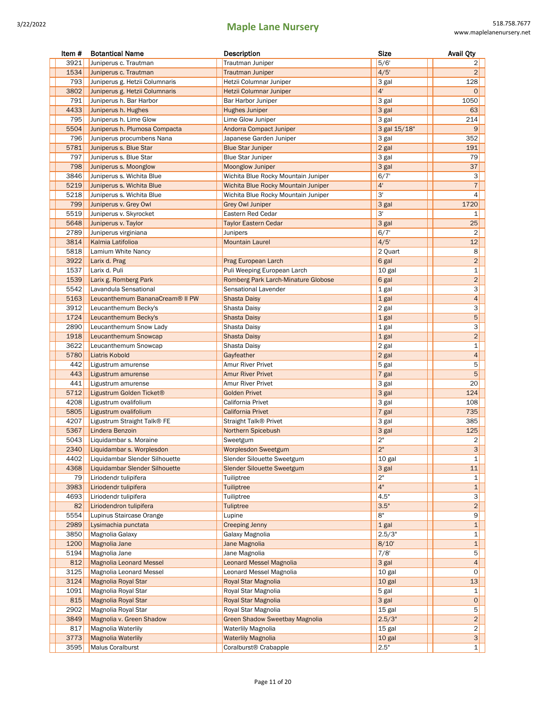| Item # | <b>Botantical Name</b>          | Description                           | <b>Size</b>    | <b>Avail Qty</b>          |
|--------|---------------------------------|---------------------------------------|----------------|---------------------------|
| 3921   | Juniperus c. Trautman           | Trautman Juniper                      | 5/6'           | 2                         |
| 1534   | Juniperus c. Trautman           | <b>Trautman Juniper</b>               | 4/5'           | $\overline{2}$            |
| 793    | Juniperus g. Hetzii Columnaris  | Hetzii Columnar Juniper               | 3 gal          | 128                       |
| 3802   | Juniperus g. Hetzii Columnaris  | Hetzii Columnar Juniper               | 4 <sup>1</sup> | 0                         |
| 791    | Juniperus h. Bar Harbor         | Bar Harbor Juniper                    | 3 gal          | 1050                      |
| 4433   | Juniperus h. Hughes             | Hughes Juniper                        | 3 gal          | 63                        |
| 795    | Juniperus h. Lime Glow          | Lime Glow Juniper                     | 3 gal          | 214                       |
| 5504   | Juniperus h. Plumosa Compacta   | <b>Andorra Compact Juniper</b>        | 3 gal 15/18"   | 9                         |
| 796    |                                 |                                       |                | 352                       |
|        | Juniperus procumbens Nana       | Japanese Garden Juniper               | 3 gal          |                           |
| 5781   | Juniperus s. Blue Star          | <b>Blue Star Juniper</b>              | 2 gal          | 191                       |
| 797    | Juniperus s. Blue Star          | <b>Blue Star Juniper</b>              | 3 gal          | 79                        |
| 798    | Juniperus s. Moonglow           | <b>Moonglow Juniper</b>               | 3 gal          | 37                        |
| 3846   | Juniperus s. Wichita Blue       | Wichita Blue Rocky Mountain Juniper   | 6/7'           | 3                         |
| 5219   | Juniperus s. Wichita Blue       | Wichita Blue Rocky Mountain Juniper   | 4'             | $\overline{\mathfrak{c}}$ |
| 5218   | Juniperus s. Wichita Blue       | Wichita Blue Rocky Mountain Juniper   | 3'             | 4                         |
| 799    | Juniperus v. Grey Owl           | <b>Grey Owl Juniper</b>               | 3 gal          | 1720                      |
| 5519   | Juniperus v. Skyrocket          | Eastern Red Cedar                     | 3'             | 1                         |
| 5648   | Juniperus v. Taylor             | <b>Taylor Eastern Cedar</b>           | 3 gal          | 25                        |
| 2789   | Juniperus virginiana            | Junipers                              | 6/7'           | $\overline{2}$            |
| 3814   | Kalmia Latifolioa               | <b>Mountain Laurel</b>                | 4/5'           | 12                        |
| 5818   | Lamium White Nancy              |                                       | 2 Quart        | 8                         |
| 3922   | Larix d. Prag                   | Prag European Larch                   | 6 gal          | $\overline{\mathbf{c}}$   |
| 1537   | Larix d. Puli                   | Puli Weeping European Larch           | 10 gal         | $\mathbf 1$               |
| 1539   | Larix g. Romberg Park           | Romberg Park Larch-Minature Globose   | 6 gal          | $\overline{\mathbf{c}}$   |
| 5542   | Lavandula Sensational           | Sensational Lavender                  | 1 gal          | З                         |
| 5163   | Leucanthemum BananaCream® II PW | <b>Shasta Daisy</b>                   | 1 gal          | 4                         |
| 3912   | Leucanthemum Becky's            | Shasta Daisy                          | 2 gal          | З                         |
| 1724   | Leucanthemum Becky's            | <b>Shasta Daisy</b>                   | 1 gal          | 5                         |
| 2890   |                                 |                                       |                | 3                         |
|        | Leucanthemum Snow Lady          | Shasta Daisy                          | 1 gal          |                           |
| 1918   | Leucanthemum Snowcap            | Shasta Daisy                          | 1 gal          | $\overline{\mathbf{c}}$   |
| 3622   | Leucanthemum Snowcap            | Shasta Daisy                          | 2 gal          | $\mathbf 1$               |
| 5780   | Liatris Kobold                  | Gayfeather                            | 2 gal          | 4                         |
| 442    | Ligustrum amurense              | Amur River Privet                     | 5 gal          | 5                         |
| 443    | Ligustrum amurense              | <b>Amur River Privet</b>              | 7 gal          | 5                         |
| 441    | Ligustrum amurense              | Amur River Privet                     | 3 gal          | 20                        |
| 5712   | Ligustrum Golden Ticket®        | <b>Golden Privet</b>                  | 3 gal          | 124                       |
| 4208   | Ligustrum ovalifolium           | California Privet                     | 3 gal          | 108                       |
| 5805   | Ligustrum ovalifolium           | <b>California Privet</b>              | 7 gal          | 735                       |
| 4207   | Ligustrum Straight Talk® FE     | Straight Talk <sup>®</sup> Privet     | 3 gal          | 385                       |
| 5367   | Lindera Benzoin                 | Northern Spicebush                    | 3 gal          | 125                       |
| 5043   | Liquidambar s. Moraine          | Sweetgum                              | 2"             | 2                         |
| 2340   | Liquidambar s. Worplesdon       | Worplesdon Sweetgum                   | 2"             | 3                         |
| 4402   | Liquidambar Slender Silhouette  | Slender Silouette Sweetgum            | 10 gal         | $\mathbf 1$               |
| 4368   | Liquidambar Slender Silhouette  | <b>Slender Silouette Sweetgum</b>     | 3 gal          | 11                        |
| 79     | Liriodendr tulipifera           | Tuiliptree                            | 2"             | 1                         |
| 3983   | Liriodendr tulipifera           |                                       | 4"             | $\mathbf 1$               |
|        |                                 | Tuiliptree                            |                |                           |
| 4693   | Liriodendr tulipifera           | Tuiliptree                            | 4.5"           | З                         |
| 82     | Liriodendron tulipifera         | <b>Tuliptree</b>                      | 3.5"           | $\overline{\mathbf{c}}$   |
| 5554   | Lupinus Staircase Orange        | Lupine                                | 8"             | 9                         |
| 2989   | Lysimachia punctata             | <b>Creeping Jenny</b>                 | 1 gal          | $\mathbf 1$               |
| 3850   | Magnolia Galaxy                 | Galaxy Magnolia                       | 2.5/3"         | 1                         |
| 1200   | Magnolia Jane                   | Jane Magnolia                         | 8/10'          | $\mathbf{1}$              |
| 5194   | Magnolia Jane                   | Jane Magnolia                         | 7/8'           | 5                         |
| 812    | <b>Magnolia Leonard Messel</b>  | <b>Leonard Messel Magnolia</b>        | 3 gal          | 4                         |
| 3125   | Magnolia Leonard Messel         | Leonard Messel Magnolia               | 10 gal         | 0                         |
| 3124   | Magnolia Royal Star             | Royal Star Magnolia                   | 10 gal         | $13\,$                    |
| 1091   | Magnolia Royal Star             | Royal Star Magnolia                   | 5 gal          | 1                         |
| 815    | Magnolia Royal Star             | Royal Star Magnolia                   | 3 gal          | $\mathbf 0$               |
| 2902   | Magnolia Royal Star             | Royal Star Magnolia                   | 15 gal         | 5                         |
| 3849   | Magnolia v. Green Shadow        | <b>Green Shadow Sweetbay Magnolia</b> | 2.5/3"         | $\overline{\mathbf{c}}$   |
| 817    | Magnolia Waterlily              | <b>Waterlily Magnolia</b>             | 15 gal         | 2                         |
| 3773   | <b>Magnolia Waterlily</b>       | <b>Waterlily Magnolia</b>             | 10 gal         | 3 <sup>1</sup>            |
| 3595   | Malus Coralburst                | Coralburst <sup>®</sup> Crabapple     | 2.5"           | 1                         |
|        |                                 |                                       |                |                           |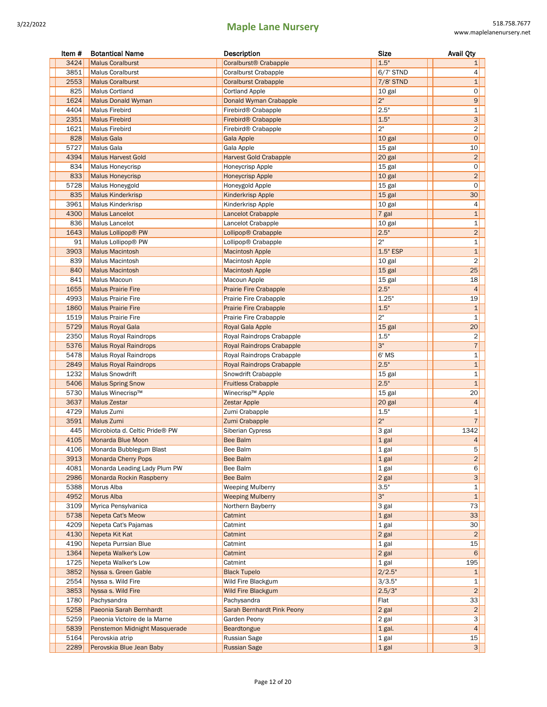| Item # | <b>Botantical Name</b>         | Description                       | <b>Size</b>    | <b>Avail Qty</b>        |
|--------|--------------------------------|-----------------------------------|----------------|-------------------------|
| 3424   | <b>Malus Coralburst</b>        | Coralburst <sup>®</sup> Crabapple | 1.5"           | 1                       |
| 3851   | <b>Malus Coralburst</b>        | <b>Coralburst Crabapple</b>       | $6/7$ ' STND   | 4                       |
| 2553   | <b>Malus Coralburst</b>        | <b>Coralburst Crabapple</b>       | 7/8' STND      | 1                       |
| 825    | <b>Malus Cortland</b>          | <b>Cortland Apple</b>             | 10 gal         | 0                       |
| 1624   | <b>Malus Donald Wyman</b>      | Donald Wyman Crabapple            | 2 <sup>n</sup> | 9                       |
| 4404   | <b>Malus Firebird</b>          | Firebird <sup>®</sup> Crabapple   | 2.5"           | 1                       |
| 2351   | <b>Malus Firebird</b>          | Firebird <sup>®</sup> Crabapple   | 1.5"           | 3                       |
| 1621   | <b>Malus Firebird</b>          | Firebird <sup>®</sup> Crabapple   | 2"             | $\overline{\mathbf{c}}$ |
| 828    | <b>Malus Gala</b>              | Gala Apple                        | 10 gal         | $\mathbf 0$             |
| 5727   | Malus Gala                     | Gala Apple                        | 15 gal         | 10                      |
| 4394   | <b>Malus Harvest Gold</b>      | <b>Harvest Gold Crabapple</b>     | 20 gal         | $\overline{2}$          |
| 834    | Malus Honeycrisp               | Honeycrisp Apple                  | 15 gal         | 0                       |
| 833    | <b>Malus Honeycrisp</b>        | <b>Honeycrisp Apple</b>           | 10 gal         | $\overline{2}$          |
| 5728   | Malus Honeygold                | Honeygold Apple                   | 15 gal         | 0                       |
| 835    | <b>Malus Kinderkrisp</b>       | <b>Kinderkrisp Apple</b>          | 15 gal         | 30                      |
| 3961   | <b>Malus Kinderkrisp</b>       | Kinderkrisp Apple                 | 10 gal         | 4                       |
| 4300   | <b>Malus Lancelot</b>          | Lancelot Crabapple                | $7$ gal        | $\mathbf{1}$            |
| 836    | <b>Malus Lancelot</b>          | Lancelot Crabapple                | 10 gal         | 1                       |
| 1643   | Malus Lollipop® PW             | Lollipop® Crabapple               | 2.5"           | $\overline{2}$          |
| 91     | Malus Lollipop® PW             | Lollipop® Crabapple               | 2"             | 1                       |
| 3903   | <b>Malus Macintosh</b>         | <b>Macintosh Apple</b>            | 1.5" ESP       | $\mathbf{1}$            |
| 839    | <b>Malus Macintosh</b>         | <b>Macintosh Apple</b>            | 10 gal         | 2                       |
| 840    | <b>Malus Macintosh</b>         | <b>Macintosh Apple</b>            | 15 gal         | 25                      |
| 841    | Malus Macoun                   | Macoun Apple                      | 15 gal         | 18                      |
| 1655   | <b>Malus Prairie Fire</b>      | <b>Prairie Fire Crabapple</b>     | 2.5"           | $\overline{4}$          |
| 4993   | Malus Prairie Fire             | Prairie Fire Crabapple            | 1.25"          | 19                      |
| 1860   | <b>Malus Prairie Fire</b>      | <b>Prairie Fire Crabapple</b>     | 1.5"           | $1\,$                   |
| 1519   | Malus Prairie Fire             | Prairie Fire Crabapple            | 2"             | 1                       |
| 5729   | <b>Malus Royal Gala</b>        | Royal Gala Apple                  | 15 gal         | 20                      |
| 2350   | <b>Malus Royal Raindrops</b>   | Royal Raindrops Crabapple         | 1.5"           | $\overline{2}$          |
| 5376   | <b>Malus Royal Raindrops</b>   | Royal Raindrops Crabapple         | 3"             | 7                       |
| 5478   | Malus Royal Raindrops          | Royal Raindrops Crabapple         | 6' MS          | 1                       |
| 2849   | <b>Malus Royal Raindrops</b>   | Royal Raindrops Crabapple         | 2.5"           | $1\,$                   |
| 1232   | <b>Malus Snowdrift</b>         | Snowdrift Crabapple               | 15 gal         | 1                       |
| 5406   | <b>Malus Spring Snow</b>       | <b>Fruitless Crabapple</b>        | 2.5"           | $\mathbf{1}$            |
| 5730   | Malus Winecrisp™               | Winecrisp™ Apple                  | 15 gal         | 20                      |
| 3637   | <b>Malus Zestar</b>            | <b>Zestar Apple</b>               | 20 gal         | 4                       |
| 4729   | Malus Zumi                     | Zumi Crabapple                    | 1.5"           | 1                       |
| 3591   | Malus Zumi                     | Zumi Crabapple                    | 2"             | $\overline{7}$          |
| 445    | Microbiota d. Celtic Pride® PW | Siberian Cypress                  | 3 gal          | 1342                    |
| 4105   | Monarda Blue Moon              | Bee Balm                          | 1 gal          | 4                       |
|        | 4106 Monarda Bubblegum Blast   | Bee Balm                          | $\sqrt{1}$ gal | $5\vert$                |
| 3913   | Monarda Cherry Pops            | Bee Balm                          | 1 gal          | $\overline{\mathbf{c}}$ |
| 4081   | Monarda Leading Lady Plum PW   | Bee Balm                          | 1 gal          | $6 \mid$                |
| 2986   | Monarda Rockin Raspberry       | Bee Balm                          | $2$ gal        | 3                       |
| 5388   | Morus Alba                     | <b>Weeping Mulberry</b>           | 3.5"           | 1                       |
| 4952   | Morus Alba                     | <b>Weeping Mulberry</b>           | 3"             | $\mathbf{1}$            |
| 3109   | Myrica Pensylvanica            | Northern Bayberry                 | 3 gal          | 73                      |
| 5738   | Nepeta Cat's Meow              | Catmint                           | $1$ gal        | 33                      |
| 4209   | Nepeta Cat's Pajamas           | Catmint                           | $1$ gal        | 30                      |
| 4130   | Nepeta Kit Kat                 | Catmint                           | $2$ gal        | $\overline{2}$          |
| 4190   | Nepeta Purrsian Blue           | Catmint                           | $1$ gal        | 15                      |
| 1364   | Nepeta Walker's Low            | Catmint                           | $2$ gal        | 6                       |
| 1725   | Nepeta Walker's Low            | Catmint                           | $1$ gal        | 195                     |
| 3852   | Nyssa s. Green Gable           | <b>Black Tupelo</b>               | 2/2.5"         | 1                       |
| 2554   | Nyssa s. Wild Fire             | Wild Fire Blackgum                | 3/3.5"         | 1                       |
| 3853   | Nyssa s. Wild Fire             | <b>Wild Fire Blackgum</b>         | 2.5/3"         | $\overline{c}$          |
| 1780   | Pachysandra                    | Pachysandra                       | Flat           | 33                      |
| 5258   | Paeonia Sarah Bernhardt        | Sarah Bernhardt Pink Peony        | $2$ gal        | $\overline{\mathbf{c}}$ |
| 5259   | Paeonia Victoire de la Marne   | Garden Peony                      | $2$ gal        | $3 \mid$                |
| 5839   | Penstemon Midnight Masquerade  | <b>Beardtongue</b>                | $1$ gal.       | 4                       |
| 5164   | Perovskia atrip                | Russian Sage                      | 1 gal          | 15                      |
| 2289   | Perovskia Blue Jean Baby       | <b>Russian Sage</b>               | $1$ gal        | 3 <sup>1</sup>          |
|        |                                |                                   |                |                         |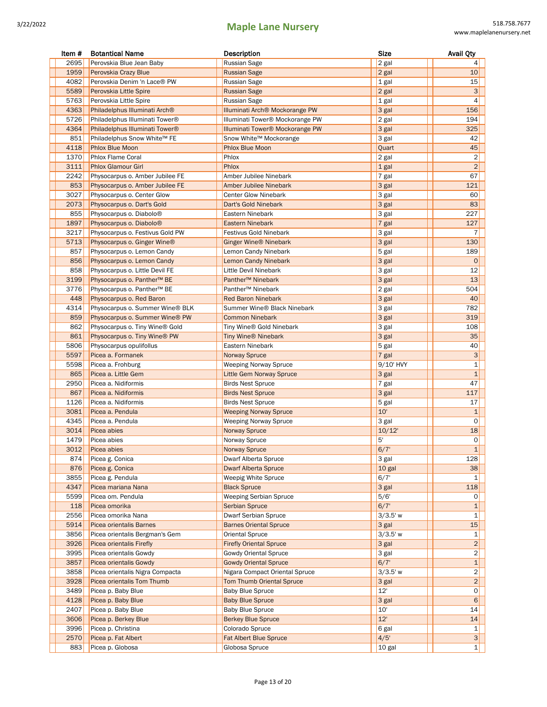| Item # | <b>Botantical Name</b>                 | Description                                 | <b>Size</b> | <b>Avail Qty</b> |
|--------|----------------------------------------|---------------------------------------------|-------------|------------------|
| 2695   | Perovskia Blue Jean Baby               | Russian Sage                                | 2 gal       | 4                |
| 1959   | Perovskia Crazy Blue                   | <b>Russian Sage</b>                         | 2 gal       | 10               |
| 4082   | Perovskia Denim 'n Lace® PW            | Russian Sage                                | 1 gal       | 15               |
| 5589   | Perovskia Little Spire                 | <b>Russian Sage</b>                         | 2 gal       | 3                |
| 5763   | Perovskia Little Spire                 | Russian Sage                                | 1 gal       | 4                |
| 4363   | Philadelphus Illuminati Arch®          | Illuminati Arch® Mockorange PW              | 3 gal       | 156              |
| 5726   | Philadelphus Illuminati Tower®         | Illuminati Tower® Mockorange PW             | 2 gal       | 194              |
| 4364   | Philadelphus Illuminati Tower®         | Illuminati Tower <sup>®</sup> Mockorange PW | 3 gal       | 325              |
| 851    | Philadelphus Snow White™ FE            | Snow White™ Mockorange                      | 3 gal       | 42               |
| 4118   | <b>Phlox Blue Moon</b>                 | <b>Phlox Blue Moon</b>                      | Quart       | 45               |
| 1370   | <b>Phlox Flame Coral</b>               | Phlox                                       | 2 gal       | 2                |
| 3111   | <b>Phlox Glamour Girl</b>              | Phlox                                       | 1 gal       | $\overline{c}$   |
| 2242   | Physocarpus o. Amber Jubilee FE        | Amber Jubilee Ninebark                      | 7 gal       | 67               |
| 853    | Physocarpus o. Amber Jubilee FE        | Amber Jubilee Ninebark                      | 3 gal       | 121              |
| 3027   | Physocarpus o. Center Glow             | <b>Center Glow Ninebark</b>                 | 3 gal       | 60               |
| 2073   | Physocarpus o. Dart's Gold             | Dart's Gold Ninebark                        | 3 gal       | 83               |
| 855    | Physocarpus o. Diabolo <sup>®</sup>    | Eastern Ninebark                            | 3 gal       | 227              |
| 1897   | Physocarpus o. Diabolo <sup>®</sup>    | <b>Eastern Ninebark</b>                     | 7 gal       | 127              |
| 3217   | Physocarpus o. Festivus Gold PW        | Festivus Gold Ninebark                      | 3 gal       | 7                |
| 5713   | Physocarpus o. Ginger Wine®            | <b>Ginger Wine® Ninebark</b>                | 3 gal       | 130              |
| 857    | Physocarpus o. Lemon Candy             | Lemon Candy Ninebark                        | 5 gal       | 189              |
| 856    | Physocarpus o. Lemon Candy             | Lemon Candy Ninebark                        | 3 gal       | $\mathbf 0$      |
| 858    | Physocarpus o. Little Devil FE         | Little Devil Ninebark                       | 3 gal       | 12               |
| 3199   | Physocarpus o. Panther <sup>™</sup> BE | Panther <sup>™</sup> Ninebark               | 3 gal       | 13               |
| 3776   | Physocarpus o. Panther™ BE             | Panther <sup>™</sup> Ninebark               | 2 gal       | 504              |
| 448    | Physocarpus o. Red Baron               | Red Baron Ninebark                          | 3 gal       | 40               |
| 4314   | Physocarpus o. Summer Wine® BLK        | Summer Wine® Black Ninebark                 | 3 gal       | 782              |
| 859    | Physocarpus o. Summer Wine® PW         | <b>Common Ninebark</b>                      | 3 gal       | 319              |
| 862    | Physocarpus o. Tiny Wine® Gold         | Tiny Wine® Gold Ninebark                    | 3 gal       | 108              |
| 861    | Physocarpus o. Tiny Wine® PW           | <b>Tiny Wine® Ninebark</b>                  | 3 gal       | 35               |
| 5806   | Physocarpus opulifollus                | Eastern Ninebark                            | 5 gal       | 40               |
| 5597   | Picea a. Formanek                      | <b>Norway Spruce</b>                        | 7 gal       | 3                |
| 5598   | Picea a. Frohburg                      | <b>Weeping Norway Spruce</b>                | 9/10' HVY   | 1                |
| 865    | Picea a. Little Gem                    | Little Gem Norway Spruce                    | 3 gal       | $\mathbf{1}$     |
| 2950   | Picea a. Nidiformis                    | <b>Birds Nest Spruce</b>                    | 7 gal       | 47               |
| 867    | Picea a. Nidiformis                    | <b>Birds Nest Spruce</b>                    | 3 gal       | 117              |
| 1126   | Picea a. Nidiformis                    | <b>Birds Nest Spruce</b>                    | 5 gal       | 17               |
| 3081   | Picea a. Pendula                       | <b>Weeping Norway Spruce</b>                | 10'         | $\mathbf{1}$     |
| 4345   | Picea a. Pendula                       | <b>Weeping Norway Spruce</b>                | 3 gal       | 0                |
| 3014   | Picea abies                            | <b>Norway Spruce</b>                        | 10/12'      | 18               |
| 1479   | Picea abies                            | Norway Spruce                               | 5'          | 0                |
| 3012   | Picea abies                            | Norway Spruce                               | 6/7'        | $1\vert$         |
| 874    | Picea g. Conica                        | Dwarf Alberta Spruce                        | 3 gal       | 128              |
| 876    | Picea g. Conica                        | <b>Dwarf Alberta Spruce</b>                 | 10 gal      | 38               |
| 3855   | Picea g. Pendula                       | <b>Weepig White Spruce</b>                  | 6/7'        | $\mathbf{1}$     |
| 4347   | Picea mariana Nana                     | <b>Black Spruce</b>                         | 3 gal       | 118              |
| 5599   | Picea om. Pendula                      | Weeping Serbian Spruce                      | 5/6'        | $\circ$          |
| 118    | Picea omorika                          | <b>Serbian Spruce</b>                       | 6/7'        | $\mathbf{1}$     |
| 2556   | Picea omorika Nana                     | Dwarf Serbian Spruce                        | $3/3.5'$ w  | 1                |
| 5914   | Picea orientalis Barnes                | <b>Barnes Oriental Spruce</b>               | 3 gal       | 15               |
| 3856   | Picea orientalis Bergman's Gem         | Oriental Spruce                             | $3/3.5'$ w  | 1                |
| 3926   | Picea orientalis Firefly               | <b>Firefly Oriental Spruce</b>              | 3 gal       | $\overline{c}$   |
| 3995   | Picea orientalis Gowdy                 | Gowdy Oriental Spruce                       | 3 gal       | 2                |
| 3857   | Picea orientalis Gowdy                 | <b>Gowdy Oriental Spruce</b>                | 6/7'        | 1                |
| 3858   | Picea orientalis Nigra Compacta        | Nigara Compact Oriental Spruce              | $3/3.5'$ w  | 2                |
| 3928   | Picea orientalis Tom Thumb             | <b>Tom Thumb Oriental Spruce</b>            | 3 gal       | $\overline{2}$   |
| 3489   | Picea p. Baby Blue                     | <b>Baby Blue Spruce</b>                     | 12'         | 0                |
| 4128   | Picea p. Baby Blue                     | <b>Baby Blue Spruce</b>                     | 3 gal       | 6                |
| 2407   | Picea p. Baby Blue                     | <b>Baby Blue Spruce</b>                     | 10'         | 14               |
| 3606   | Picea p. Berkey Blue                   | <b>Berkey Blue Spruce</b>                   | 12'         | 14               |
| 3996   | Picea p. Christina                     | Colorado Spruce                             | 6 gal       | 1                |
| 2570   | Picea p. Fat Albert                    | <b>Fat Albert Blue Spruce</b>               | 4/5'        | 3                |
| 883    | Picea p. Globosa                       | Globosa Spruce                              | 10 gal      | $1\vert$         |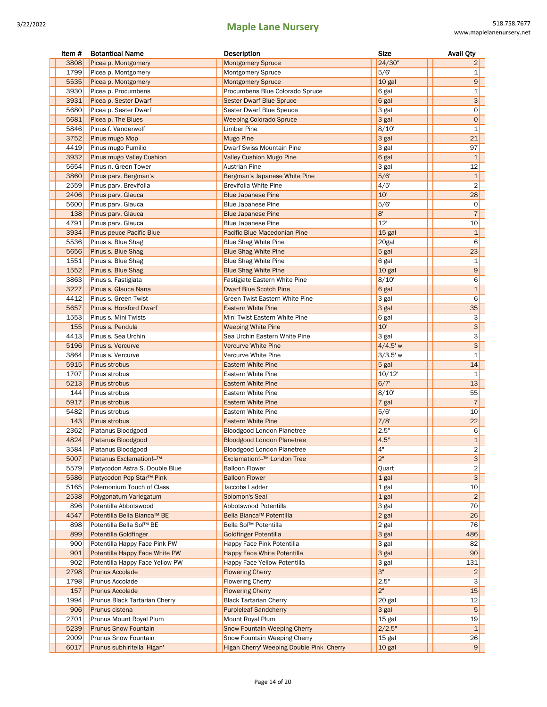| Item #       | <b>Botantical Name</b>                                  | Description                                                         | <b>Size</b>      | <b>Avail Qty</b>          |
|--------------|---------------------------------------------------------|---------------------------------------------------------------------|------------------|---------------------------|
| 3808         | Picea p. Montgomery                                     | <b>Montgomery Spruce</b>                                            | 24/30"           | 2                         |
| 1799         | Picea p. Montgomery                                     | Montgomery Spruce                                                   | 5/6'             | 1                         |
| 5535         | Picea p. Montgomery                                     | <b>Montgomery Spruce</b>                                            | 10 gal           | $\boldsymbol{9}$          |
| 3930         | Picea p. Procumbens                                     | Procumbens Blue Colorado Spruce                                     | 6 gal            | 1                         |
| 3931         | Picea p. Sester Dwarf                                   | <b>Sester Dwarf Blue Spruce</b>                                     | 6 gal            | $\mathsf 3$               |
| 5680         | Picea p. Sester Dwarf                                   | Sester Dwarf Blue Speuce                                            | 3 gal            | 0                         |
| 5681         | Picea p. The Blues                                      | <b>Weeping Colorado Spruce</b>                                      | 3 gal            | $\mathsf{O}\xspace$       |
| 5846         | Pinus f. Vanderwolf                                     | Limber Pine                                                         | 8/10'            | $\mathbf{1}$              |
| 3752         | Pinus mugo Mop                                          | <b>Mugo Pine</b>                                                    | 3 gal            | 21                        |
| 4419         | Pinus mugo Pumilio                                      | Dwarf Swiss Mountain Pine                                           | 3 gal            | 97                        |
| 3932         | Pinus mugo Valley Cushion                               | <b>Valley Cushion Mugo Pine</b>                                     | 6 gal            | $\mathbf 1$               |
| 5654         | Pinus n. Green Tower                                    | <b>Austrian Pine</b>                                                | 3 gal            | 12                        |
| 3860         | Pinus parv. Bergman's                                   | Bergman's Japanese White Pine                                       | 5/6'             | $1\,$                     |
| 2559         | Pinus parv. Brevifolia                                  | Brevifolia White Pine                                               | 4/5'             | $\overline{2}$            |
| 2406         | Pinus parv. Glauca                                      | <b>Blue Japanese Pine</b>                                           | 10'              | 28                        |
| 5600         | Pinus parv. Glauca                                      | <b>Blue Japanese Pine</b>                                           | 5/6'             | 0                         |
| 138          | Pinus parv. Glauca                                      | <b>Blue Japanese Pine</b>                                           | 8'               | $\overline{7}$            |
| 4791         | Pinus parv. Glauca                                      | <b>Blue Japanese Pine</b>                                           | 12'              | 10                        |
| 3934         | Pinus peuce Pacific Blue                                | Pacific Blue Macedonian Pine                                        | 15 gal           | $\mathbf{1}$              |
| 5536         | Pinus s. Blue Shag                                      | <b>Blue Shag White Pine</b>                                         | 20gal            | 6                         |
| 5656         | Pinus s. Blue Shag                                      | <b>Blue Shag White Pine</b>                                         | 5 gal            | 23                        |
| 1551         | Pinus s. Blue Shag                                      | <b>Blue Shag White Pine</b>                                         | 6 gal            | 1                         |
| 1552         | Pinus s. Blue Shag                                      | <b>Blue Shag White Pine</b>                                         | 10 gal           | $\boldsymbol{9}$          |
| 3863         | Pinus s. Fastigiata                                     | Fastigiate Eastern White Pine                                       | 8/10'            | 6                         |
| 3227         | Pinus s. Glauca Nana                                    | <b>Dwarf Blue Scotch Pine</b>                                       | 6 gal            | $\mathbf{1}$              |
| 4412         | Pinus s. Green Twist                                    | Green Twist Eastern White Pine                                      | 3 gal            | 6                         |
| 5657         | Pinus s. Horsford Dwarf                                 | <b>Eastern White Pine</b>                                           | 3 gal            | 35                        |
| 1553         | Pinus s. Mini Twists                                    | Mini Twist Eastern White Pine                                       | 6 gal            | 3                         |
| 155          | Pinus s. Pendula                                        | <b>Weeping White Pine</b>                                           | 10'              | $\ensuremath{\mathsf{3}}$ |
| 4413         | Pinus s. Sea Urchin                                     | Sea Urchin Eastern White Pine                                       | 3 gal            | 3                         |
| 5196         | Pinus s. Vercurve                                       | <b>Vercurve White Pine</b>                                          | $4/4.5'$ w       | $\ensuremath{\mathsf{3}}$ |
| 3864         | Pinus s. Vercurve                                       | Vercurve White Pine                                                 | $3/3.5'$ w       | $\mathbf{1}$              |
| 5915         | Pinus strobus                                           | <b>Eastern White Pine</b>                                           | 5 gal            | 14                        |
| 1707         | Pinus strobus                                           | Eastern White Pine                                                  | 10/12'           | $\mathbf{1}$              |
| 5213         | Pinus strobus                                           | <b>Eastern White Pine</b>                                           | 6/7'             | 13                        |
| 144          | Pinus strobus                                           | Eastern White Pine                                                  | 8/10'            | 55                        |
| 5917         | Pinus strobus                                           | <b>Eastern White Pine</b>                                           | 7 gal            | $\overline{7}$            |
| 5482         | Pinus strobus                                           | Eastern White Pine                                                  | 5/6'             | 10                        |
| 143          | Pinus strobus                                           | <b>Eastern White Pine</b>                                           | 7/8'             | 22                        |
| 2362         | Platanus Bloodgood                                      | Bloodgood London Planetree                                          | 2.5"             | 6                         |
| 4824         | Platanus Bloodgood                                      | <b>Bloodgood London Planetree</b>                                   | 4.5"             | $\mathbf{1}$              |
| 3584         | Platanus Bloodgood                                      | Bloodgood London Planetree                                          | 4"               | 2                         |
| 5007         | Platanus Exclamation!--™                                | Exclamation!--™ London Tree                                         | $2"$             | $\overline{3}$            |
| 5579         | Platycodon Astra S. Double Blue                         | Balloon Flower                                                      | Quart            | $\overline{2}$            |
| 5586         | Platycodon Pop Star™ Pink                               | <b>Balloon Flower</b>                                               | 1 gal            | $\ensuremath{\mathsf{3}}$ |
| 5165         | Polemonium Touch of Class                               | Jaccobs Ladder                                                      | 1 gal            | 10                        |
| 2538         | Polygonatum Variegatum                                  | Solomon's Seal                                                      | 1 gal            | $\overline{2}$            |
| 896          | Potentilla Abbotswood                                   | Abbotswood Potentilla<br>Bella Bianca™ Potentilla                   | 3 gal            | 70                        |
| 4547         | Potentilla Bella Bianca™ BE<br>Potentilla Bella Sol™ BE |                                                                     | 2 gal            | 26                        |
| 898<br>899   |                                                         | Bella Sol™ Potentilla<br><b>Goldfinger Potentilla</b>               | 2 gal            | 76<br>486                 |
|              | Potentilla Goldfinger                                   |                                                                     | 3 gal            |                           |
| 900          | Potentilla Happy Face Pink PW                           | Happy Face Pink Potentilla                                          | 3 gal            | 82                        |
| 901          | Potentilla Happy Face White PW                          | <b>Happy Face White Potentilla</b>                                  | 3 gal            | 90                        |
| 902          | Potentilla Happy Face Yellow PW                         | Happy Face Yellow Potentilla                                        | 3 gal<br>3"      | 131                       |
| 2798<br>1798 | Prunus Accolade                                         | <b>Flowering Cherry</b>                                             | 2.5"             | $\overline{2}$<br>3       |
|              | Prunus Accolade                                         | <b>Flowering Cherry</b>                                             | 2"               |                           |
| 157          | Prunus Accolade                                         | <b>Flowering Cherry</b>                                             |                  | 15                        |
| 1994<br>906  | Prunus Black Tartarian Cherry                           | <b>Black Tartarian Cherry</b>                                       | 20 gal           | 12<br>$\sqrt{5}$          |
|              | Prunus cistena                                          | <b>Purpleleaf Sandcherry</b>                                        | 3 gal            |                           |
| 2701<br>5239 | Prunus Mount Royal Plum<br><b>Prunus Snow Fountain</b>  | Mount Royal Plum                                                    | 15 gal<br>2/2.5" | 19<br>$\mathbf{1}$        |
| 2009         | Prunus Snow Fountain                                    | <b>Snow Fountain Weeping Cherry</b><br>Snow Fountain Weeping Cherry | 15 gal           | 26                        |
| 6017         | Prunus subhiritella 'Higan'                             | Higan Cherry' Weeping Double Pink Cherry                            | 10 gal           | 9                         |
|              |                                                         |                                                                     |                  |                           |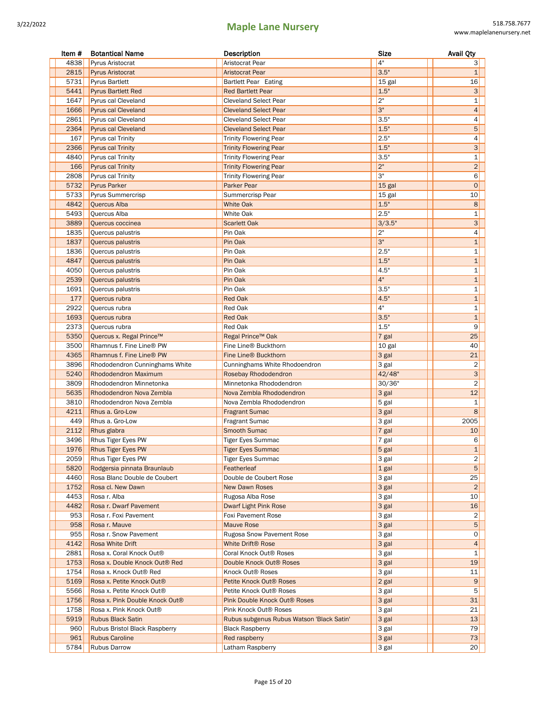| Item # | <b>Botantical Name</b>         | Description                               | Size   | <b>Avail Qty</b>        |
|--------|--------------------------------|-------------------------------------------|--------|-------------------------|
| 4838   | <b>Pyrus Aristocrat</b>        | Aristocrat Pear                           | 4"     | 3                       |
| 2815   | <b>Pyrus Aristocrat</b>        | <b>Aristocrat Pear</b>                    | 3.5"   | 1                       |
| 5731   | <b>Pyrus Bartlett</b>          | Bartlett Pear Eating                      | 15 gal | 16                      |
| 5441   | <b>Pyrus Bartlett Red</b>      | <b>Red Bartlett Pear</b>                  | 1.5"   | 3                       |
| 1647   | Pyrus cal Cleveland            | <b>Cleveland Select Pear</b>              | 2"     | $\mathbf{1}$            |
| 1666   | <b>Pyrus cal Cleveland</b>     | <b>Cleveland Select Pear</b>              | 3"     | $\overline{4}$          |
| 2861   | Pyrus cal Cleveland            | <b>Cleveland Select Pear</b>              | 3.5"   | 4                       |
| 2364   | <b>Pyrus cal Cleveland</b>     | <b>Cleveland Select Pear</b>              | 1.5"   | 5                       |
| 167    | Pyrus cal Trinity              | <b>Trinity Flowering Pear</b>             | 2.5"   | 4                       |
| 2366   | <b>Pyrus cal Trinity</b>       | <b>Trinity Flowering Pear</b>             | 1.5"   | 3 <sup>1</sup>          |
| 4840   | Pyrus cal Trinity              | <b>Trinity Flowering Pear</b>             | 3.5"   | $\mathbf 1$             |
| 166    | <b>Pyrus cal Trinity</b>       | <b>Trinity Flowering Pear</b>             | 2"     | $\overline{2}$          |
| 2808   | Pyrus cal Trinity              | <b>Trinity Flowering Pear</b>             | 3"     | 6                       |
| 5732   | <b>Pyrus Parker</b>            | Parker Pear                               | 15 gal | $\mathbf 0$             |
| 5733   | Pyrus Summercrisp              | Summercrisp Pear                          | 15 gal | 10                      |
| 4842   | Quercus Alba                   | <b>White Oak</b>                          | 1.5"   | 8                       |
| 5493   | Quercus Alba                   | White Oak                                 | 2.5"   | $\mathbf 1$             |
| 3889   | Quercus coccinea               | <b>Scarlett Oak</b>                       | 3/3.5" | 3                       |
| 1835   | Quercus palustris              | Pin Oak                                   | 2"     | 4                       |
| 1837   | Quercus palustris              | Pin Oak                                   | 3"     | $\mathbf{1}$            |
| 1836   | Quercus palustris              | Pin Oak                                   | 2.5"   | $\mathbf{1}$            |
| 4847   | Quercus palustris              | Pin Oak                                   | 1.5"   | $\mathbf{1}$            |
| 4050   | Quercus palustris              | Pin Oak                                   | 4.5"   | $\mathbf{1}$            |
| 2539   | Quercus palustris              | Pin Oak                                   | 4"     | $\mathbf{1}$            |
| 1691   | Quercus palustris              | Pin Oak                                   | 3.5"   | $\mathbf{1}$            |
| 177    | Quercus rubra                  | <b>Red Oak</b>                            | 4.5"   | $\mathbf{1}$            |
| 2922   | Quercus rubra                  | Red Oak                                   | 4"     | $\mathbf{1}$            |
| 1693   | Quercus rubra                  | <b>Red Oak</b>                            | 3.5"   | $\mathbf 1$             |
| 2373   | Quercus rubra                  | Red Oak                                   | 1.5"   | 9                       |
| 5350   | Quercus x. Regal Prince™       | Regal Prince™ Oak                         | 7 gal  | 25                      |
| 3500   | Rhamnus f. Fine Line® PW       | Fine Line® Buckthorn                      | 10 gal | 40                      |
| 4365   | Rhamnus f. Fine Line® PW       | Fine Line® Buckthorn                      | 3 gal  | 21                      |
| 3896   | Rhododendron Cunninghams White | Cunninghams White Rhodoendron             | 3 gal  | $\overline{\mathbf{c}}$ |
| 5240   | <b>Rhododendron Maximum</b>    | Rosebay Rhododendron                      | 42/48" | 3                       |
| 3809   | Rhododendron Minnetonka        | Minnetonka Rhododendron                   | 30/36" | $\overline{2}$          |
| 5635   | Rhododendron Nova Zembla       | Nova Zembla Rhododendron                  | 3 gal  | 12                      |
| 3810   | Rhododendron Nova Zembla       | Nova Zembla Rhododendron                  | 5 gal  | 1                       |
| 4211   | Rhus a. Gro-Low                | <b>Fragrant Sumac</b>                     | 3 gal  | 8                       |
| 449    | Rhus a. Gro-Low                | <b>Fragrant Sumac</b>                     | 3 gal  | 2005                    |
| 2112   | Rhus glabra                    | <b>Smooth Sumac</b>                       | 7 gal  | 10                      |
| 3496   | <b>Rhus Tiger Eyes PW</b>      | <b>Tiger Eyes Summac</b>                  | 7 gal  | 6                       |
| 1976   | <b>Rhus Tiger Eyes PW</b>      | <b>Tiger Eyes Summac</b>                  | 5 gal  | 1                       |
| 2059   | Rhus Tiger Eyes PW             | <b>Tiger Eyes Summac</b>                  | 3 gal  | $\overline{\mathbf{c}}$ |
| 5820   | Rodgersia pinnata Braunlaub    | Featherleaf                               | 1 gal  | 5 <sup>1</sup>          |
| 4460   | Rosa Blanc Double de Coubert   | Double de Coubert Rose                    | 3 gal  | 25                      |
| 1752   | Rosa cl. New Dawn              | <b>New Dawn Roses</b>                     | 3 gal  | $\overline{c}$          |
| 4453   | Rosa r. Alba                   | Rugosa Alba Rose                          | 3 gal  | 10                      |
| 4482   | Rosa r. Dwarf Pavement         | Dwarf Light Pink Rose                     | 3 gal  | 16                      |
| 953    | Rosa r. Foxi Pavement          | <b>Foxi Pavement Rose</b>                 | 3 gal  | 2                       |
| 958    | Rosa r. Mauve                  | <b>Mauve Rose</b>                         | 3 gal  | 5                       |
| 955    | Rosa r. Snow Pavement          | <b>Rugosa Snow Pavement Rose</b>          | 3 gal  | 0                       |
| 4142   | Rosa White Drift               | <b>White Drift® Rose</b>                  | 3 gal  | 4                       |
| 2881   | Rosa x. Coral Knock Out®       | Coral Knock Out <sup>®</sup> Roses        | 3 gal  | 1                       |
| 1753   | Rosa x. Double Knock Out® Red  | Double Knock Out® Roses                   | 3 gal  | 19                      |
| 1754   | Rosa x. Knock Out® Red         | Knock Out <sup>®</sup> Roses              | 3 gal  | 11                      |
| 5169   | Rosa x. Petite Knock Out®      | Petite Knock Out <sup>®</sup> Roses       | 2 gal  | 9                       |
| 5566   | Rosa x. Petite Knock Out®      | Petite Knock Out® Roses                   | 3 gal  | 5 <sup>1</sup>          |
| 1756   | Rosa x. Pink Double Knock Out® | <b>Pink Double Knock Out® Roses</b>       | 3 gal  | 31                      |
| 1758   | Rosa x. Pink Knock Out®        | Pink Knock Out® Roses                     | 3 gal  | 21                      |
| 5919   | <b>Rubus Black Satin</b>       | Rubus subgenus Rubus Watson 'Black Satin' | 3 gal  | 13                      |
| 960    | Rubus Bristol Black Raspberry  | <b>Black Raspberry</b>                    | 3 gal  | 79                      |
| 961    | <b>Rubus Caroline</b>          | Red raspberry                             | 3 gal  | 73                      |
| 5784   | <b>Rubus Darrow</b>            | Latham Raspberry                          | 3 gal  | 20                      |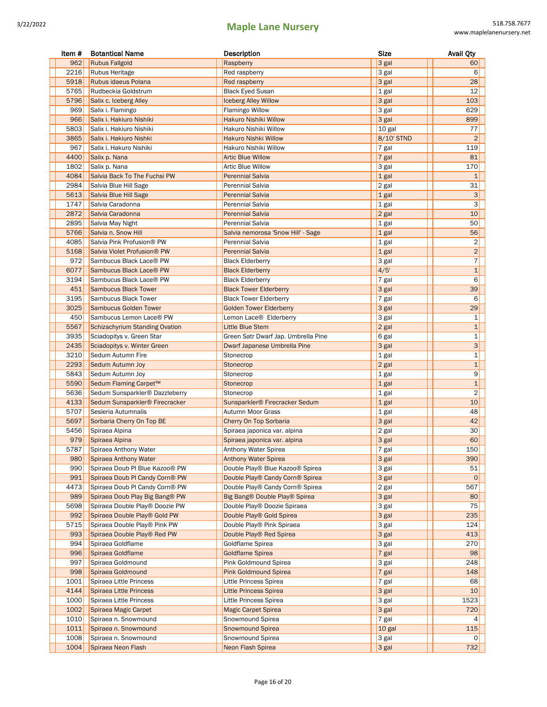| Item #      | <b>Botantical Name</b>                               | Description                                                     | <b>Size</b>    | <b>Avail Qty</b>          |
|-------------|------------------------------------------------------|-----------------------------------------------------------------|----------------|---------------------------|
| 962         | <b>Rubus Fallgold</b>                                | Raspberry                                                       | 3 gal          | 60                        |
| 2216        | <b>Rubus Heritage</b>                                | Red raspberry                                                   | 3 gal          | 6                         |
| 5918        | Rubus idaeus Polana                                  | Red raspberry                                                   | 3 gal          | 28                        |
| 5765        | Rudbeckia Goldstrum                                  | <b>Black Eyed Susan</b>                                         | 1 gal          | 12                        |
| 5796        | Salix c. Iceberg Alley                               | <b>Iceberg Alley Willow</b>                                     | 3 gal          | 103                       |
| 969         | Salix i. Flamingo                                    | <b>Flamingo Willow</b>                                          | 3 gal          | 629                       |
| 966         | Salix i. Hakiuro Nishiki                             | Hakuro Nishiki Willow                                           | 3 gal          | 899                       |
| 5803        | Salix i. Hakiuro Nishiki                             | Hakuro Nishiki Willow                                           | 10 gal         | 77                        |
| 3865        | Salix i. Hakiuro Nishki                              | <b>Hakuro Nishki Willow</b>                                     | 8/10' STND     | $\overline{2}$            |
| 967         | Salix i. Hakuro Nishiki                              | Hakuro Nishiki Willow                                           | 7 gal          | 119                       |
| 4400        | Salix p. Nana                                        | <b>Artic Blue Willow</b>                                        | 7 gal          | 81                        |
| 1802        | Salix p. Nana                                        | <b>Artic Blue Willow</b>                                        | 3 gal          | 170                       |
| 4084        | Salvia Back To The Fuchsi PW                         | <b>Perennial Salvia</b>                                         | 1 gal          | $\mathbf{1}$              |
| 2984        | Salvia Blue Hill Sage                                | Perennial Salvia                                                | 2 gal          | 31                        |
| 5613        | Salvia Blue Hill Sage                                | <b>Perennial Salvia</b>                                         | 1 gal          | $\ensuremath{\mathsf{3}}$ |
| 1747        | Salvia Caradonna                                     | Perennial Salvia                                                | 1 gal          | 3                         |
| 2872        | Salvia Caradonna                                     | <b>Perennial Salvia</b>                                         | 2 gal          | 10                        |
| 2895        | Salvia May Night                                     | Perennial Salvia                                                | 1 gal          | 50                        |
| 5766        | Salvia n. Snow Hill                                  | Salvia nemorosa 'Snow Hill' - Sage                              | 1 gal          | 56                        |
| 4085        | Salvia Pink Profusion® PW                            | Perennial Salvia                                                | 1 gal          | 2                         |
| 5168        | Salvia Violet Profusion® PW                          | <b>Perennial Salvia</b>                                         | 1 gal          | $\overline{2}$            |
| 972         | Sambucus Black Lace® PW                              | <b>Black Elderberry</b>                                         | 3 gal          | $\overline{7}$            |
| 6077        | Sambucus Black Lace® PW                              | <b>Black Elderberry</b>                                         | 4/5'           | $\mathbf 1$               |
| 3194        | Sambucus Black Lace® PW                              | <b>Black Elderberry</b>                                         | 7 gal          | 6                         |
| 451<br>3195 | <b>Sambucus Black Tower</b>                          | <b>Black Tower Elderberry</b>                                   | 3 gal          | 39<br>6                   |
| 3025        | Sambucus Black Tower<br><b>Sambucus Golden Tower</b> | <b>Black Tower Elderberry</b><br><b>Golden Tower Elderberry</b> | 7 gal          | 29                        |
| 450         | Sambucus Lemon Lace® PW                              |                                                                 | 3 gal<br>3 gal | $\mathbf{1}$              |
| 5567        | <b>Schizachyrium Standing Ovation</b>                | Lemon Lace <sup>®</sup> Elderberry<br>Little Blue Stem          |                | $\mathbf{1}$              |
| 3935        | Sciadopitys v. Green Star                            | Green Satr Dwarf Jap. Umbrella Pine                             | 2 gal<br>6 gal | $\mathbf 1$               |
| 2435        | Sciadopitys v. Winter Green                          | Dwarf Japanese Umbrella Pine                                    | 3 gal          | $\mathbf{3}$              |
| 3210        | Sedum Autumn Fire                                    | Stonecrop                                                       | 1 gal          | 1                         |
| 2293        | Sedum Autumn Joy                                     | Stonecrop                                                       | 2 gal          | $\mathbf{1}$              |
| 5843        | Sedum Autumn Joy                                     | Stonecrop                                                       | 1 gal          | 9                         |
| 5590        | Sedum Flaming Carpet™                                | Stonecrop                                                       | 1 gal          | $\mathbf{1}$              |
| 5636        | Sedum Sunsparkler® Dazzleberry                       | Stonecrop                                                       | 1 gal          | $\overline{2}$            |
| 4133        | Sedum Sunsparkler® Firecracker                       | Sunsparkler® Firecracker Sedum                                  | 1 gal          | 10                        |
| 5707        | Sesleria Autumnalis                                  | Autumn Moor Grass                                               | 1 gal          | 48                        |
| 5697        | Sorbaria Cherry On Top BE                            | Cherry On Top Sorbaria                                          | 3 gal          | 42                        |
| 5456        | Spiraea Alpina                                       | Spiraea japonica var. alpina                                    | 2 gal          | 30                        |
| 979         | Spiraea Alpina                                       | Spiraea japonica var. alpina                                    | 3 gal          | 60                        |
| 5787        | Spiraea Anthony Water                                | Anthony Water Spirea                                            | r gal          | 150                       |
| 980         | Spiraea Anthony Water                                | <b>Anthony Water Spirea</b>                                     | 3 gal          | 390                       |
| 990         | Spiraea Doub PI Blue Kazoo® PW                       | Double Play® Blue Kazoo® Spirea                                 | 3 gal          | 51                        |
| 991         | Spiraea Doub PI Candy Corn® PW                       | Double Play® Candy Corn® Spirea                                 | 3 gal          | $\mathsf{O}$              |
| 4473        | Spiraea Doub PI Candy Corn® PW                       | Double Play® Candy Corn® Spirea                                 | 2 gal          | 567                       |
| 989         | Spiraea Doub Play Big Bang® PW                       | Big Bang® Double Play® Spirea                                   | 3 gal          | 80                        |
| 5698        | Spiraea Double Play® Doozie PW                       | Double Play® Doozie Spiraea                                     | 3 gal          | 75                        |
| 992         | Spiraea Double Play® Gold PW                         | Double Play® Gold Spirea                                        | 3 gal          | 235                       |
| 5715        | Spiraea Double Play® Pink PW                         | Double Play® Pink Spiraea                                       | 3 gal          | 124                       |
| 993         | Spiraea Double Play® Red PW                          | Double Play® Red Spirea                                         | 3 gal          | 413                       |
| 994         | Spiraea Goldflame                                    | Goldflame Spirea                                                | 3 gal          | 270                       |
| 996         | Spiraea Goldflame                                    | <b>Goldflame Spirea</b>                                         | 7 gal          | 98                        |
| 997         | Spiraea Goldmound                                    | Pink Goldmound Spirea                                           | 3 gal          | 248                       |
| 998         | Spiraea Goldmound                                    | <b>Pink Goldmound Spirea</b>                                    | 7 gal          | 148                       |
| 1001        | Spiraea Little Princess                              | Little Princess Spirea                                          | 7 gal          | 68                        |
| 4144        | Spiraea Little Princess                              | <b>Little Princess Spirea</b>                                   | 3 gal          | 10                        |
| 1000        | Spiraea Little Princess                              | Little Princess Spirea                                          | 3 gal          | 1523                      |
| 1002        | Spiraea Magic Carpet                                 | <b>Magic Carpet Spirea</b>                                      | 3 gal          | 720                       |
| 1010        | Spiraea n. Snowmound                                 | Snowmound Spirea                                                | 7 gal          | 4                         |
| 1011        | Spiraea n. Snowmound                                 | <b>Snowmound Spirea</b>                                         | 10 gal         | 115                       |
| 1008        | Spiraea n. Snowmound                                 | Snowmound Spirea                                                | 3 gal          | 0                         |
| 1004        | Spiraea Neon Flash                                   | Neon Flash Spirea                                               | 3 gal          | 732                       |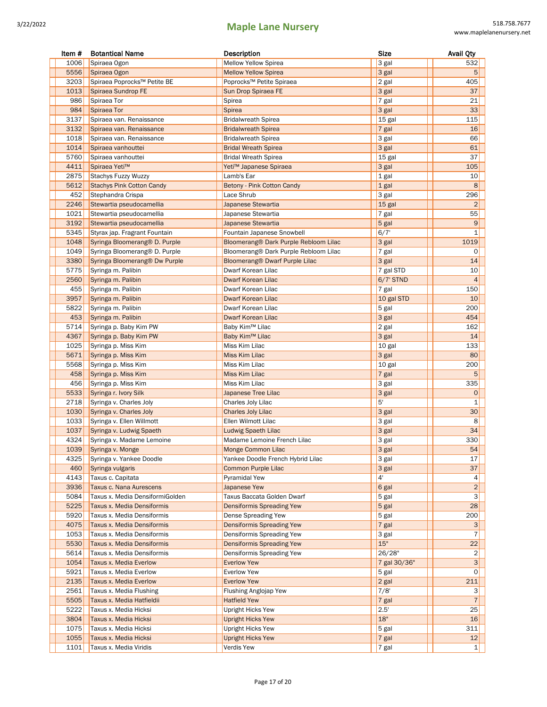| Item # | <b>Botantical Name</b>                    | Description                           | <b>Size</b>  | <b>Avail Qty</b>        |
|--------|-------------------------------------------|---------------------------------------|--------------|-------------------------|
| 1006   | Spiraea Ogon                              | <b>Mellow Yellow Spirea</b>           | 3 gal        | 532                     |
| 5556   | Spiraea Ogon                              | <b>Mellow Yellow Spirea</b>           | 3 gal        | 5                       |
| 3203   | Spiraea Poprocks™ Petite BE               | Poprocks™ Petite Spiraea              | 2 gal        | 405                     |
| 1013   | Spiraea Sundrop FE                        | Sun Drop Spiraea FE                   | 3 gal        | 37                      |
| 986    | Spiraea Tor                               | Spirea                                | 7 gal        | 21                      |
| 984    | Spiraea Tor                               | <b>Spirea</b>                         | 3 gal        | 33                      |
| 3137   | Spiraea van. Renaissance                  | <b>Bridalwreath Spirea</b>            | 15 gal       | 115                     |
| 3132   | Spiraea van. Renaissance                  | <b>Bridalwreath Spirea</b>            | 7 gal        | 16                      |
| 1018   | Spiraea van. Renaissance                  | <b>Bridalwreath Spirea</b>            | 3 gal        | 66                      |
| 1014   | Spiraea vanhouttei                        | <b>Bridal Wreath Spirea</b>           | 3 gal        | 61                      |
| 5760   | Spiraea vanhouttei                        | <b>Bridal Wreath Spirea</b>           | 15 gal       | 37                      |
| 4411   | Spiraea Yeti™                             | Yeti™ Japanese Spiraea                | 3 gal        | 105                     |
| 2875   | Stachys Fuzzy Wuzzy                       | Lamb's Ear                            | 1 gal        | 10                      |
| 5612   | <b>Stachys Pink Cotton Candy</b>          | Betony - Pink Cotton Candy            | 1 gal        | 8                       |
| 452    | Stephandra Crispa                         | Lace Shrub                            | 3 gal        | 296                     |
| 2246   | Stewartia pseudocamellia                  | Japanese Stewartia                    | 15 gal       | $\overline{2}$          |
| 1021   | Stewartia pseudocamellia                  | Japanese Stewartia                    | 7 gal        | 55                      |
| 3192   | Stewartia pseudocamellia                  | Japanese Stewartia                    | 5 gal        | $\boldsymbol{9}$        |
| 5345   | Styrax jap. Fragrant Fountain             | Fountain Japanese Snowbell            | 6/7'         | 1                       |
| 1048   | Syringa Bloomerang <sup>®</sup> D. Purple | Bloomerang® Dark Purple Rebloom Lilac | 3 gal        | 1019                    |
| 1049   | Syringa Bloomerang® D. Purple             | Bloomerang® Dark Purple Rebloom Lilac | $7$ gal      | 0                       |
| 3380   | Syringa Bloomerang <sup>®</sup> Dw Purple | Bloomerang® Dwarf Purple Lilac        | 3 gal        | 14                      |
| 5775   | Syringa m. Palibin                        | Dwarf Korean Lilac                    | 7 gal STD    | 10                      |
| 2560   | Syringa m. Palibin                        | <b>Dwarf Korean Lilac</b>             | $6/7$ ' STND | $\overline{4}$          |
| 455    | Syringa m. Palibin                        | Dwarf Korean Lilac                    | 7 gal        | 150                     |
| 3957   | Syringa m. Palibin                        | Dwarf Korean Lilac                    | 10 gal STD   | 10                      |
| 5822   | Syringa m. Palibin                        | Dwarf Korean Lilac                    | 5 gal        | 200                     |
| 453    | Syringa m. Palibin                        | Dwarf Korean Lilac                    | 3 gal        | 454                     |
| 5714   | Syringa p. Baby Kim PW                    | Baby Kim™ Lilac                       | 2 gal        | 162                     |
| 4367   | Syringa p. Baby Kim PW                    | Baby Kim <sup>™</sup> Lilac           | 3 gal        | 14                      |
| 1025   | Syringa p. Miss Kim                       | Miss Kim Lilac                        | 10 gal       | 133                     |
| 5671   | Syringa p. Miss Kim                       | Miss Kim Lilac                        | 3 gal        | 80                      |
| 5568   | Syringa p. Miss Kim                       | Miss Kim Lilac                        | 10 gal       | 200                     |
| 458    | Syringa p. Miss Kim                       | Miss Kim Lilac                        | $7$ gal      | 5                       |
| 456    | Syringa p. Miss Kim                       | Miss Kim Lilac                        | 3 gal        | 335                     |
| 5533   | Syringa r. Ivory Silk                     | Japanese Tree Lilac                   | 3 gal        | $\mathsf{O}\xspace$     |
| 2718   | Syringa v. Charles Joly                   | Charles Joly Lilac                    | 5'           | 1                       |
| 1030   | Syringa v. Charles Joly                   | <b>Charles Joly Lilac</b>             | 3 gal        | 30                      |
| 1033   | Syringa v. Ellen Willmott                 | Ellen Wilmott Lilac                   | 3 gal        | 8                       |
| 1037   | Syringa v. Ludwig Spaeth                  | Ludwig Spaeth Lilac                   | 3 gal        | 34                      |
| 4324   | Syringa v. Madame Lemoine                 | Madame Lemoine French Lilac           | 3 gal        | 330                     |
| 1039   | Syringa v. Monge                          | Monge Common Lilac                    | 3 gal        | 54                      |
| 4325   | Syringa v. Yankee Doodle                  | Yankee Doodle French Hybrid Lilac     | 3 gal        | 17                      |
| 460    | Syringa vulgaris                          | <b>Common Purple Lilac</b>            | 3 gal        | 37                      |
| 4143   | Taxus c. Capitata                         | Pyramidal Yew                         | $4^{\circ}$  | 4                       |
| 3936   | Taxus c. Nana Aurescens                   | Japanese Yew                          | 6 gal        | $\overline{2}$          |
| 5084   | Taxus x. Media DensiformiGolden           | Taxus Baccata Golden Dwarf            | 5 gal        | $\overline{\mathbf{3}}$ |
| 5225   | Taxus x. Media Densiformis                | Densiformis Spreading Yew             | 5 gal        | 28                      |
| 5920   | Taxus x. Media Densiformis                | Dense Spreading Yew                   | 5 gal        | 200                     |
| 4075   | Taxus x. Media Densiformis                | Densiformis Spreading Yew             | 7 gal        | 3                       |
| 1053   | Taxus x. Media Densiformis                | Densiformis Spreading Yew             | 3 gal        | 7                       |
| 5530   | Taxus x. Media Densiformis                | <b>Densiformis Spreading Yew</b>      | 15"          | 22                      |
| 5614   | Taxus x. Media Densiformis                | Densiformis Spreading Yew             | 26/28"       | 2                       |
| 1054   | <b>Taxus x. Media Everlow</b>             | <b>Everlow Yew</b>                    | 7 gal 30/36" | 3                       |
| 5921   | Taxus x. Media Everlow                    | <b>Everlow Yew</b>                    | 5 gal        | $\circ$                 |
| 2135   | Taxus x. Media Everlow                    | <b>Everlow Yew</b>                    | 2 gal        | 211                     |
| 2561   | Taxus x. Media Flushing                   | Flushing Anglojap Yew                 | 7/8'         | 3                       |
| 5505   | Taxus x. Media Hatfieldii                 | <b>Hatfield Yew</b>                   | 7 gal        | 7 <sup>1</sup>          |
| 5222   | Taxus x. Media Hicksi                     | Upright Hicks Yew                     | 2.5'         | 25                      |
| 3804   | Taxus x. Media Hicksi                     | <b>Upright Hicks Yew</b>              | 18"          | 16                      |
| 1075   | Taxus x. Media Hicksi                     | Upright Hicks Yew                     | 5 gal        | 311                     |
| 1055   | Taxus x. Media Hicksi                     | <b>Upright Hicks Yew</b>              | 7 gal        | 12                      |
| 1101   | Taxus x. Media Viridis                    | Verdis Yew                            | 7 gal        | 1                       |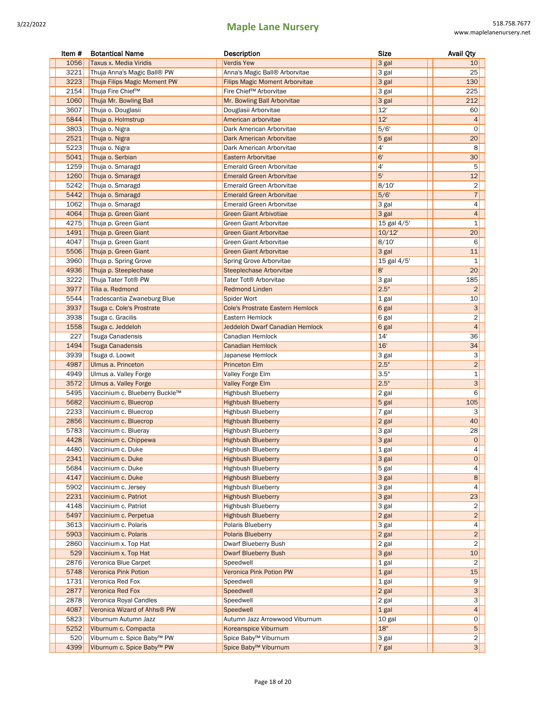| Item # | <b>Botantical Name</b>                       | Description                               | Size           | <b>Avail Qty</b>        |
|--------|----------------------------------------------|-------------------------------------------|----------------|-------------------------|
| 1056   | Taxus x. Media Viridis                       | <b>Verdis Yew</b>                         | 3 gal          | 10                      |
| 3221   | Thuja Anna's Magic Ball® PW                  | Anna's Magic Ball <sup>®</sup> Arborvitae | 3 gal          | 25                      |
| 3223   | Thuja Filips Magic Moment PW                 | <b>Filips Magic Moment Arborvitae</b>     | 3 gal          | 130                     |
| 2154   | Thuja Fire Chief™                            | Fire Chief™ Arborvitae                    | 3 gal          | 225                     |
| 1060   | Thuja Mr. Bowling Ball                       | Mr. Bowling Ball Arborvitae               | 3 gal          | 212                     |
| 3607   | Thuja o. Douglasii                           | Douglasii Arborvitae                      | 12'            | 60                      |
| 5844   | Thuja o. Holmstrup                           | American arborvitae                       | 12'            | 4                       |
| 3803   | Thuja o. Nigra                               | Dark American Arborvitae                  | 5/6'           | 0                       |
| 2521   | Thuja o. Nigra                               | Dark American Arborvitae                  | 5 gal          | 20                      |
| 5223   | Thuja o. Nigra                               | Dark American Arborvitae                  | 4'             | 8                       |
| 5041   | Thuja o. Serbian                             | Eastern Arborvitae                        | 6'             | 30                      |
| 1259   | Thuja o. Smaragd                             | Emerald Green Arborvitae                  | 4 <sup>1</sup> | 5                       |
| 1260   | Thuja o. Smaragd                             | <b>Emerald Green Arborvitae</b>           | 5'             | 12                      |
| 5242   | Thuja o. Smaragd                             | Emerald Green Arborvitae                  | 8/10'          | $\overline{\mathbf{c}}$ |
| 5442   | Thuja o. Smaragd                             | <b>Emerald Green Arborvitae</b>           | 5/6'           | $\sqrt{7}$              |
| 1062   | Thuja o. Smaragd                             | Emerald Green Arborvitae                  | 3 gal          | 4                       |
| 4064   | Thuja p. Green Giant                         | <b>Green Giant Arbivotiae</b>             | 3 gal          | $\overline{4}$          |
| 4275   |                                              | Green Giant Arborvitae                    | 15 gal 4/5'    | $\mathbf 1$             |
| 1491   | Thuja p. Green Giant<br>Thuja p. Green Giant | <b>Green Giant Arborvitae</b>             | $10/12$ '      | 20                      |
| 4047   |                                              | Green Giant Arborvitae                    | 8/10'          | 6                       |
|        | Thuja p. Green Giant                         |                                           |                |                         |
| 5506   | Thuja p. Green Giant                         | <b>Green Giant Arborvitae</b>             | 3 gal          | 11                      |
| 3960   | Thuja p. Spring Grove                        | Spring Grove Arborvitae                   | 15 gal 4/5'    | 1                       |
| 4936   | Thuja p. Steeplechase                        | Steeplechase Arborvitae                   | 8'             | 20                      |
| 3222   | Thuja Tater Tot® PW                          | Tater Tot® Arborvitae                     | 3 gal          | 185                     |
| 3977   | Tilia a. Redmond                             | <b>Redmond Linden</b>                     | 2.5"           | $\overline{c}$          |
| 5544   | Tradescantia Zwaneburg Blue                  | Spider Wort                               | 1 gal          | 10                      |
| 3937   | Tsuga c. Cole's Prostrate                    | <b>Cole's Prostrate Eastern Hemlock</b>   | 6 gal          | 3                       |
| 3938   | Tsuga c. Gracilis                            | Eastern Hemlock                           | 6 gal          | $\overline{\mathbf{c}}$ |
| 1558   | Tsuga c. Jeddeloh                            | <b>Jeddeloh Dwarf Canadian Hemlock</b>    | 6 gal          | $\overline{4}$          |
| 227    | Tsuga Canadensis                             | Canadian Hemlock                          | 14'            | 36                      |
| 1494   | <b>Tsuga Canadensis</b>                      | <b>Canadian Hemlock</b>                   | 16'            | 34                      |
| 3939   | Tsuga d. Loowit                              | Japanese Hemlock                          | 3 gal          | 3                       |
| 4987   | Ulmus a. Princeton                           | <b>Princeton Elm</b>                      | 2.5"           | $\overline{c}$          |
| 4949   | Ulmus a. Valley Forge                        | Valley Forge Elm                          | 3.5"           | $\mathbf{1}$            |
| 3572   | Ulmus a. Valley Forge                        | <b>Valley Forge Elm</b>                   | 2.5"           | 3 <sup>1</sup>          |
| 5495   | Vaccinium c. Blueberry Buckle™               | <b>Highbush Blueberry</b>                 | 2 gal          | 6                       |
| 5682   | Vaccinium c. Bluecrop                        | <b>Highbush Blueberry</b>                 | 5 gal          | 105                     |
| 2233   | Vaccinium c. Bluecrop                        | <b>Highbush Blueberry</b>                 | 7 gal          | 3                       |
| 2856   | Vaccinium c. Bluecrop                        | <b>Highbush Blueberry</b>                 | $2$ gal        | 40                      |
| 5783   | Vaccinium c. Blueray                         | <b>Highbush Blueberry</b>                 | 3 gal          | 28                      |
| 4428   | Vaccinium c. Chippewa                        | <b>Highbush Blueberry</b>                 | 3 gal          | 0                       |
| 4480   | Vaccinium c. Duke                            | Highbush Blueberry                        | 1 gal          | 4                       |
| 2341   | Vaccinium c. Duke                            | <b>Highbush Blueberry</b>                 | 3 gal          | $\circ$                 |
| 5684   | Vaccinium c. Duke                            | <b>Highbush Blueberry</b>                 | 5 gal          | $\vert 4 \vert$         |
| 4147   | Vaccinium c. Duke                            | <b>Highbush Blueberry</b>                 | 3 gal          | 8 <sup>1</sup>          |
| 5902   | Vaccinium c. Jersey                          | <b>Highbush Blueberry</b>                 | 3 gal          | 4                       |
| 2231   | Vaccinium c. Patriot                         | <b>Highbush Blueberry</b>                 | 3 gal          | 23                      |
| 4148   | Vaccinium c. Patriot                         | <b>Highbush Blueberry</b>                 | 3 gal          | $\overline{2}$          |
| 5497   | Vaccinium c. Perpetua                        | <b>Highbush Blueberry</b>                 | 2 gal          | $\vert$ 2               |
| 3613   | Vaccinium c. Polaris                         | Polaris Blueberry                         | 3 gal          | 4                       |
| 5903   | Vaccinium c. Polaris                         | <b>Polaris Blueberry</b>                  | 2 gal          | $\overline{c}$          |
| 2860   | Vaccinium x. Top Hat                         | Dwarf Blueberry Bush                      | 2 gal          | $\overline{c}$          |
| 529    | Vaccinium x. Top Hat                         | <b>Dwarf Blueberry Bush</b>               | 3 gal          | 10                      |
| 2876   | Veronica Blue Carpet                         | Speedwell                                 | 1 gal          | 2                       |
| 5748   | Veronica Pink Potion                         | Veronica Pink Potion PW                   | 1 gal          | 15                      |
| 1731   | Veronica Red Fox                             | Speedwell                                 | 1 gal          | 9                       |
| 2877   | Veronica Red Fox                             | Speedwell                                 | 2 gal          | 3                       |
| 2878   | Veronica Royal Candles                       |                                           |                | $\mathbf{3}$            |
|        | Veronica Wizard of Ahhs® PW                  | Speedwell                                 | 2 gal          |                         |
| 4087   | Viburnum Autumn Jazz                         | Speedwell                                 | 1 gal          | 4                       |
| 5823   |                                              | Autumn Jazz Arrowwood Viburnum            | 10 gal<br>18"  | 0                       |
| 5252   | Viburnum c. Compacta                         | Koreanspice Viburnum                      |                | 5                       |
| 520    | Viburnum c. Spice Baby™ PW                   | Spice Baby™ Viburnum                      | 3 gal          | $\mathbf{2}$            |
| 4399   | Viburnum c. Spice Baby™ PW                   | Spice Baby™ Viburnum                      | $7$ gal        | 3                       |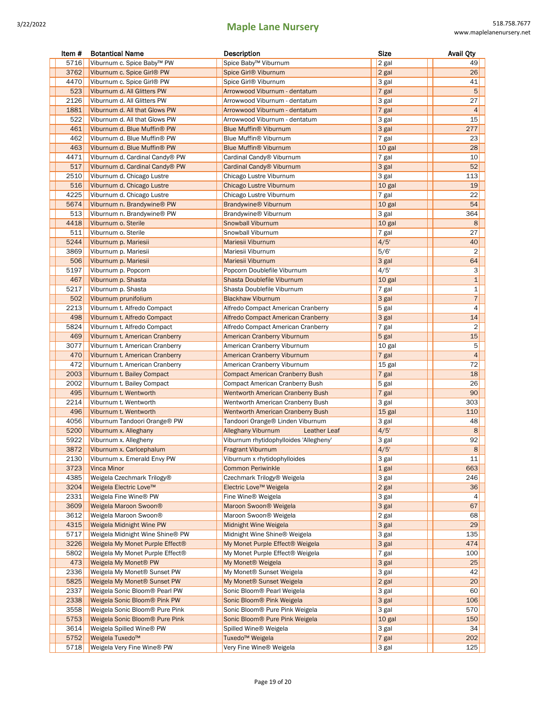| Item # | <b>Botantical Name</b>                  | Description                               | <b>Size</b> | <b>Avail Qty</b> |
|--------|-----------------------------------------|-------------------------------------------|-------------|------------------|
| 5716   | Viburnum c. Spice Baby™ PW              | Spice Baby™ Viburnum                      | 2 gal       | 49               |
| 3762   | Viburnum c. Spice Girl® PW              | Spice Girl® Viburnum                      | 2 gal       | 26               |
| 4470   | Viburnum c. Spice Girl® PW              | Spice Girl® Viburnum                      | 3 gal       | 41               |
| 523    | Viburnum d. All Glitters PW             | Arrowwood Viburnum - dentatum             | 7 gal       | 5                |
| 2126   | Viburnum d. All Glitters PW             | Arrowwood Viburnum - dentatum             | 3 gal       | 27               |
| 1881   | Viburnum d. All that Glows PW           | Arrowwood Viburnum - dentatum             | 7 gal       | 4                |
| 522    | Viburnum d. All that Glows PW           | Arrowwood Viburnum - dentatum             | 3 gal       | 15               |
| 461    | Viburnum d. Blue Muffin® PW             | <b>Blue Muffin® Viburnum</b>              | 3 gal       | 277              |
| 462    | Viburnum d. Blue Muffin® PW             | Blue Muffin® Viburnum                     | 7 gal       | 23               |
| 463    | Viburnum d. Blue Muffin® PW             | <b>Blue Muffin® Viburnum</b>              | 10 gal      | 28               |
| 4471   | Viburnum d. Cardinal Candy® PW          | Cardinal Candy® Viburnum                  | 7 gal       | 10               |
| 517    | Viburnum d. Cardinal Candy® PW          | Cardinal Candy® Viburnum                  | 3 gal       | 52               |
| 2510   | Viburnum d. Chicago Lustre              | Chicago Lustre Viburnum                   | 3 gal       | 113              |
| 516    | Viburnum d. Chicago Lustre              | Chicago Lustre Viburnum                   | 10 gal      | 19               |
| 4225   | Viburnum d. Chicago Lustre              | Chicago Lustre Viburnum                   | 7 gal       | 22               |
| 5674   | Viburnum n. Brandywine <sup>®</sup> PW  | <b>Brandywine® Viburnum</b>               | 10 gal      | 54               |
| 513    | Viburnum n. Brandywine® PW              | Brandywine <sup>®</sup> Viburnum          | 3 gal       | 364              |
| 4418   | Viburnum o. Sterile                     | Snowball Viburnum                         | 10 gal      | 8                |
| 511    | Viburnum o. Sterile                     | Snowball Viburnum                         | 7 gal       | 27               |
| 5244   | Viburnum p. Mariesii                    | Mariesii Viburnum                         | 4/5'        | 40               |
| 3869   | Viburnum p. Mariesii                    | Mariesii Viburnum                         | 5/6'        | $\overline{2}$   |
| 506    | Viburnum p. Mariesii                    | Mariesii Viburnum                         | 3 gal       | 64               |
| 5197   | Viburnum p. Popcorn                     | Popcorn Doublefile Viburnum               | 4/5'        | 3                |
| 467    | Viburnum p. Shasta                      | Shasta Doublefile Viburnum                | 10 gal      | $\mathbf{1}$     |
| 5217   | Viburnum p. Shasta                      | Shasta Doublefile Viburnum                | 7 gal       | $\mathbf 1$      |
| 502    | Viburnum prunifolium                    | <b>Blackhaw Viburnum</b>                  | 3 gal       | $\overline{7}$   |
| 2213   | Viburnum t. Alfredo Compact             | Alfredo Compact American Cranberry        | 5 gal       | $\overline{4}$   |
| 498    | Viburnum t. Alfredo Compact             | Alfredo Compact American Cranberry        | 3 gal       | 14               |
| 5824   | Viburnum t. Alfredo Compact             | Alfredo Compact American Cranberry        | 7 gal       | $\overline{2}$   |
| 469    | Viburnum t. American Cranberry          | American Cranberry Viburnum               | 5 gal       | 15               |
| 3077   | Viburnum t. American Cranberry          | American Cranberry Viburnum               | 10 gal      | 5                |
| 470    | Viburnum t. American Cranberry          | American Cranberry Viburnum               | 7 gal       | $\overline{4}$   |
| 472    | Viburnum t. American Cranberry          | American Cranberry Viburnum               | 15 gal      | 72               |
| 2003   | Viburnum t. Bailey Compact              | <b>Compact American Cranberry Bush</b>    | 7 gal       | 18               |
| 2002   | Viburnum t. Bailey Compact              | <b>Compact American Cranberry Bush</b>    | 5 gal       | 26               |
| 495    | Viburnum t. Wentworth                   | <b>Wentworth American Cranberry Bush</b>  | 7 gal       | 90               |
| 2214   | Viburnum t. Wentworth                   | Wentworth American Cranberry Bush         | 3 gal       | 303              |
| 496    | Viburnum t. Wentworth                   | <b>Wentworth American Cranberry Bush</b>  | 15 gal      | 110              |
| 4056   | Viburnum Tandoori Orange® PW            | Tandoori Orange® Linden Viburnum          | 3 gal       | 48               |
| 5200   | Viburnum x. Alleghany                   | <b>Alleghany Viburnum</b><br>Leather Leaf | 4/5'        | 8                |
| 5922   | Viburnum x. Allegheny                   | Viburnum rhytidophylloides 'Allegheny'    | 3 gal       | 92               |
|        | 3872 Viburnum x. Carlcephalum           | <b>Fragrant Viburnum</b>                  | 4/5'        | 8                |
| 2130   | Viburnum x. Emerald Envy PW             | Viburnum x rhytidophylloides              | 3 gal       | 11               |
| 3723   | <b>Vinca Minor</b>                      | Common Periwinkle                         | 1 gal       | 663              |
| 4385   | Weigela Czechmark Trilogy®              | Czechmark Trilogy® Weigela                | 3 gal       | 246              |
| 3204   | Weigela Electric Love™                  | Electric Love™ Weigela                    | 2 gal       | 36               |
| 2331   | Weigela Fine Wine® PW                   | Fine Wine <sup>®</sup> Weigela            | 3 gal       | 4                |
| 3609   | Weigela Maroon Swoon®                   | Maroon Swoon® Weigela                     | 3 gal       | 67               |
| 3612   | Weigela Maroon Swoon®                   | Maroon Swoon® Weigela                     | 2 gal       | 68               |
| 4315   | Weigela Midnight Wine PW                | Midnight Wine Weigela                     | 3 gal       | 29               |
| 5717   | Weigela Midnight Wine Shine® PW         | Midnight Wine Shine® Weigela              | 3 gal       | 135              |
| 3226   | Weigela My Monet Purple Effect®         | My Monet Purple Effect® Weigela           | 3 gal       | 474              |
| 5802   | Weigela My Monet Purple Effect®         | My Monet Purple Effect® Weigela           | 7 gal       | 100              |
| 473    | Weigela My Monet® PW                    | My Monet® Weigela                         | 3 gal       | 25               |
| 2336   | Weigela My Monet® Sunset PW             | My Monet® Sunset Weigela                  | 3 gal       | 42               |
| 5825   | Weigela My Monet <sup>®</sup> Sunset PW | My Monet® Sunset Weigela                  | 2 gal       | 20               |
| 2337   | Weigela Sonic Bloom® Pearl PW           | Sonic Bloom® Pearl Weigela                | 3 gal       | 60               |
| 2338   | Weigela Sonic Bloom® Pink PW            | Sonic Bloom® Pink Weigela                 | 3 gal       | 106              |
| 3558   | Weigela Sonic Bloom® Pure Pink          | Sonic Bloom® Pure Pink Weigela            | 3 gal       | 570              |
| 5753   | Weigela Sonic Bloom® Pure Pink          | Sonic Bloom® Pure Pink Weigela            | 10 gal      | 150              |
| 3614   | Weigela Spilled Wine® PW                | Spilled Wine <sup>®</sup> Weigela         | 3 gal       | 34               |
| 5752   | Weigela Tuxedo <sup>™</sup>             | Tuxedo <sup>™</sup> Weigela               | 7 gal       | 202              |
| 5718   | Weigela Very Fine Wine® PW              | Very Fine Wine® Weigela                   | 3 gal       | 125              |